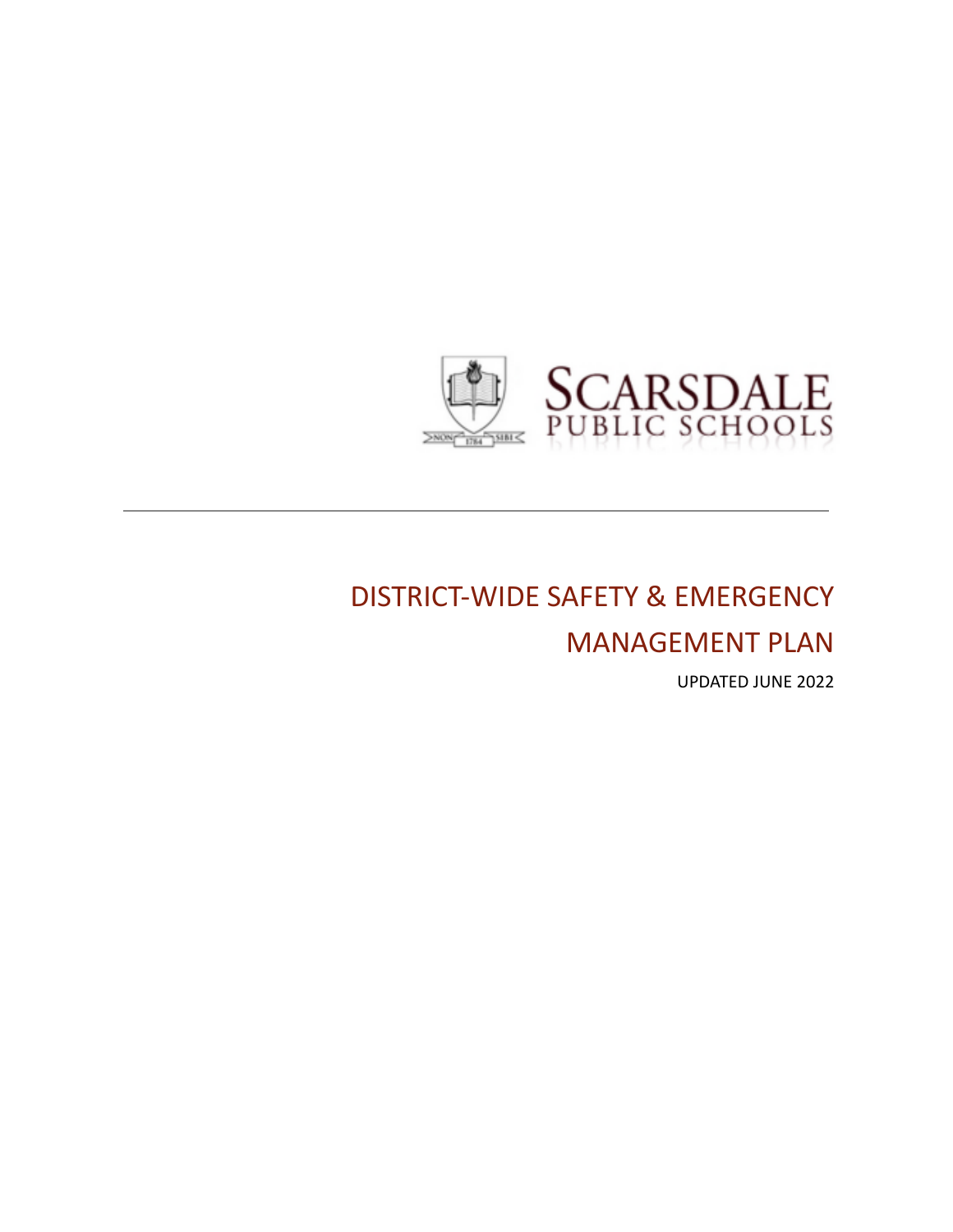

# DISTRICT-WIDE SAFETY & EMERGENCY

MANAGEMENT PLAN

UPDATED JUNE 2022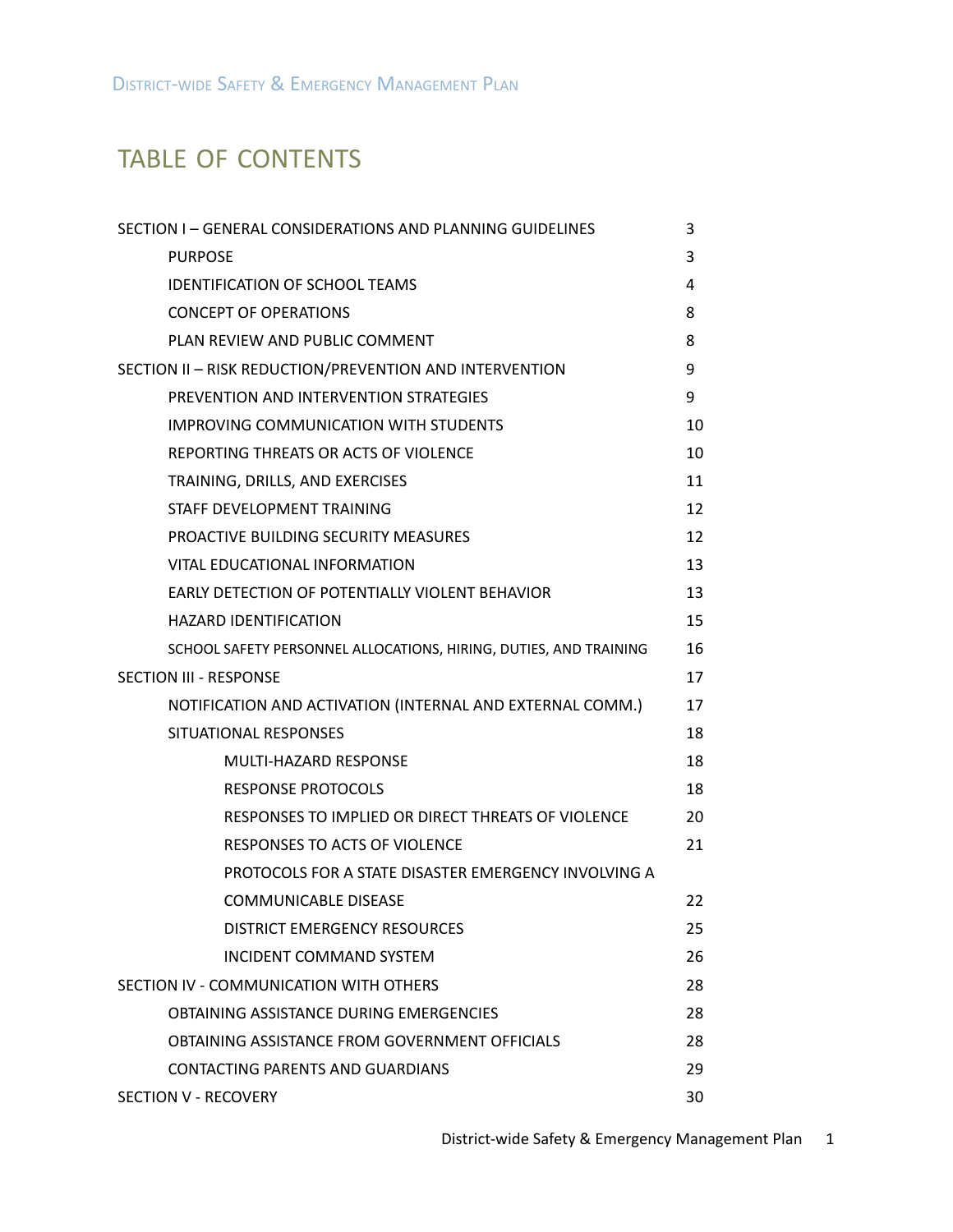## TABLE OF CONTENTS

| SECTION I - GENERAL CONSIDERATIONS AND PLANNING GUIDELINES        | 3  |
|-------------------------------------------------------------------|----|
| <b>PURPOSE</b>                                                    | 3  |
| <b>IDENTIFICATION OF SCHOOL TEAMS</b>                             | 4  |
| <b>CONCEPT OF OPERATIONS</b>                                      | 8  |
| PLAN REVIEW AND PUBLIC COMMENT                                    | 8  |
| SECTION II - RISK REDUCTION/PREVENTION AND INTERVENTION           | 9  |
| PREVENTION AND INTERVENTION STRATEGIES                            | 9  |
| <b>IMPROVING COMMUNICATION WITH STUDENTS</b>                      | 10 |
| REPORTING THREATS OR ACTS OF VIOLENCE                             | 10 |
| TRAINING, DRILLS, AND EXERCISES                                   | 11 |
| STAFF DEVELOPMENT TRAINING                                        | 12 |
| PROACTIVE BUILDING SECURITY MEASURES                              | 12 |
| VITAL EDUCATIONAL INFORMATION                                     | 13 |
| EARLY DETECTION OF POTENTIALLY VIOLENT BEHAVIOR                   | 13 |
| <b>HAZARD IDENTIFICATION</b>                                      | 15 |
| SCHOOL SAFETY PERSONNEL ALLOCATIONS, HIRING, DUTIES, AND TRAINING | 16 |
| <b>SECTION III - RESPONSE</b>                                     | 17 |
| NOTIFICATION AND ACTIVATION (INTERNAL AND EXTERNAL COMM.)         | 17 |
| SITUATIONAL RESPONSES                                             | 18 |
| MULTI-HAZARD RESPONSE                                             | 18 |
| <b>RESPONSE PROTOCOLS</b>                                         | 18 |
| RESPONSES TO IMPLIED OR DIRECT THREATS OF VIOLENCE                | 20 |
| RESPONSES TO ACTS OF VIOLENCE                                     | 21 |
| PROTOCOLS FOR A STATE DISASTER EMERGENCY INVOLVING A              |    |
| <b>COMMUNICABLE DISEASE</b>                                       | 22 |
| <b>DISTRICT EMERGENCY RESOURCES</b>                               | 25 |
| <b>INCIDENT COMMAND SYSTEM</b>                                    | 26 |
| SECTION IV - COMMUNICATION WITH OTHERS                            | 28 |
| OBTAINING ASSISTANCE DURING EMERGENCIES                           | 28 |
| OBTAINING ASSISTANCE FROM GOVERNMENT OFFICIALS                    | 28 |
| <b>CONTACTING PARENTS AND GUARDIANS</b>                           | 29 |
| SECTION V - RECOVERY                                              | 30 |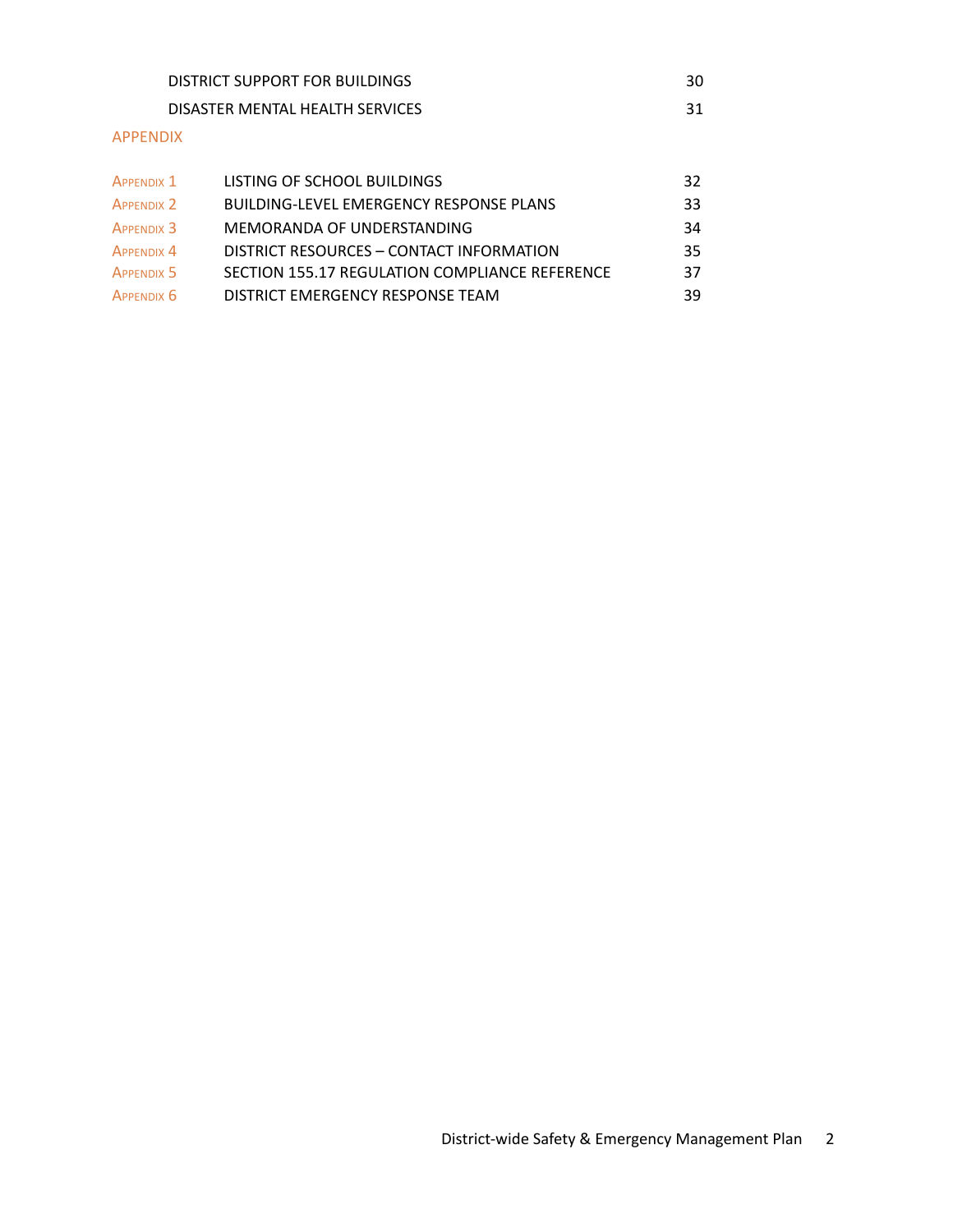| DISTRICT SUPPORT FOR BUILDINGS  | 30 |
|---------------------------------|----|
| DISASTER MENTAL HEALTH SERVICES |    |
| --------                        |    |

## APPENDIX

| <b>APPENDIX 1</b> | LISTING OF SCHOOL BUILDINGS                    | 32  |
|-------------------|------------------------------------------------|-----|
| <b>APPENDIX 2</b> | <b>BUILDING-LEVEL EMERGENCY RESPONSE PLANS</b> | 33. |
| <b>APPENDIX 3</b> | MEMORANDA OF UNDERSTANDING                     | 34  |
| <b>APPENDIX 4</b> | DISTRICT RESOURCES - CONTACT INFORMATION       | 35. |
| <b>APPENDIX 5</b> | SECTION 155.17 REGULATION COMPLIANCE REFERENCE | 37  |
| APPENDIX 6        | DISTRICT EMERGENCY RESPONSE TEAM               | 39  |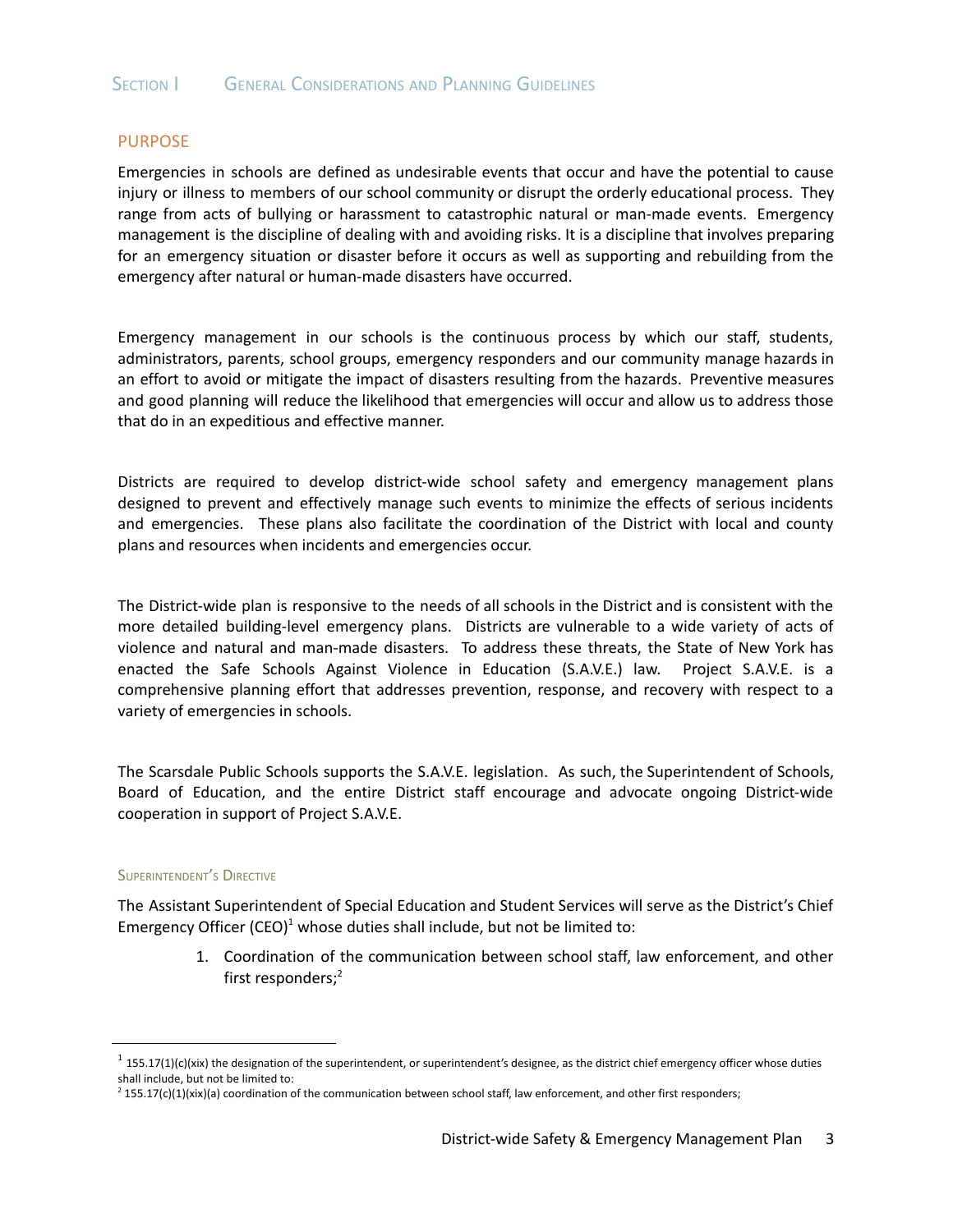## PURPOSE

Emergencies in schools are defined as undesirable events that occur and have the potential to cause injury or illness to members of our school community or disrupt the orderly educational process. They range from acts of bullying or harassment to catastrophic natural or man-made events. Emergency management is the discipline of dealing with and avoiding risks. It is a discipline that involves preparing for an emergency situation or disaster before it occurs as well as supporting and rebuilding from the emergency after natural or human-made disasters have occurred.

Emergency management in our schools is the continuous process by which our staff, students, administrators, parents, school groups, emergency responders and our community manage hazards in an effort to avoid or mitigate the impact of disasters resulting from the hazards. Preventive measures and good planning will reduce the likelihood that emergencies will occur and allow us to address those that do in an expeditious and effective manner.

Districts are required to develop district-wide school safety and emergency management plans designed to prevent and effectively manage such events to minimize the effects of serious incidents and emergencies. These plans also facilitate the coordination of the District with local and county plans and resources when incidents and emergencies occur.

The District-wide plan is responsive to the needs of all schools in the District and is consistent with the more detailed building-level emergency plans. Districts are vulnerable to a wide variety of acts of violence and natural and man-made disasters. To address these threats, the State of New York has enacted the Safe Schools Against Violence in Education (S.A.V.E.) law. Project S.A.V.E. is a comprehensive planning effort that addresses prevention, response, and recovery with respect to a variety of emergencies in schools.

The Scarsdale Public Schools supports the S.A.V.E. legislation. As such, the Superintendent of Schools, Board of Education, and the entire District staff encourage and advocate ongoing District-wide cooperation in support of Project S.A.V.E.

#### SUPERINTENDENT'<sup>S</sup> DIRECTIVE

<span id="page-3-0"></span>The Assistant Superintendent of Special Education and Student Services will serve as the District's Chief Emergency Officer (CEO) $^1$  whose duties shall include, but not be limited to:

> 1. Coordination of the communication between school staff, law enforcement, and other first responders; 2

 $1$  155.17(1)(c)(xix) the designation of the superintendent, or superintendent's designee, as the district chief emergency officer whose duties shall include, but not be limited to:

 $2$  155.17(c)(1)(xix)(a) coordination of the communication between school staff, law enforcement, and other first responders;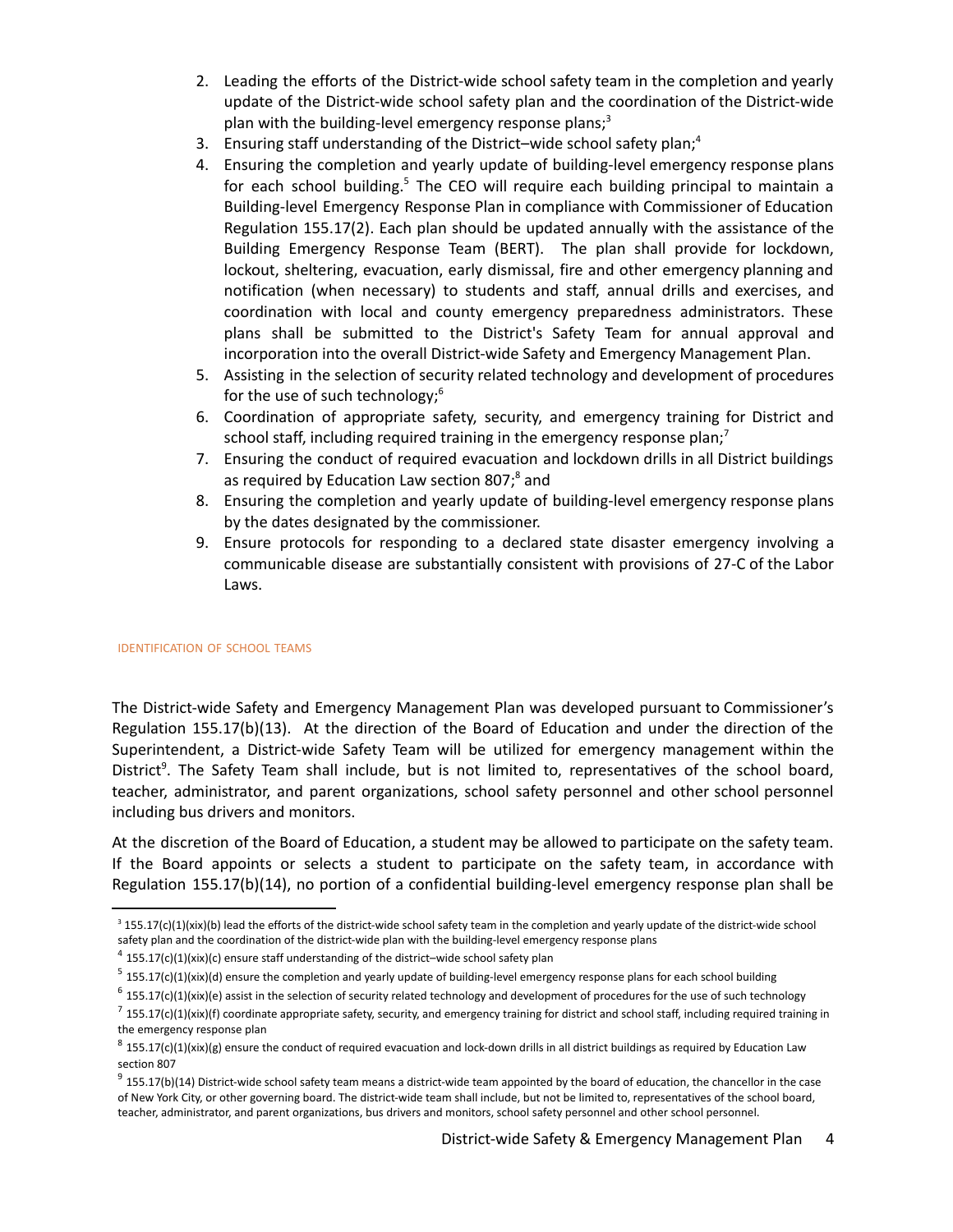- 2. Leading the efforts of the District-wide school safety team in the completion and yearly update of the District-wide school safety plan and the coordination of the District-wide plan with the building-level emergency response plans;<sup>3</sup>
- 3. Ensuring staff understanding of the District-wide school safety plan;<sup>4</sup>
- 4. Ensuring the completion and yearly update of building-level emergency response plans for each school building.<sup>5</sup> The CEO will require each building principal to maintain a Building-level Emergency Response Plan in compliance with Commissioner of Education Regulation 155.17(2). Each plan should be updated annually with the assistance of the Building Emergency Response Team (BERT). The plan shall provide for lockdown, lockout, sheltering, evacuation, early dismissal, fire and other emergency planning and notification (when necessary) to students and staff, annual drills and exercises, and coordination with local and county emergency preparedness administrators. These plans shall be submitted to the District's Safety Team for annual approval and incorporation into the overall District-wide Safety and Emergency Management Plan.
- 5. Assisting in the selection of security related technology and development of procedures for the use of such technology; 6
- 6. Coordination of appropriate safety, security, and emergency training for District and school staff, including required training in the emergency response plan;<sup>7</sup>
- 7. Ensuring the conduct of required evacuation and lockdown drills in all District buildings as required by Education Law section 807;<sup>8</sup> and
- 8. Ensuring the completion and yearly update of building-level emergency response plans by the dates designated by the commissioner.
- 9. Ensure protocols for responding to a declared state disaster emergency involving a communicable disease are substantially consistent with provisions of 27-C of the Labor Laws.

## IDENTIFICATION OF SCHOOL TEAMS

<span id="page-4-0"></span>The District-wide Safety and Emergency Management Plan was developed pursuant to Commissioner's Regulation 155.17(b)(13). At the direction of the Board of Education and under the direction of the Superintendent, a District-wide Safety Team will be utilized for emergency management within the District<sup>9</sup>. The Safety Team shall include, but is not limited to, representatives of the school board, teacher, administrator, and parent organizations, school safety personnel and other school personnel including bus drivers and monitors.

At the discretion of the Board of Education, a student may be allowed to participate on the safety team. If the Board appoints or selects a student to participate on the safety team, in accordance with Regulation 155.17(b)(14), no portion of a confidential building-level emergency response plan shall be

 $3$  155.17(c)(1)(xix)(b) lead the efforts of the district-wide school safety team in the completion and yearly update of the district-wide school safety plan and the coordination of the district-wide plan with the building-level emergency response plans

 $4$  155.17(c)(1)(xix)(c) ensure staff understanding of the district–wide school safety plan

 $5$  155.17(c)(1)(xix)(d) ensure the completion and yearly update of building-level emergency response plans for each school building

 $6$  155.17(c)(1)(xix)(e) assist in the selection of security related technology and development of procedures for the use of such technology

 $^7$  155.17(c)(1)(xix)(f) coordinate appropriate safety, security, and emergency training for district and school staff, including required training in the emergency response plan

 $8$  155.17(c)(1)(xix)(g) ensure the conduct of required evacuation and lock-down drills in all district buildings as required by Education Law section 807

 $9$  155.17(b)(14) District-wide school safety team means a district-wide team appointed by the board of education, the chancellor in the case of New York City, or other governing board. The district-wide team shall include, but not be limited to, representatives of the school board, teacher, administrator, and parent organizations, bus drivers and monitors, school safety personnel and other school personnel.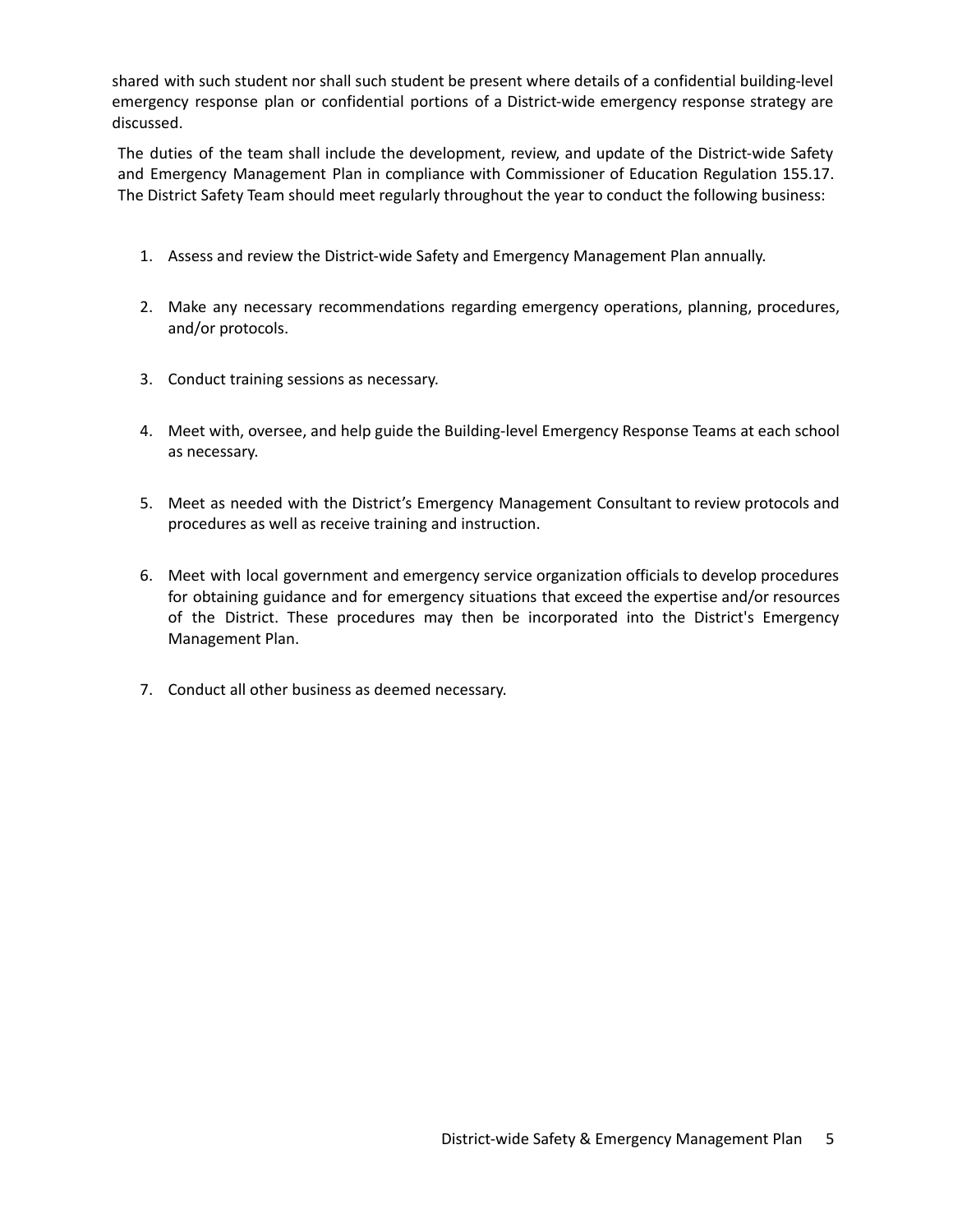shared with such student nor shall such student be present where details of a confidential building-level emergency response plan or confidential portions of a District-wide emergency response strategy are discussed.

The duties of the team shall include the development, review, and update of the District-wide Safety and Emergency Management Plan in compliance with Commissioner of Education Regulation 155.17. The District Safety Team should meet regularly throughout the year to conduct the following business:

- 1. Assess and review the District-wide Safety and Emergency Management Plan annually.
- 2. Make any necessary recommendations regarding emergency operations, planning, procedures, and/or protocols.
- 3. Conduct training sessions as necessary.
- 4. Meet with, oversee, and help guide the Building-level Emergency Response Teams at each school as necessary.
- 5. Meet as needed with the District's Emergency Management Consultant to review protocols and procedures as well as receive training and instruction.
- 6. Meet with local government and emergency service organization officials to develop procedures for obtaining guidance and for emergency situations that exceed the expertise and/or resources of the District. These procedures may then be incorporated into the District's Emergency Management Plan.
- 7. Conduct all other business as deemed necessary.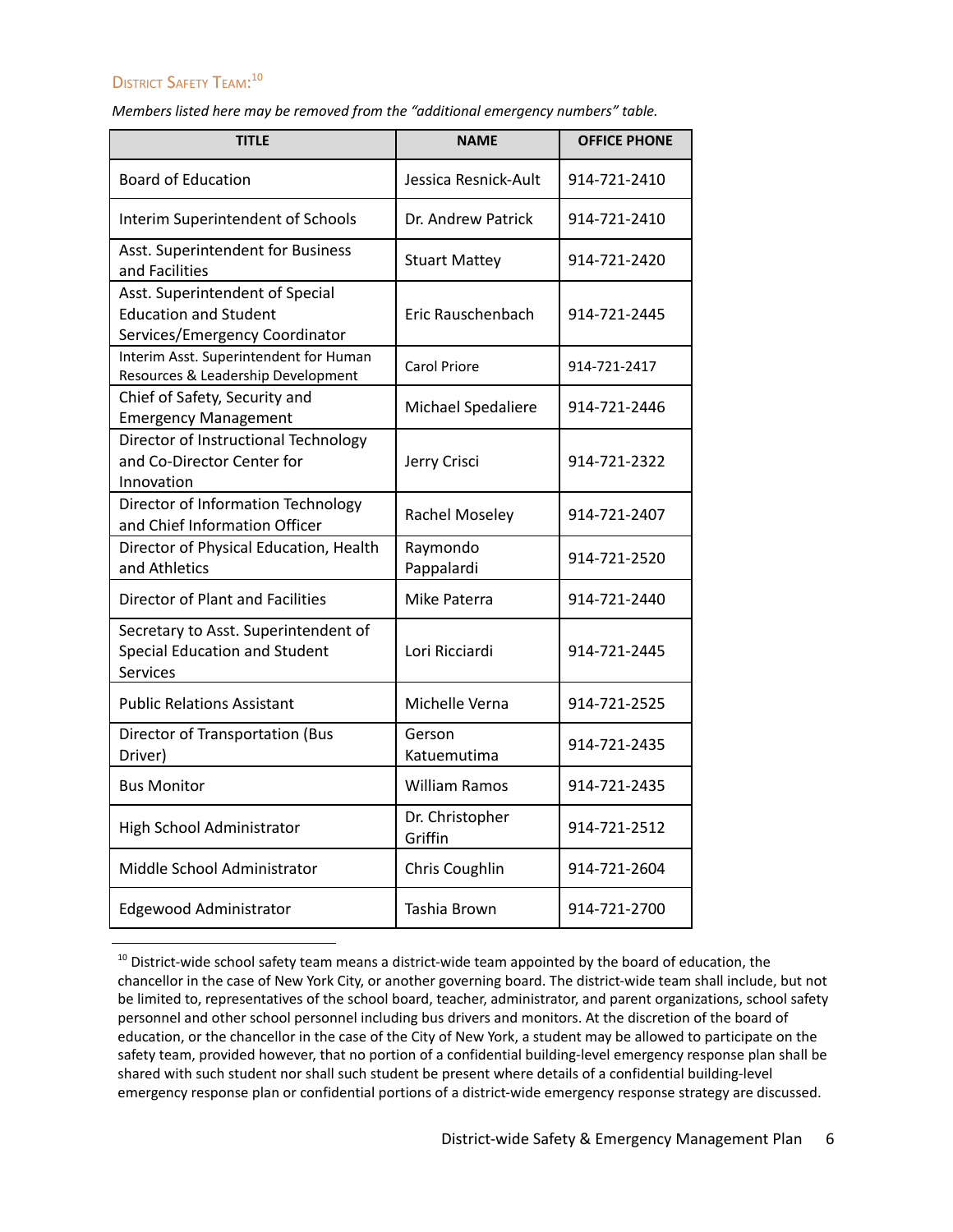## DISTRICT SAFETY TEAM:<sup>10</sup>

*Members listed here may be removed from the "additional emergency numbers" table.*

| <b>TITLE</b>                                                                                      | <b>NAME</b>                | <b>OFFICE PHONE</b> |
|---------------------------------------------------------------------------------------------------|----------------------------|---------------------|
| <b>Board of Education</b>                                                                         | Jessica Resnick-Ault       | 914-721-2410        |
| Interim Superintendent of Schools                                                                 | Dr. Andrew Patrick         | 914-721-2410        |
| Asst. Superintendent for Business<br>and Facilities                                               | <b>Stuart Mattey</b>       | 914-721-2420        |
| Asst. Superintendent of Special<br><b>Education and Student</b><br>Services/Emergency Coordinator | Eric Rauschenbach          | 914-721-2445        |
| Interim Asst. Superintendent for Human<br>Resources & Leadership Development                      | Carol Priore               | 914-721-2417        |
| Chief of Safety, Security and<br><b>Emergency Management</b>                                      | Michael Spedaliere         | 914-721-2446        |
| Director of Instructional Technology<br>and Co-Director Center for<br>Innovation                  | Jerry Crisci               | 914-721-2322        |
| Director of Information Technology<br>and Chief Information Officer                               | Rachel Moseley             | 914-721-2407        |
| Director of Physical Education, Health<br>and Athletics                                           | Raymondo<br>Pappalardi     | 914-721-2520        |
| Director of Plant and Facilities                                                                  | Mike Paterra               | 914-721-2440        |
| Secretary to Asst. Superintendent of<br>Special Education and Student<br>Services                 | Lori Ricciardi             | 914-721-2445        |
| <b>Public Relations Assistant</b>                                                                 | Michelle Verna             | 914-721-2525        |
| Director of Transportation (Bus<br>Driver)                                                        | Gerson<br>Katuemutima      | 914-721-2435        |
| <b>Bus Monitor</b>                                                                                | <b>William Ramos</b>       | 914-721-2435        |
| High School Administrator                                                                         | Dr. Christopher<br>Griffin | 914-721-2512        |
| Middle School Administrator                                                                       | Chris Coughlin             | 914-721-2604        |
| Edgewood Administrator                                                                            | Tashia Brown               | 914-721-2700        |

<sup>&</sup>lt;sup>10</sup> District-wide school safety team means a district-wide team appointed by the board of education, the chancellor in the case of New York City, or another governing board. The district-wide team shall include, but not be limited to, representatives of the school board, teacher, administrator, and parent organizations, school safety personnel and other school personnel including bus drivers and monitors. At the discretion of the board of education, or the chancellor in the case of the City of New York, a student may be allowed to participate on the safety team, provided however, that no portion of a confidential building-level emergency response plan shall be shared with such student nor shall such student be present where details of a confidential building-level emergency response plan or confidential portions of a district-wide emergency response strategy are discussed.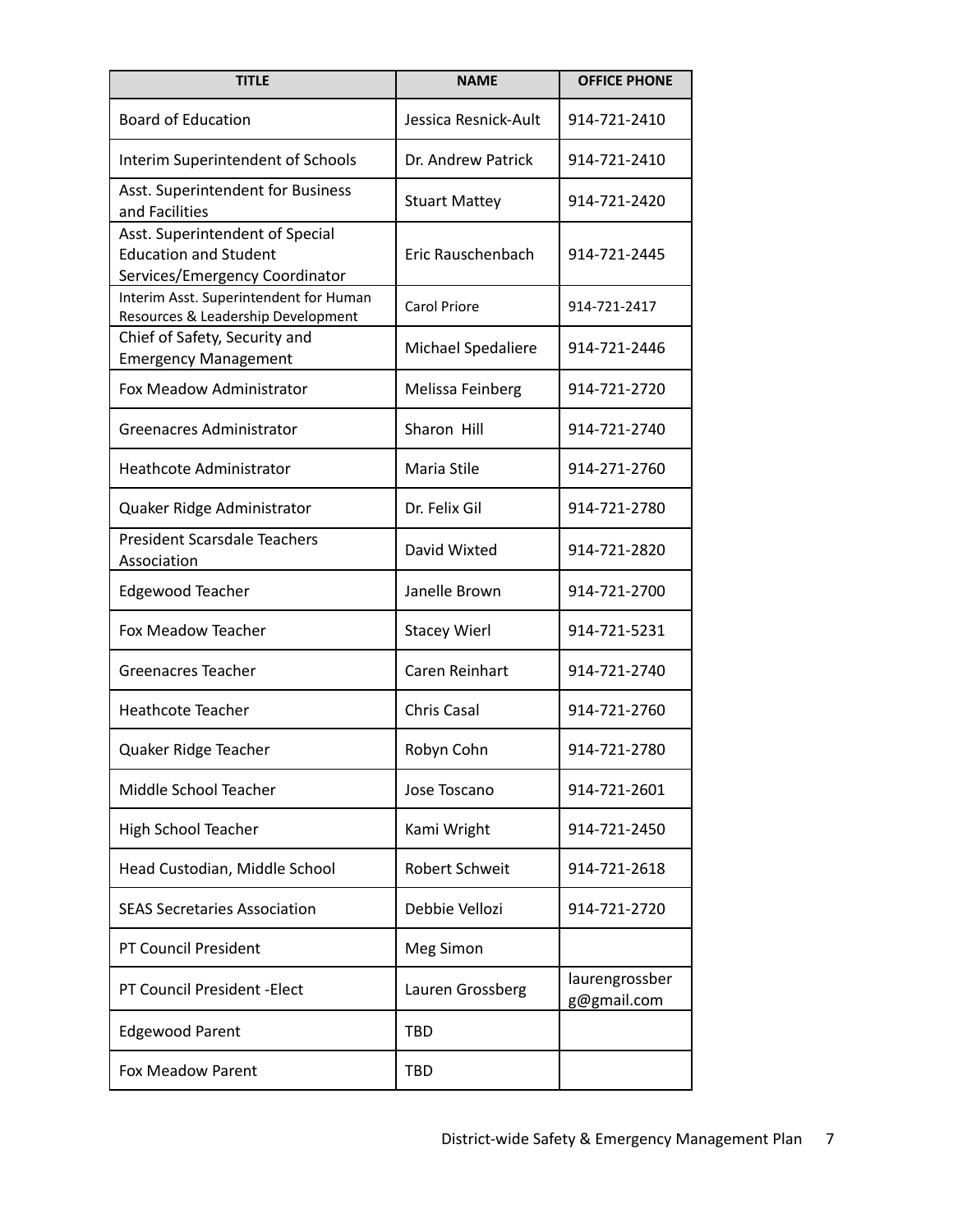| <b>TITLE</b>                                                                                      | <b>NAME</b>          | <b>OFFICE PHONE</b>           |
|---------------------------------------------------------------------------------------------------|----------------------|-------------------------------|
| <b>Board of Education</b>                                                                         | Jessica Resnick-Ault | 914-721-2410                  |
| Interim Superintendent of Schools                                                                 | Dr. Andrew Patrick   | 914-721-2410                  |
| Asst. Superintendent for Business<br>and Facilities                                               | <b>Stuart Mattey</b> | 914-721-2420                  |
| Asst. Superintendent of Special<br><b>Education and Student</b><br>Services/Emergency Coordinator | Eric Rauschenbach    | 914-721-2445                  |
| Interim Asst. Superintendent for Human<br>Resources & Leadership Development                      | <b>Carol Priore</b>  | 914-721-2417                  |
| Chief of Safety, Security and<br><b>Emergency Management</b>                                      | Michael Spedaliere   | 914-721-2446                  |
| Fox Meadow Administrator                                                                          | Melissa Feinberg     | 914-721-2720                  |
| <b>Greenacres Administrator</b>                                                                   | Sharon Hill          | 914-721-2740                  |
| <b>Heathcote Administrator</b>                                                                    | Maria Stile          | 914-271-2760                  |
| Quaker Ridge Administrator                                                                        | Dr. Felix Gil        | 914-721-2780                  |
| <b>President Scarsdale Teachers</b><br>Association                                                | David Wixted         | 914-721-2820                  |
| <b>Edgewood Teacher</b>                                                                           | Janelle Brown        | 914-721-2700                  |
| Fox Meadow Teacher                                                                                | <b>Stacey Wierl</b>  | 914-721-5231                  |
| Greenacres Teacher                                                                                | Caren Reinhart       | 914-721-2740                  |
| <b>Heathcote Teacher</b>                                                                          | <b>Chris Casal</b>   | 914-721-2760                  |
| Quaker Ridge Teacher                                                                              | Robyn Cohn           | 914-721-2780                  |
| Middle School Teacher                                                                             | Jose Toscano         | 914-721-2601                  |
| High School Teacher                                                                               | Kami Wright          | 914-721-2450                  |
| Head Custodian, Middle School                                                                     | Robert Schweit       | 914-721-2618                  |
| <b>SEAS Secretaries Association</b>                                                               | Debbie Vellozi       | 914-721-2720                  |
| <b>PT Council President</b>                                                                       | Meg Simon            |                               |
| <b>PT Council President - Elect</b>                                                               | Lauren Grossberg     | laurengrossber<br>g@gmail.com |
| <b>Edgewood Parent</b>                                                                            | <b>TBD</b>           |                               |
| <b>Fox Meadow Parent</b>                                                                          | <b>TBD</b>           |                               |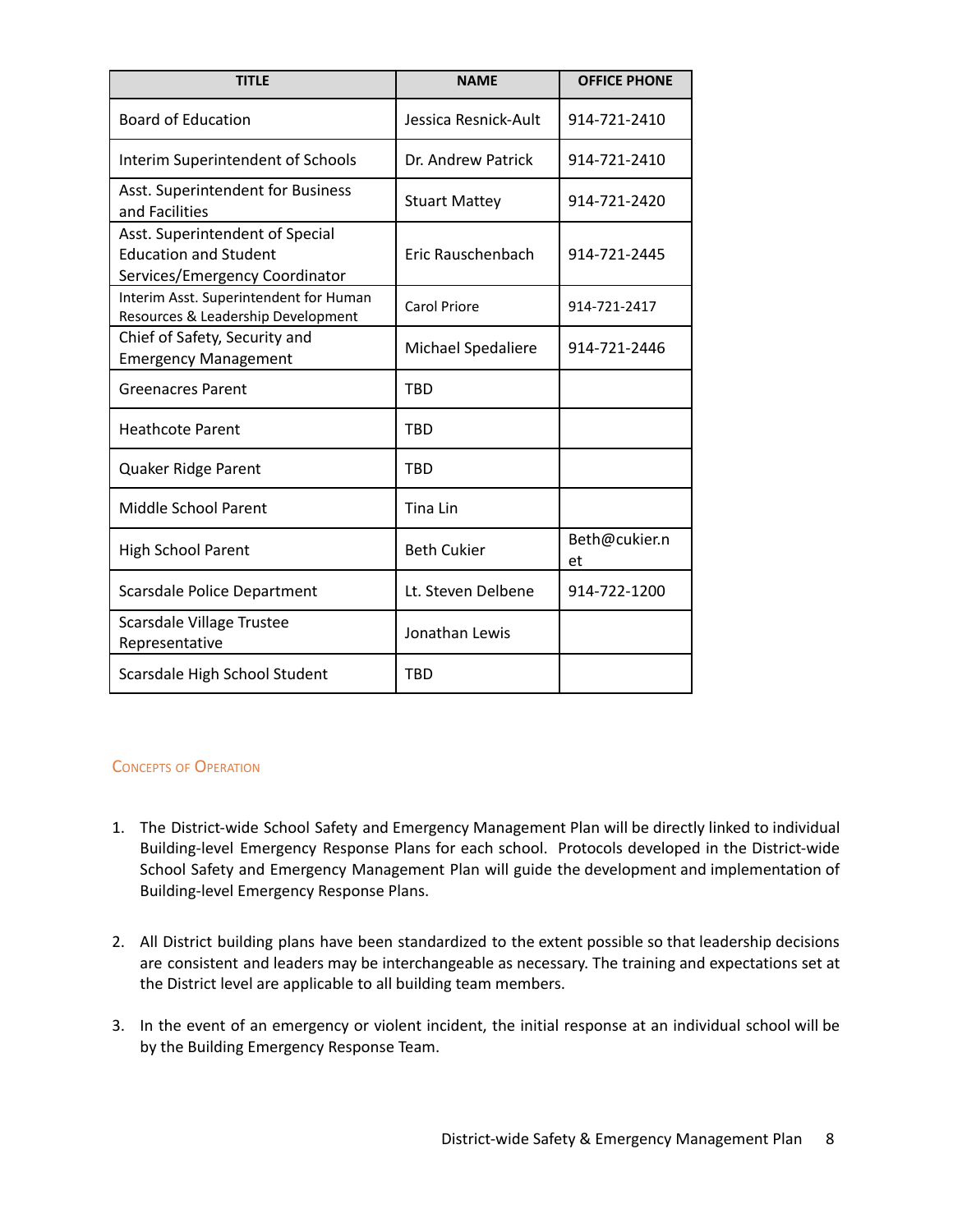| <b>TITLE</b>                                                                                      | <b>NAME</b>          | <b>OFFICE PHONE</b> |
|---------------------------------------------------------------------------------------------------|----------------------|---------------------|
| <b>Board of Education</b>                                                                         | Jessica Resnick-Ault | 914-721-2410        |
| Interim Superintendent of Schools                                                                 | Dr. Andrew Patrick   | 914-721-2410        |
| Asst. Superintendent for Business<br>and Facilities                                               | <b>Stuart Mattey</b> | 914-721-2420        |
| Asst. Superintendent of Special<br><b>Education and Student</b><br>Services/Emergency Coordinator | Eric Rauschenbach    | 914-721-2445        |
| Interim Asst. Superintendent for Human<br>Resources & Leadership Development                      | Carol Priore         | 914-721-2417        |
| Chief of Safety, Security and<br><b>Emergency Management</b>                                      | Michael Spedaliere   | 914-721-2446        |
| <b>Greenacres Parent</b>                                                                          | <b>TBD</b>           |                     |
| <b>Heathcote Parent</b>                                                                           | TBD                  |                     |
| Quaker Ridge Parent                                                                               | <b>TBD</b>           |                     |
| <b>Middle School Parent</b>                                                                       | Tina Lin             |                     |
| <b>High School Parent</b>                                                                         | <b>Beth Cukier</b>   | Beth@cukier.n<br>et |
| <b>Scarsdale Police Department</b>                                                                | Lt. Steven Delbene   | 914-722-1200        |
| Scarsdale Village Trustee<br>Representative                                                       | Jonathan Lewis       |                     |
| Scarsdale High School Student                                                                     | <b>TRD</b>           |                     |

## CONCEPTS OF OPERATION

- 1. The District-wide School Safety and Emergency Management Plan will be directly linked to individual Building-level Emergency Response Plans for each school. Protocols developed in the District-wide School Safety and Emergency Management Plan will guide the development and implementation of Building-level Emergency Response Plans.
- 2. All District building plans have been standardized to the extent possible so that leadership decisions are consistent and leaders may be interchangeable as necessary. The training and expectations set at the District level are applicable to all building team members.
- 3. In the event of an emergency or violent incident, the initial response at an individual school will be by the Building Emergency Response Team.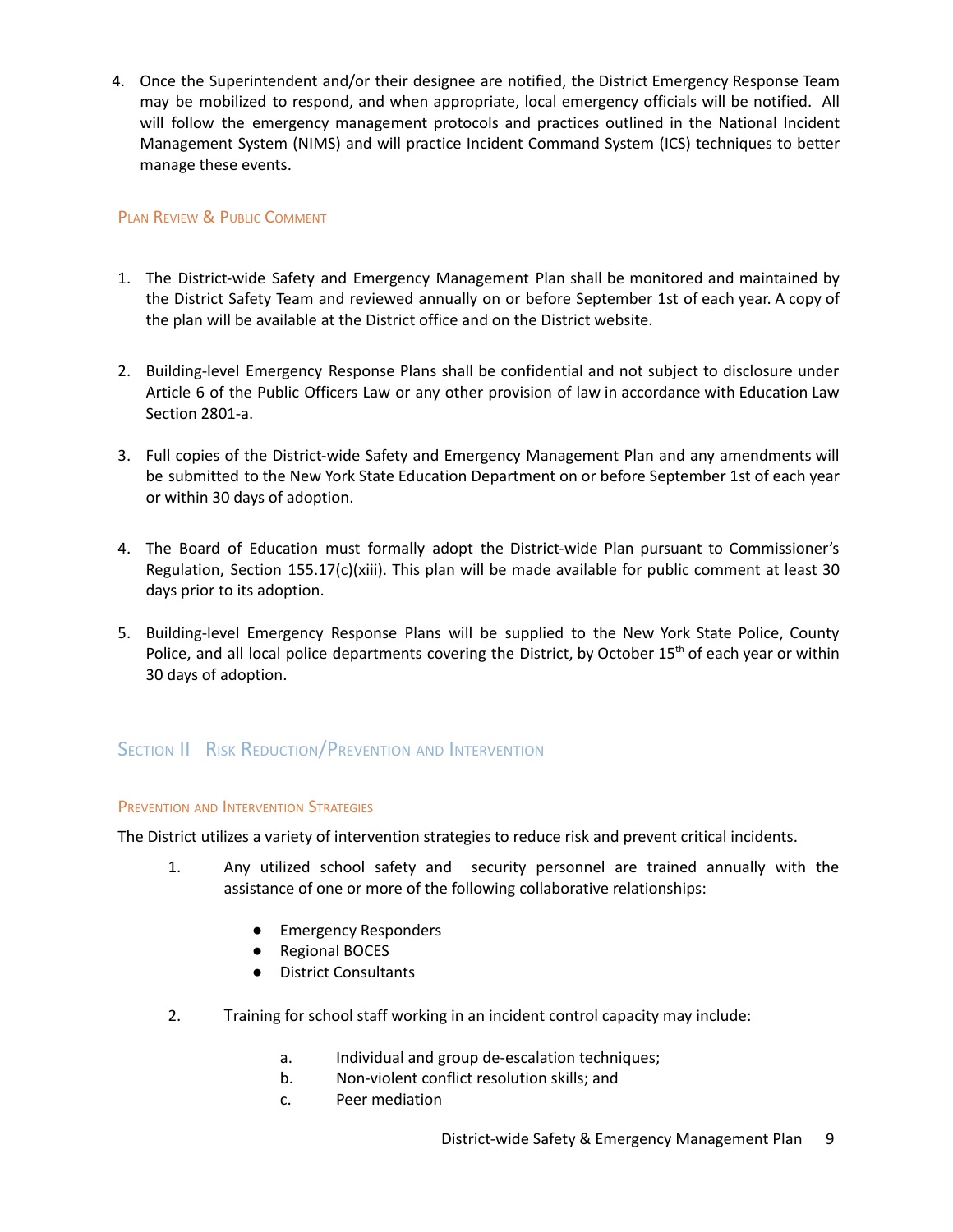4. Once the Superintendent and/or their designee are notified, the District Emergency Response Team may be mobilized to respond, and when appropriate, local emergency officials will be notified. All will follow the emergency management protocols and practices outlined in the National Incident Management System (NIMS) and will practice Incident Command System (ICS) techniques to better manage these events.

## PLAN REVIEW & PUBLIC COMMENT

- 1. The District-wide Safety and Emergency Management Plan shall be monitored and maintained by the District Safety Team and reviewed annually on or before September 1st of each year. A copy of the plan will be available at the District office and on the District website.
- 2. Building-level Emergency Response Plans shall be confidential and not subject to disclosure under Article 6 of the Public Officers Law or any other provision of law in accordance with Education Law Section 2801-a.
- 3. Full copies of the District-wide Safety and Emergency Management Plan and any amendments will be submitted to the New York State Education Department on or before September 1st of each year or within 30 days of adoption.
- 4. The Board of Education must formally adopt the District-wide Plan pursuant to Commissioner's Regulation, Section 155.17(c)(xiii). This plan will be made available for public comment at least 30 days prior to its adoption.
- 5. Building-level Emergency Response Plans will be supplied to the New York State Police, County Police, and all local police departments covering the District, by October 15<sup>th</sup> of each year or within 30 days of adoption.

## SECTION II RISK REDUCTION/PREVENTION AND INTERVENTION

## <span id="page-9-0"></span>PREVENTION AND INTERVENTION STRATEGIES

The District utilizes a variety of intervention strategies to reduce risk and prevent critical incidents.

- 1. Any utilized school safety and security personnel are trained annually with the assistance of one or more of the following collaborative relationships:
	- Emergency Responders
	- Regional BOCES
	- District Consultants
- 2. Training for school staff working in an incident control capacity may include:
	- a. Individual and group de-escalation techniques;
	- b. Non-violent conflict resolution skills; and
	- c. Peer mediation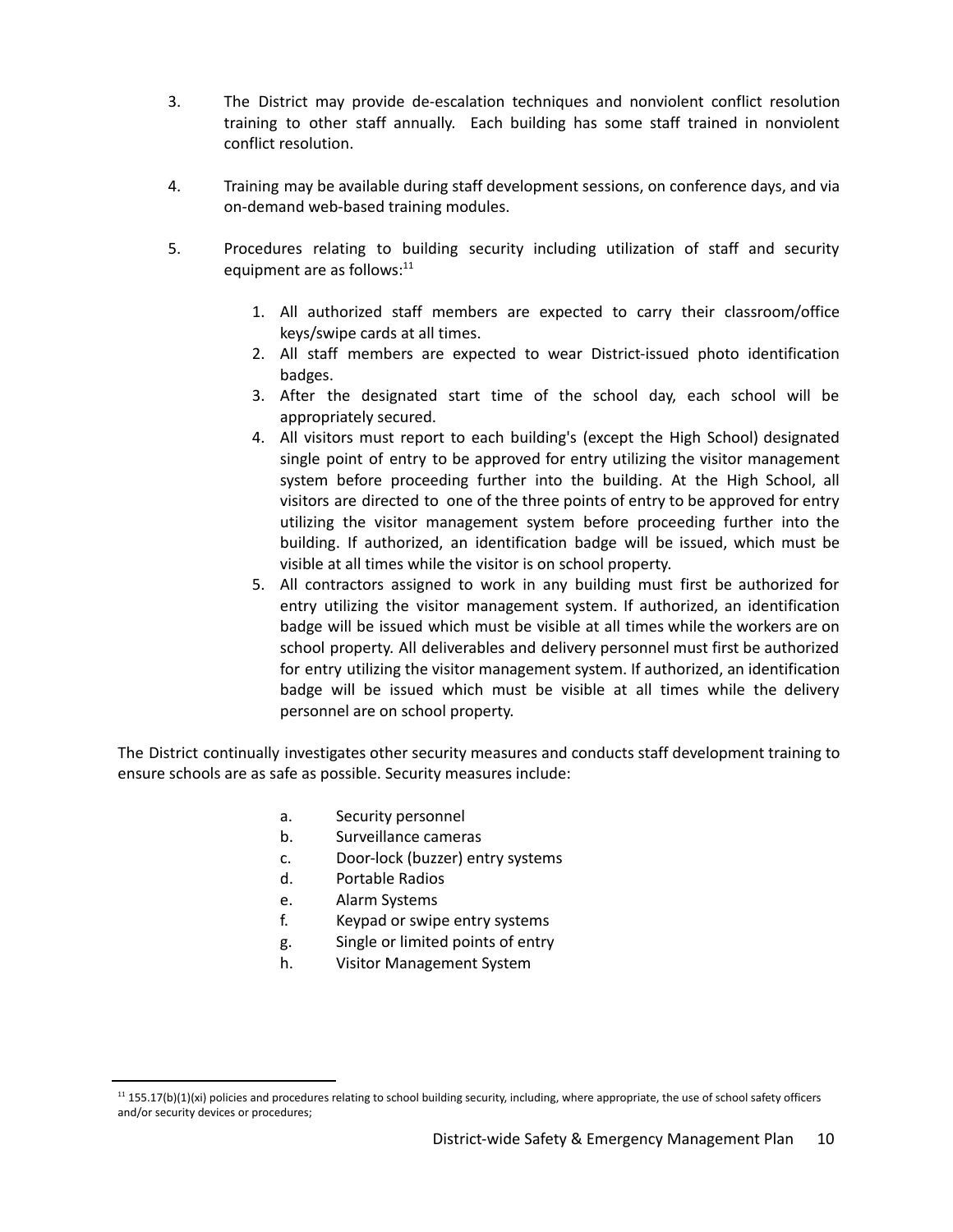- 3. The District may provide de-escalation techniques and nonviolent conflict resolution training to other staff annually. Each building has some staff trained in nonviolent conflict resolution.
- 4. Training may be available during staff development sessions, on conference days, and via on-demand web-based training modules.
- <span id="page-10-0"></span>5. Procedures relating to building security including utilization of staff and security equipment are as follows:<sup>11</sup>
	- 1. All authorized staff members are expected to carry their classroom/office keys/swipe cards at all times.
	- 2. All staff members are expected to wear District-issued photo identification badges.
	- 3. After the designated start time of the school day, each school will be appropriately secured.
	- 4. All visitors must report to each building's (except the High School) designated single point of entry to be approved for entry utilizing the visitor management system before proceeding further into the building. At the High School, all visitors are directed to one of the three points of entry to be approved for entry utilizing the visitor management system before proceeding further into the building. If authorized, an identification badge will be issued, which must be visible at all times while the visitor is on school property.
	- 5. All contractors assigned to work in any building must first be authorized for entry utilizing the visitor management system. If authorized, an identification badge will be issued which must be visible at all times while the workers are on school property. All deliverables and delivery personnel must first be authorized for entry utilizing the visitor management system. If authorized, an identification badge will be issued which must be visible at all times while the delivery personnel are on school property.

The District continually investigates other security measures and conducts staff development training to ensure schools are as safe as possible. Security measures include:

- a. Security personnel
- b. Surveillance cameras
- c. Door-lock (buzzer) entry systems
- d. Portable Radios
- e. Alarm Systems
- f. Keypad or swipe entry systems
- g. Single or limited points of entry
- h. Visitor Management System

 $11$  155.17(b)(1)(xi) policies and procedures relating to school building security, including, where appropriate, the use of school safety officers and/or security devices or procedures;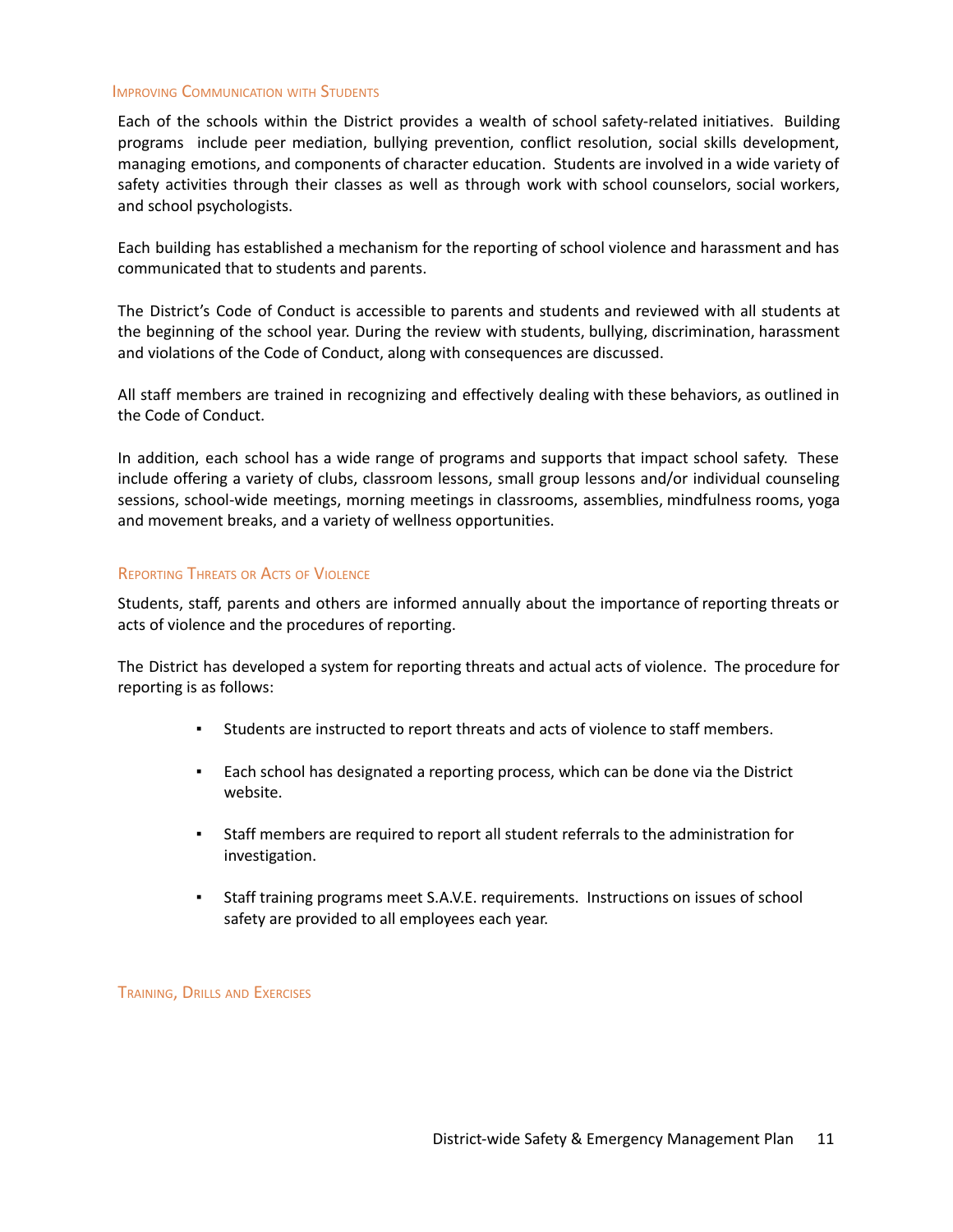#### IMPROVING COMMUNICATION WITH STUDENTS

Each of the schools within the District provides a wealth of school safety-related initiatives. Building programs include peer mediation, bullying prevention, conflict resolution, social skills development, managing emotions, and components of character education. Students are involved in a wide variety of safety activities through their classes as well as through work with school counselors, social workers, and school psychologists.

Each building has established a mechanism for the reporting of school violence and harassment and has communicated that to students and parents.

The District's Code of Conduct is accessible to parents and students and reviewed with all students at the beginning of the school year. During the review with students, bullying, discrimination, harassment and violations of the Code of Conduct, along with consequences are discussed.

All staff members are trained in recognizing and effectively dealing with these behaviors, as outlined in the Code of Conduct.

In addition, each school has a wide range of programs and supports that impact school safety. These include offering a variety of clubs, classroom lessons, small group lessons and/or individual counseling sessions, school-wide meetings, morning meetings in classrooms, assemblies, mindfulness rooms, yoga and movement breaks, and a variety of wellness opportunities.

## REPORTING THREATS OR ACTS OF VIOLENCE

Students, staff, parents and others are informed annually about the importance of reporting threats or acts of violence and the procedures of reporting.

The District has developed a system for reporting threats and actual acts of violence. The procedure for reporting is as follows:

- Students are instructed to report threats and acts of violence to staff members.
- Each school has designated a reporting process, which can be done via the District website.
- Staff members are required to report all student referrals to the administration for investigation.
- Staff training programs meet S.A.V.E. requirements. Instructions on issues of school safety are provided to all employees each year.

TRAINING, DRILLS AND EXERCISES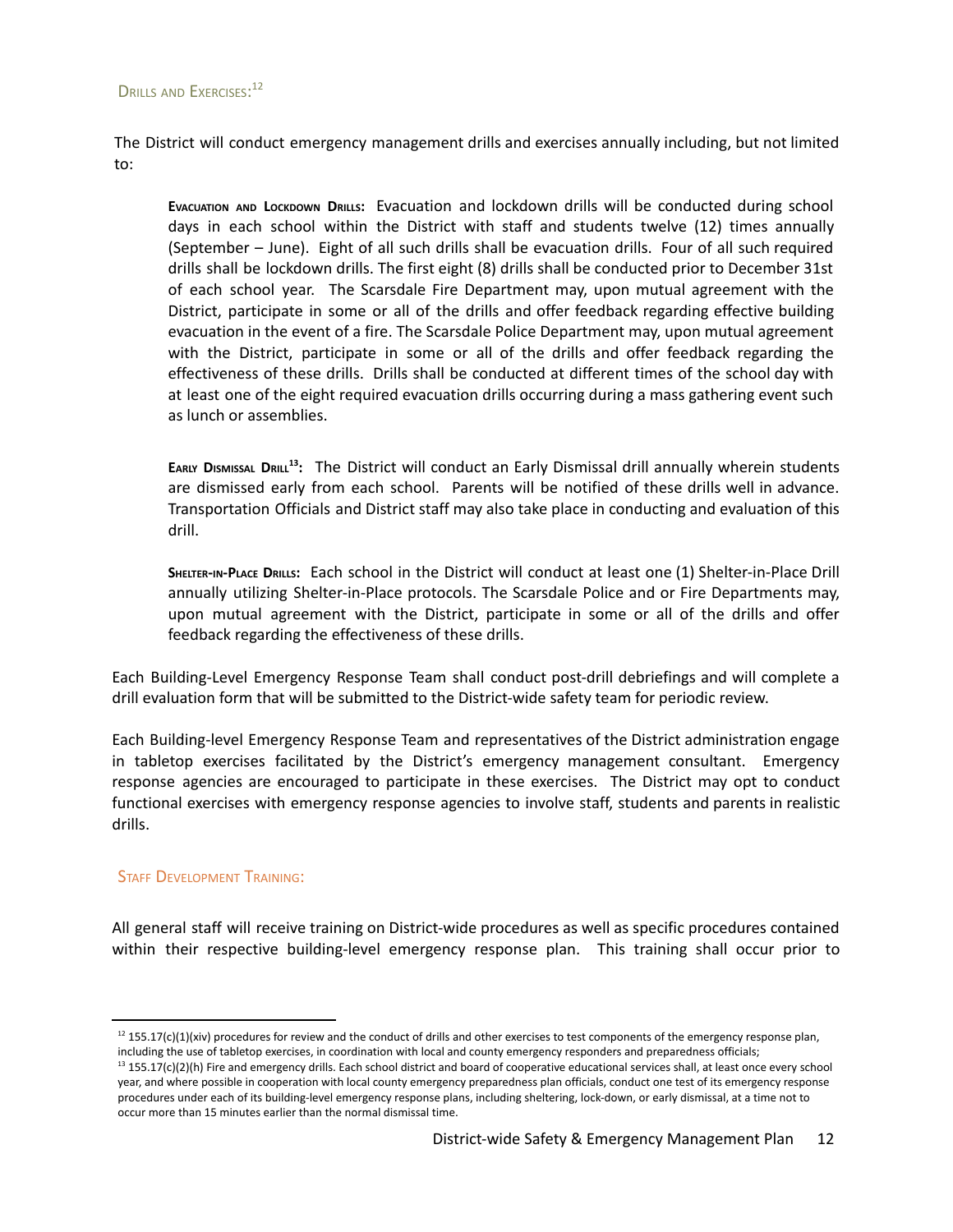## <span id="page-12-1"></span>DRILLS AND EXERCISES:<sup>12</sup>

The District will conduct emergency management drills and exercises annually including, but not limited to:

**EVACUATION AND LOCKDOWN DRILLS:** Evacuation and lockdown drills will be conducted during school days in each school within the District with staff and students twelve (12) times annually (September – June). Eight of all such drills shall be evacuation drills. Four of all such required drills shall be lockdown drills. The first eight (8) drills shall be conducted prior to December 31st of each school year. The Scarsdale Fire Department may, upon mutual agreement with the District, participate in some or all of the drills and offer feedback regarding effective building evacuation in the event of a fire. The Scarsdale Police Department may, upon mutual agreement with the District, participate in some or all of the drills and offer feedback regarding the effectiveness of these drills. Drills shall be conducted at different times of the school day with at least one of the eight required evacuation drills occurring during a mass gathering event such as lunch or assemblies.

<span id="page-12-2"></span>EARLY DISMISSAL DRILL<sup>13</sup>: The District will conduct an Early Dismissal drill annually wherein students are dismissed early from each school. Parents will be notified of these drills well in advance. Transportation Officials and District staff may also take place in conducting and evaluation of this drill.

**SHELTER-IN-PLACE DRILLS:** Each school in the District will conduct at least one (1) Shelter-in-Place Drill annually utilizing Shelter-in-Place protocols. The Scarsdale Police and or Fire Departments may, upon mutual agreement with the District, participate in some or all of the drills and offer feedback regarding the effectiveness of these drills.

Each Building-Level Emergency Response Team shall conduct post-drill debriefings and will complete a drill evaluation form that will be submitted to the District-wide safety team for periodic review.

Each Building-level Emergency Response Team and representatives of the District administration engage in tabletop exercises facilitated by the District's emergency management consultant. Emergency response agencies are encouraged to participate in these exercises. The District may opt to conduct functional exercises with emergency response agencies to involve staff, students and parents in realistic drills.

## <span id="page-12-0"></span>**STAFF DEVELOPMENT TRAINING:**

All general staff will receive training on District-wide procedures as well as specific procedures contained within their respective building-level emergency response plan. This training shall occur prior to

 $12$  155.17(c)(1)(xiv) procedures for review and the conduct of drills and other exercises to test components of the emergency response plan, including the use of tabletop exercises, in coordination with local and county emergency responders and preparedness officials;

<sup>&</sup>lt;sup>13</sup> 155.17(c)(2)(h) Fire and emergency drills. Each school district and board of cooperative educational services shall, at least once every school year, and where possible in cooperation with local county emergency preparedness plan officials, conduct one test of its emergency response procedures under each of its building-level emergency response plans, including sheltering, lock-down, or early dismissal, at a time not to occur more than 15 minutes earlier than the normal dismissal time.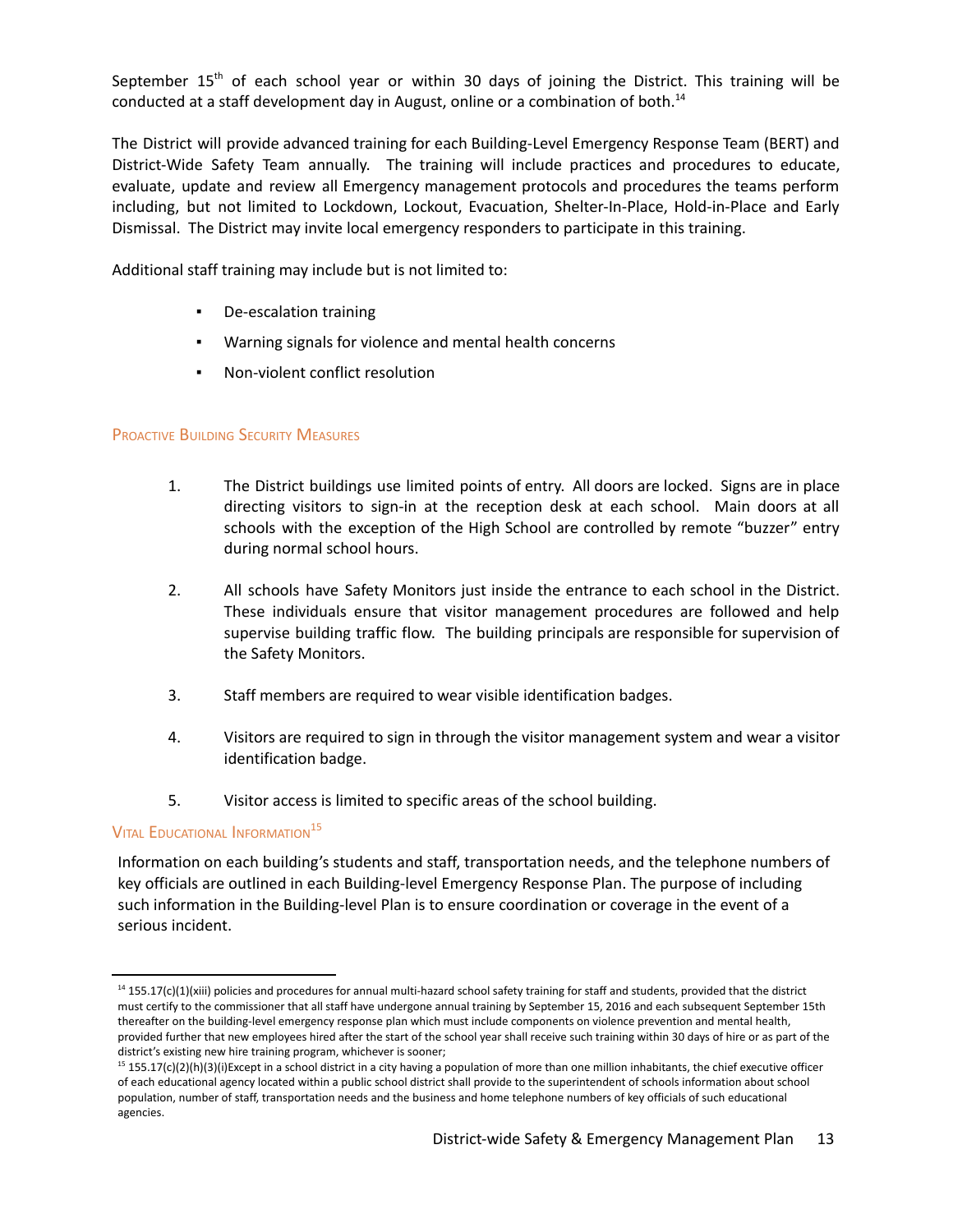September 15<sup>th</sup> of each school year or within 30 days of joining the District. This training will be conducted at a staff development day in August, online or a combination of both. 14

The District will provide advanced training for each Building-Level Emergency Response Team (BERT) and District-Wide Safety Team annually. The training will include practices and procedures to educate, evaluate, update and review all Emergency management protocols and procedures the teams perform including, but not limited to Lockdown, Lockout, Evacuation, Shelter-In-Place, Hold-in-Place and Early Dismissal. The District may invite local emergency responders to participate in this training.

Additional staff training may include but is not limited to:

- De-escalation training
- Warning signals for violence and mental health concerns
- Non-violent conflict resolution

## PROACTIVE BUILDING SECURITY MEASURES

- 1. The District buildings use limited points of entry. All doors are locked. Signs are in place directing visitors to sign-in at the reception desk at each school. Main doors at all schools with the exception of the High School are controlled by remote "buzzer" entry during normal school hours.
- 2. All schools have Safety Monitors just inside the entrance to each school in the District. These individuals ensure that visitor management procedures are followed and help supervise building traffic flow. The building principals are responsible for supervision of the Safety Monitors.
- 3. Staff members are required to wear visible identification badges.
- 4. Visitors are required to sign in through the visitor management system and wear a visitor identification badge.
- 5. Visitor access is limited to specific areas of the school building.

## <span id="page-13-0"></span>Vital Educational Information<sup>15</sup>

Information on each building's students and staff, transportation needs, and the telephone numbers of key officials are outlined in each Building-level Emergency Response Plan. The purpose of including such information in the Building-level Plan is to ensure coordination or coverage in the event of a serious incident.

<sup>&</sup>lt;sup>14</sup> 155.17(c)(1)(xiii) policies and procedures for annual multi-hazard school safety training for staff and students, provided that the district must certify to the commissioner that all staff have undergone annual training by September 15, 2016 and each subsequent September 15th thereafter on the building-level emergency response plan which must include components on violence prevention and mental health, provided further that new employees hired after the start of the school year shall receive such training within 30 days of hire or as part of the district's existing new hire training program, whichever is sooner;

 $15$  155.17(c)(2)(h)(3)(i)Except in a school district in a city having a population of more than one million inhabitants, the chief executive officer of each educational agency located within a public school district shall provide to the superintendent of schools information about school population, number of staff, transportation needs and the business and home telephone numbers of key officials of such educational agencies.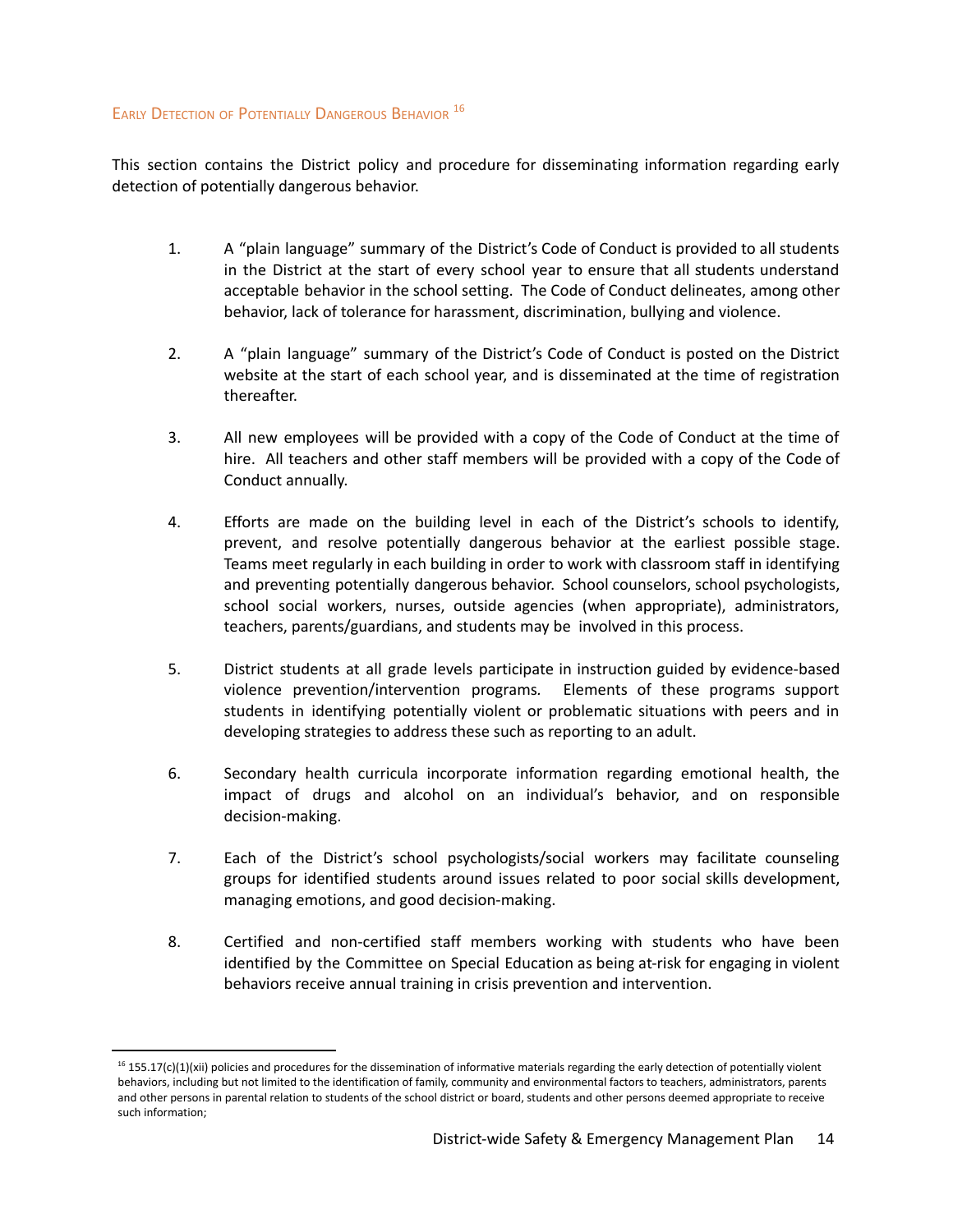## <span id="page-14-0"></span>EARLY DETECTION OF POTENTIALLY DANGEROUS BEHAVIOR<sup>16</sup>

This section contains the District policy and procedure for disseminating information regarding early detection of potentially dangerous behavior.

- 1. A "plain language" summary of the District's Code of Conduct is provided to all students in the District at the start of every school year to ensure that all students understand acceptable behavior in the school setting. The Code of Conduct delineates, among other behavior, lack of tolerance for harassment, discrimination, bullying and violence.
- 2. A "plain language" summary of the District's Code of Conduct is posted on the District website at the start of each school year, and is disseminated at the time of registration thereafter.
- 3. All new employees will be provided with a copy of the Code of Conduct at the time of hire. All teachers and other staff members will be provided with a copy of the Code of Conduct annually.
- 4. Efforts are made on the building level in each of the District's schools to identify, prevent, and resolve potentially dangerous behavior at the earliest possible stage. Teams meet regularly in each building in order to work with classroom staff in identifying and preventing potentially dangerous behavior. School counselors, school psychologists, school social workers, nurses, outside agencies (when appropriate), administrators, teachers, parents/guardians, and students may be involved in this process.
- 5. District students at all grade levels participate in instruction guided by evidence-based violence prevention/intervention programs*.* Elements of these programs support students in identifying potentially violent or problematic situations with peers and in developing strategies to address these such as reporting to an adult.
- 6. Secondary health curricula incorporate information regarding emotional health, the impact of drugs and alcohol on an individual's behavior, and on responsible decision-making.
- 7. Each of the District's school psychologists/social workers may facilitate counseling groups for identified students around issues related to poor social skills development, managing emotions, and good decision-making.
- 8. Certified and non-certified staff members working with students who have been identified by the Committee on Special Education as being at-risk for engaging in violent behaviors receive annual training in crisis prevention and intervention.

 $16$  155.17(c)(1)(xii) policies and procedures for the dissemination of informative materials regarding the early detection of potentially violent behaviors, including but not limited to the identification of family, community and environmental factors to teachers, administrators, parents and other persons in parental relation to students of the school district or board, students and other persons deemed appropriate to receive such information;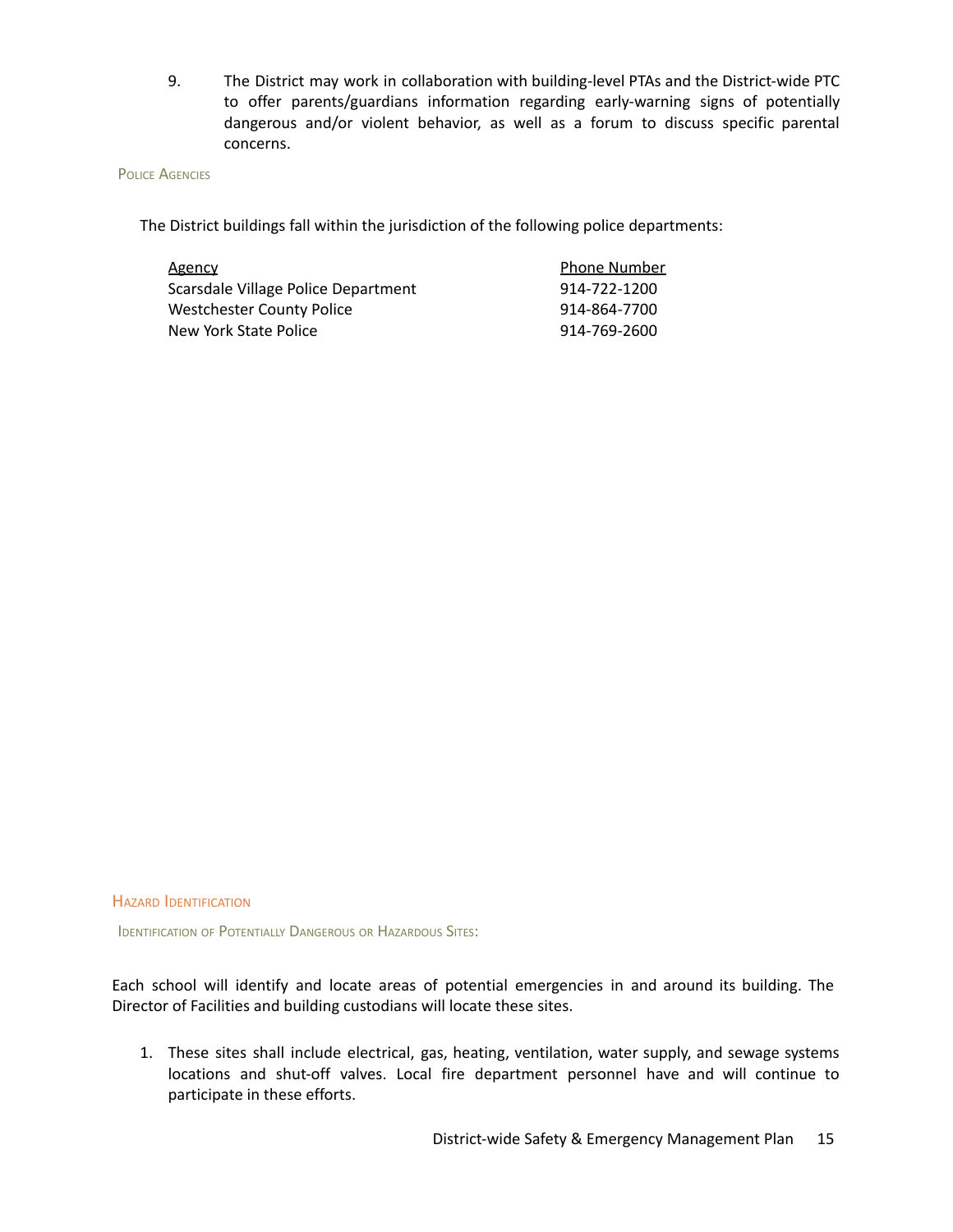9. The District may work in collaboration with building-level PTAs and the District-wide PTC to offer parents/guardians information regarding early-warning signs of potentially dangerous and/or violent behavior, as well as a forum to discuss specific parental concerns.

#### **POLICE AGENCIES**

The District buildings fall within the jurisdiction of the following police departments:

| Agency                              | <b>Phone Number</b> |
|-------------------------------------|---------------------|
| Scarsdale Village Police Department | 914-722-1200        |
| Westchester County Police           | 914-864-7700        |
| New York State Police               | 914-769-2600        |

HAZARD IDENTIFICATION

**IDENTIFICATION OF POTENTIALLY DANGEROUS OR HAZARDOUS SITES:** 

Each school will identify and locate areas of potential emergencies in and around its building. The Director of Facilities and building custodians will locate these sites.

1. These sites shall include electrical, gas, heating, ventilation, water supply, and sewage systems locations and shut-off valves. Local fire department personnel have and will continue to participate in these efforts.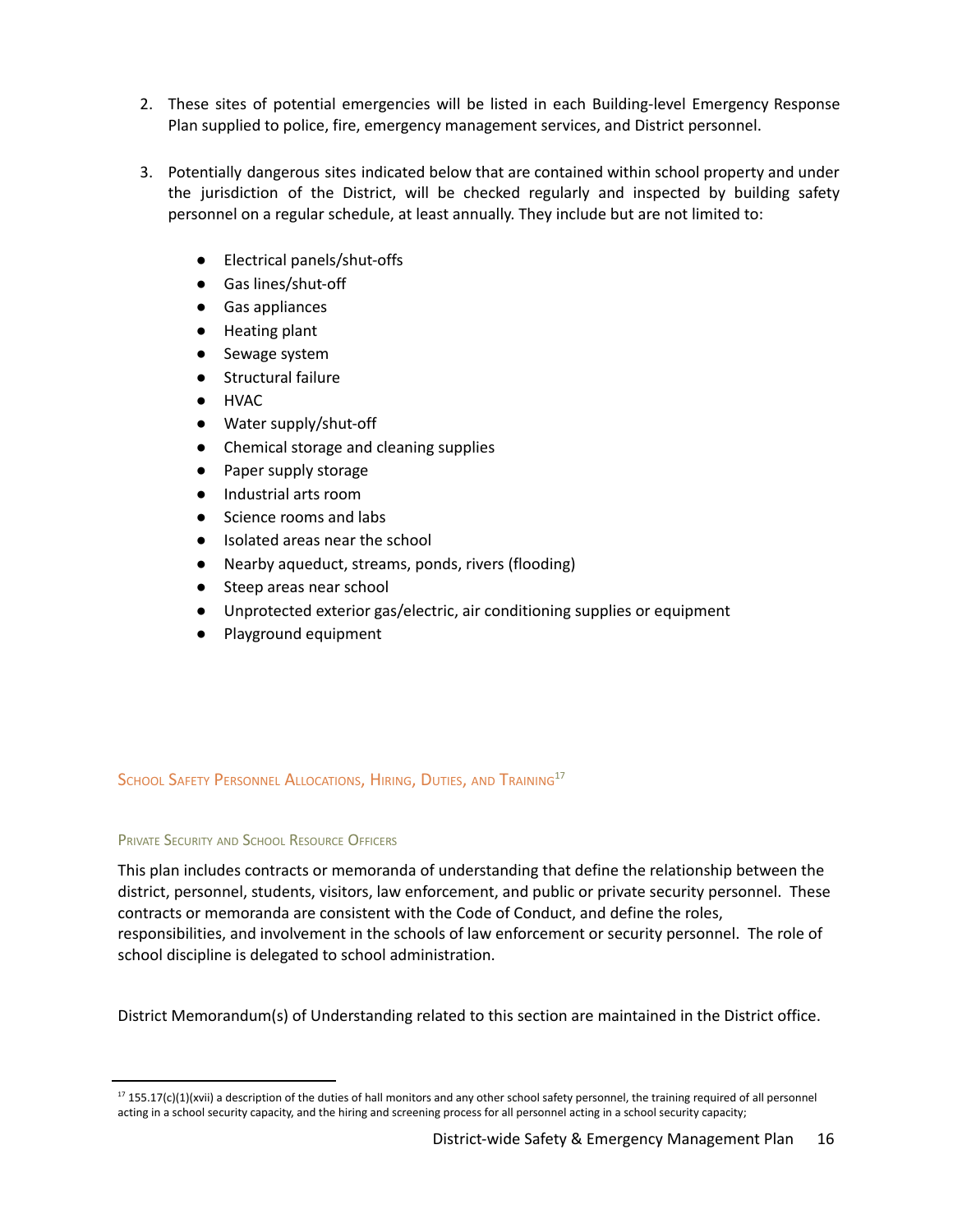- 2. These sites of potential emergencies will be listed in each Building-level Emergency Response Plan supplied to police, fire, emergency management services, and District personnel.
- 3. Potentially dangerous sites indicated below that are contained within school property and under the jurisdiction of the District, will be checked regularly and inspected by building safety personnel on a regular schedule, at least annually. They include but are not limited to:
	- Electrical panels/shut-offs
	- Gas lines/shut-off
	- Gas appliances
	- Heating plant
	- Sewage system
	- Structural failure
	- HVAC
	- Water supply/shut-off
	- Chemical storage and cleaning supplies
	- Paper supply storage
	- Industrial arts room
	- Science rooms and labs
	- Isolated areas near the school
	- Nearby aqueduct, streams, ponds, rivers (flooding)
	- Steep areas near school
	- Unprotected exterior gas/electric, air conditioning supplies or equipment
	- Playground equipment

## School Safety Personnel Allocations, Hiring, Duties, and Training<sup>17</sup>

## PRIVATE SECURITY AND SCHOOL RESOURCE OFFICERS

This plan includes contracts or memoranda of understanding that define the relationship between the district, personnel, students, visitors, law enforcement, and public or private security personnel. These contracts or memoranda are consistent with the Code of Conduct, and define the roles, responsibilities, and involvement in the schools of law enforcement or security personnel. The role of school discipline is delegated to school administration.

District Memorandum(s) of Understanding related to this section are maintained in the District office.

 $17$  155.17(c)(1)(xvii) a description of the duties of hall monitors and any other school safety personnel, the training required of all personnel acting in a school security capacity, and the hiring and screening process for all personnel acting in a school security capacity;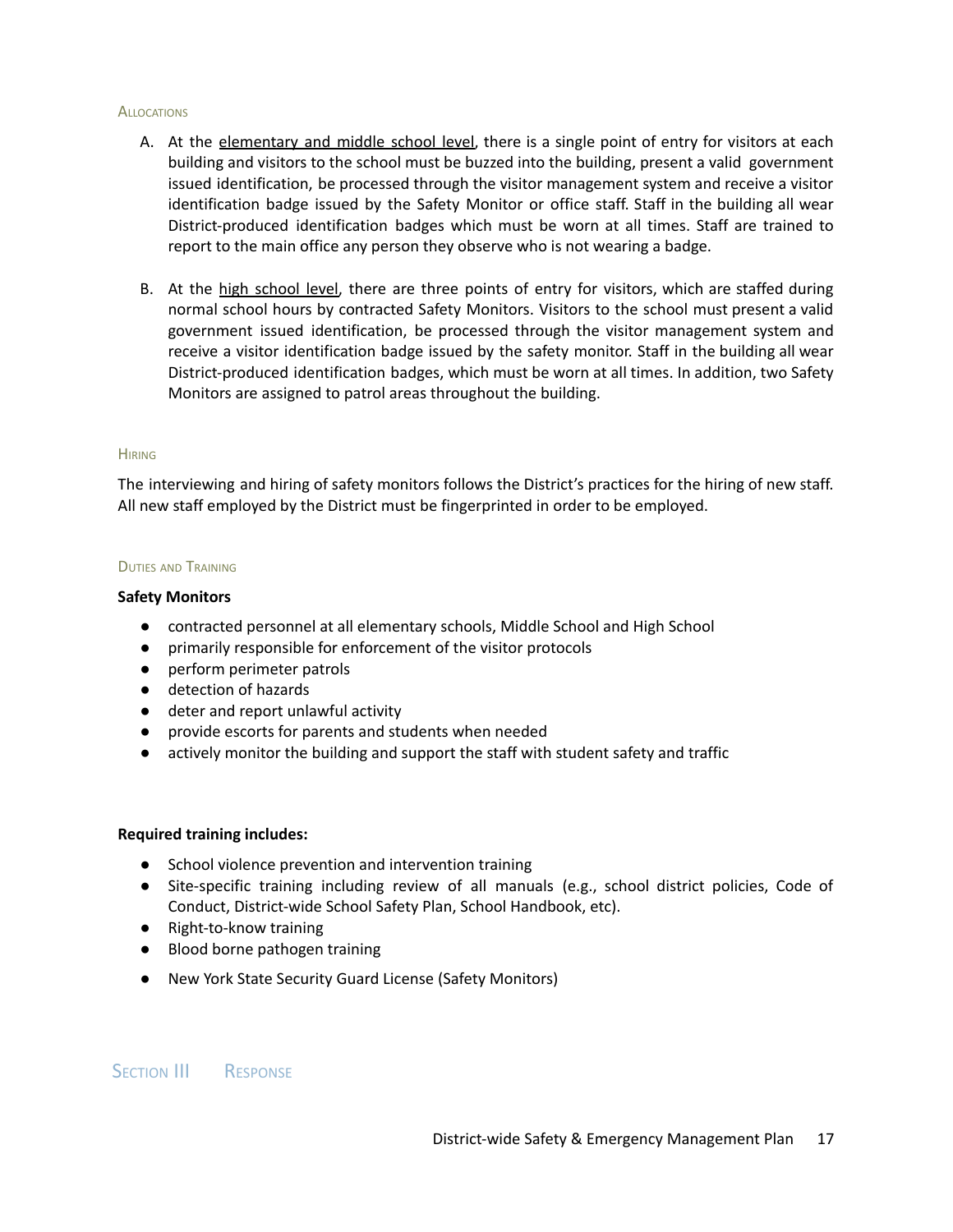#### **ALLOCATIONS**

- A. At the elementary and middle school level, there is a single point of entry for visitors at each building and visitors to the school must be buzzed into the building, present a valid government issued identification, be processed through the visitor management system and receive a visitor identification badge issued by the Safety Monitor or office staff. Staff in the building all wear District-produced identification badges which must be worn at all times. Staff are trained to report to the main office any person they observe who is not wearing a badge.
- B. At the high school level, there are three points of entry for visitors, which are staffed during normal school hours by contracted Safety Monitors. Visitors to the school must present a valid government issued identification, be processed through the visitor management system and receive a visitor identification badge issued by the safety monitor. Staff in the building all wear District-produced identification badges, which must be worn at all times. In addition, two Safety Monitors are assigned to patrol areas throughout the building.

#### **HIRING**

The interviewing and hiring of safety monitors follows the District's practices for the hiring of new staff. All new staff employed by the District must be fingerprinted in order to be employed.

#### **DUTIES AND TRAINING**

#### **Safety Monitors**

- contracted personnel at all elementary schools, Middle School and High School
- primarily responsible for enforcement of the visitor protocols
- perform perimeter patrols
- detection of hazards
- deter and report unlawful activity
- provide escorts for parents and students when needed
- actively monitor the building and support the staff with student safety and traffic

## **Required training includes:**

- School violence prevention and intervention training
- Site-specific training including review of all manuals (e.g., school district policies, Code of Conduct, District-wide School Safety Plan, School Handbook, etc).
- Right-to-know training
- Blood borne pathogen training
- New York State Security Guard License (Safety Monitors)

## SECTION III RESPONSE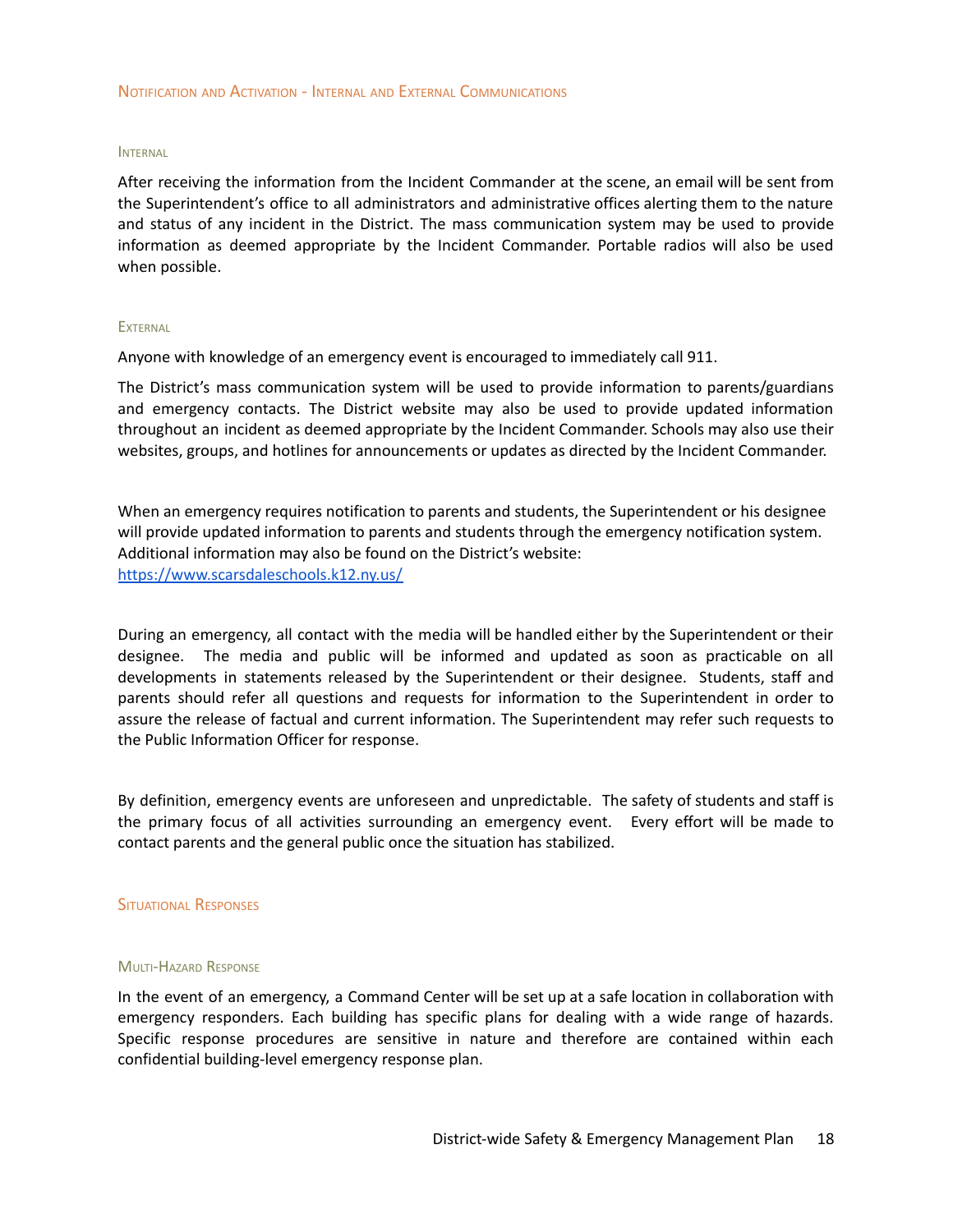#### INTERNAL

After receiving the information from the Incident Commander at the scene, an email will be sent from the Superintendent's office to all administrators and administrative offices alerting them to the nature and status of any incident in the District. The mass communication system may be used to provide information as deemed appropriate by the Incident Commander. Portable radios will also be used when possible.

#### **EXTERNAL**

Anyone with knowledge of an emergency event is encouraged to immediately call 911.

The District's mass communication system will be used to provide information to parents/guardians and emergency contacts. The District website may also be used to provide updated information throughout an incident as deemed appropriate by the Incident Commander. Schools may also use their websites, groups, and hotlines for announcements or updates as directed by the Incident Commander.

When an emergency requires notification to parents and students, the Superintendent or his designee will provide updated information to parents and students through the emergency notification system. Additional information may also be found on the District's website: <https://www.scarsdaleschools.k12.ny.us/>

During an emergency, all contact with the media will be handled either by the Superintendent or their designee. The media and public will be informed and updated as soon as practicable on all developments in statements released by the Superintendent or their designee. Students, staff and parents should refer all questions and requests for information to the Superintendent in order to assure the release of factual and current information. The Superintendent may refer such requests to the Public Information Officer for response.

By definition, emergency events are unforeseen and unpredictable. The safety of students and staff is the primary focus of all activities surrounding an emergency event. Every effort will be made to contact parents and the general public once the situation has stabilized.

#### SITUATIONAL RESPONSES

#### MULTI-HAZARD RESPONSE

In the event of an emergency, a Command Center will be set up at a safe location in collaboration with emergency responders. Each building has specific plans for dealing with a wide range of hazards. Specific response procedures are sensitive in nature and therefore are contained within each confidential building-level emergency response plan.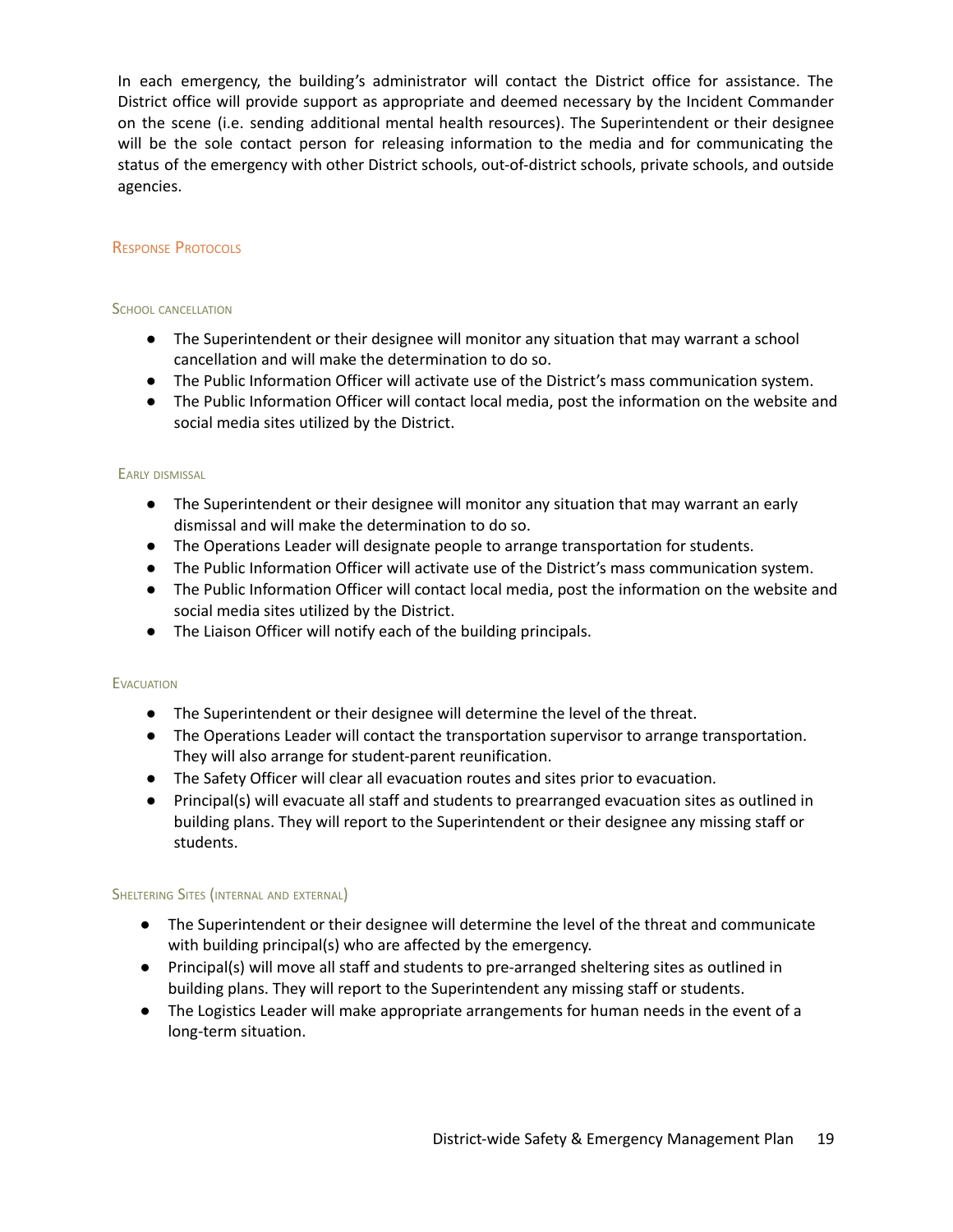In each emergency, the building's administrator will contact the District office for assistance. The District office will provide support as appropriate and deemed necessary by the Incident Commander on the scene (i.e. sending additional mental health resources). The Superintendent or their designee will be the sole contact person for releasing information to the media and for communicating the status of the emergency with other District schools, out-of-district schools, private schools, and outside agencies.

## RESPONSE PROTOCOLS

## SCHOOL CANCELLATION

- The Superintendent or their designee will monitor any situation that may warrant a school cancellation and will make the determination to do so.
- The Public Information Officer will activate use of the District's mass communication system.
- The Public Information Officer will contact local media, post the information on the website and social media sites utilized by the District.

## EARLY DISMISSAL

- The Superintendent or their designee will monitor any situation that may warrant an early dismissal and will make the determination to do so.
- The Operations Leader will designate people to arrange transportation for students.
- The Public Information Officer will activate use of the District's mass communication system.
- The Public Information Officer will contact local media, post the information on the website and social media sites utilized by the District.
- The Liaison Officer will notify each of the building principals.

## **EVACUATION**

- The Superintendent or their designee will determine the level of the threat.
- The Operations Leader will contact the transportation supervisor to arrange transportation. They will also arrange for student-parent reunification.
- The Safety Officer will clear all evacuation routes and sites prior to evacuation.
- Principal(s) will evacuate all staff and students to prearranged evacuation sites as outlined in building plans. They will report to the Superintendent or their designee any missing staff or students.

## SHELTERING SITES (INTERNAL AND EXTERNAL)

- The Superintendent or their designee will determine the level of the threat and communicate with building principal(s) who are affected by the emergency.
- Principal(s) will move all staff and students to pre-arranged sheltering sites as outlined in building plans. They will report to the Superintendent any missing staff or students.
- The Logistics Leader will make appropriate arrangements for human needs in the event of a long-term situation.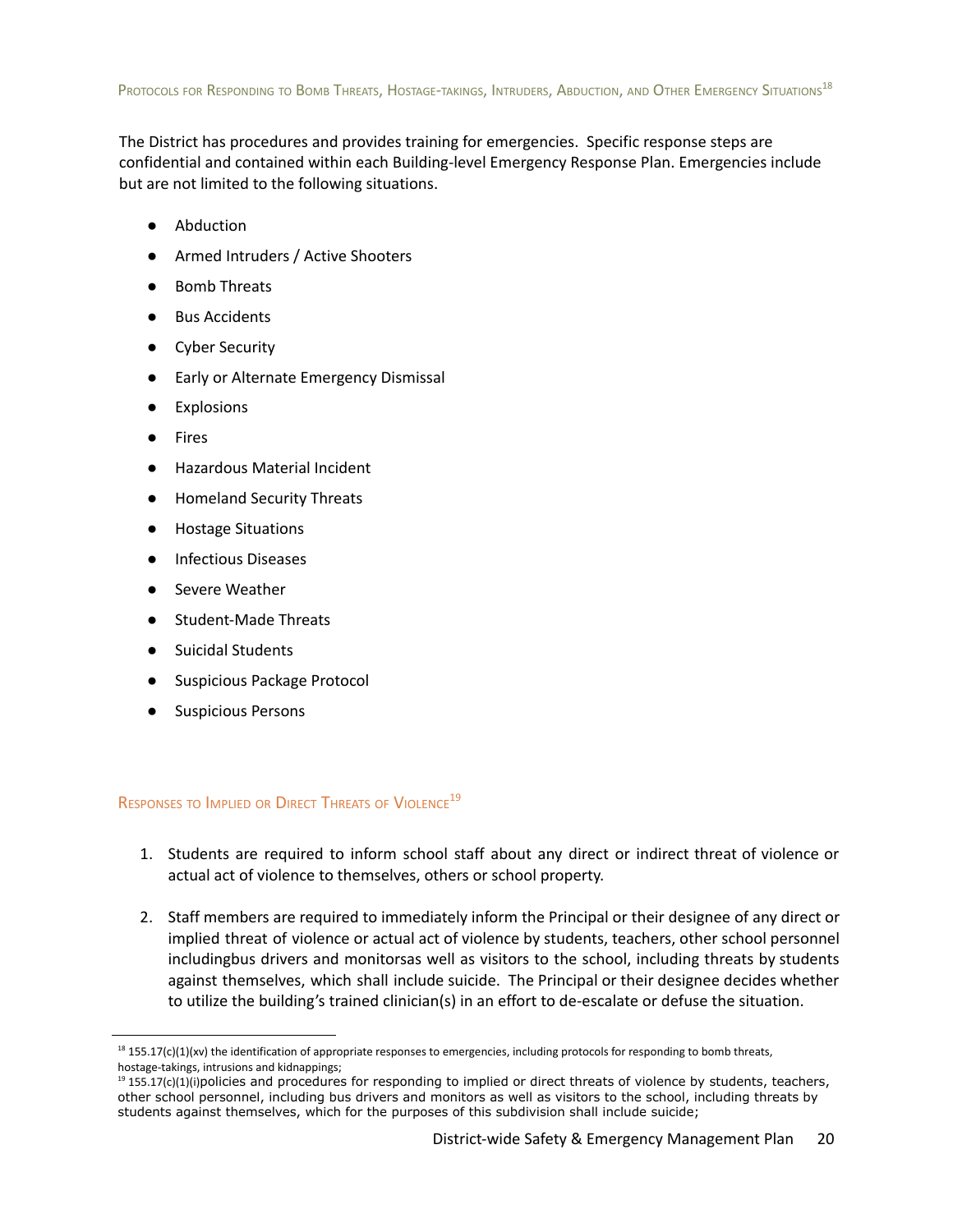<span id="page-20-1"></span>The District has procedures and provides training for emergencies. Specific response steps are confidential and contained within each Building-level Emergency Response Plan. Emergencies include but are not limited to the following situations.

- Abduction
- Armed Intruders / Active Shooters
- **Bomb Threats**
- **Bus Accidents**
- Cyber Security
- Early or Alternate Emergency Dismissal
- **Explosions**
- **Fires**
- **Hazardous Material Incident**
- Homeland Security Threats
- **Hostage Situations**
- **Infectious Diseases**
- **Severe Weather**
- **Student-Made Threats**
- **Suicidal Students**
- Suspicious Package Protocol
- Suspicious Persons

<span id="page-20-0"></span>RESPONSES TO IMPLIED OR DIRECT THREATS OF VIOLENCE<sup>19</sup>

- 1. Students are required to inform school staff about any direct or indirect threat of violence or actual act of violence to themselves, others or school property.
- 2. Staff members are required to immediately inform the Principal or their designee of any direct or implied threat of violence or actual act of violence by students, teachers, other school personnel includingbus drivers and monitorsas well as visitors to the school, including threats by students against themselves, which shall include suicide. The Principal or their designee decides whether to utilize the building's trained clinician(s) in an effort to de-escalate or defuse the situation.

 $18$  155.17(c)(1)(xv) the identification of appropriate responses to emergencies, including protocols for responding to bomb threats, hostage-takings, intrusions and kidnappings;

 $19$  155.17(c)(1)(i)policies and procedures for responding to implied or direct threats of violence by students, teachers, other school personnel, including bus drivers and monitors as well as visitors to the school, including threats by students against themselves, which for the purposes of this subdivision shall include suicide;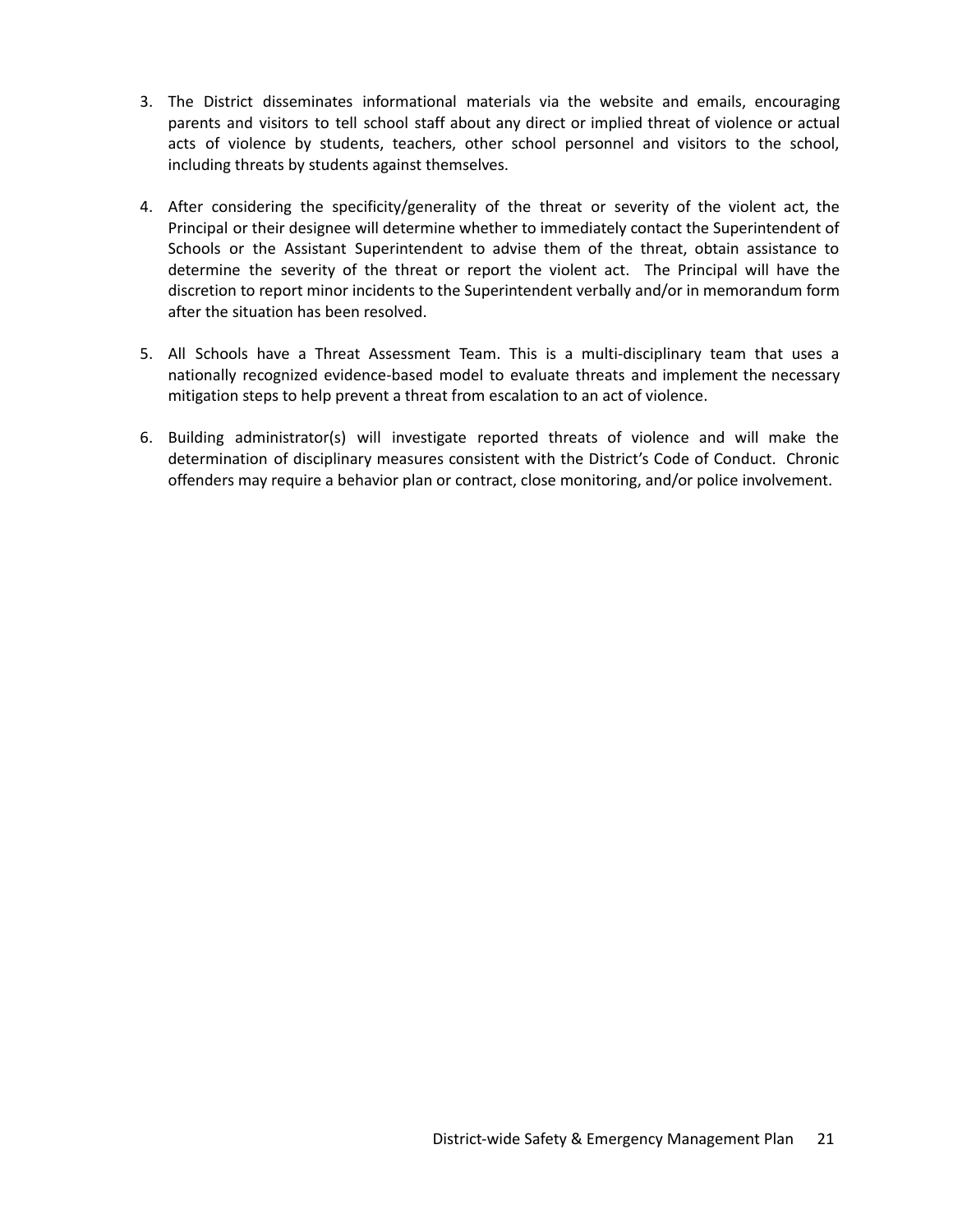- 3. The District disseminates informational materials via the website and emails, encouraging parents and visitors to tell school staff about any direct or implied threat of violence or actual acts of violence by students, teachers, other school personnel and visitors to the school, including threats by students against themselves.
- 4. After considering the specificity/generality of the threat or severity of the violent act, the Principal or their designee will determine whether to immediately contact the Superintendent of Schools or the Assistant Superintendent to advise them of the threat, obtain assistance to determine the severity of the threat or report the violent act. The Principal will have the discretion to report minor incidents to the Superintendent verbally and/or in memorandum form after the situation has been resolved.
- 5. All Schools have a Threat Assessment Team. This is a multi-disciplinary team that uses a nationally recognized evidence-based model to evaluate threats and implement the necessary mitigation steps to help prevent a threat from escalation to an act of violence.
- 6. Building administrator(s) will investigate reported threats of violence and will make the determination of disciplinary measures consistent with the District's Code of Conduct. Chronic offenders may require a behavior plan or contract, close monitoring, and/or police involvement.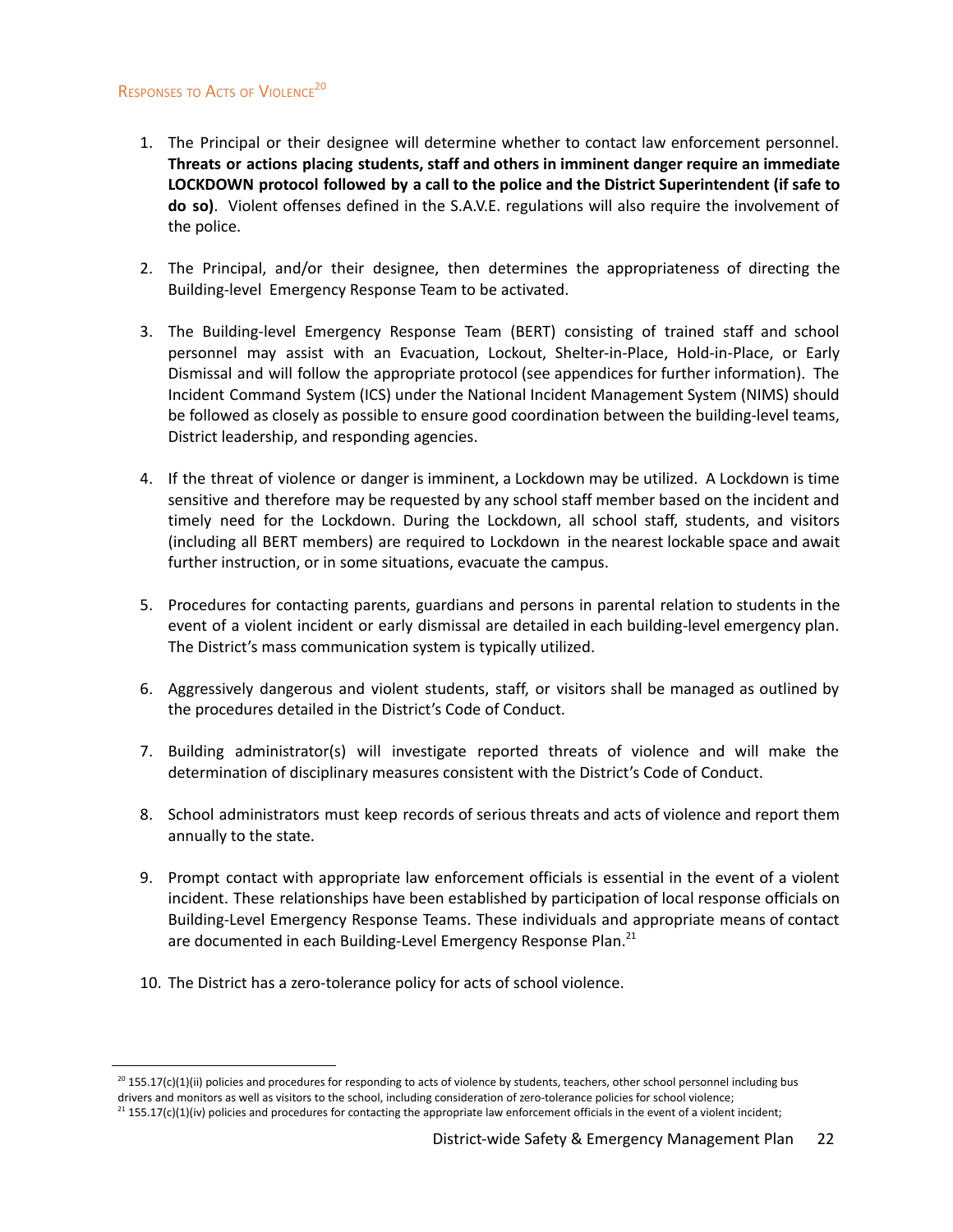## RESPONSES TO ACTS OF VIOLENCE<sup>20</sup>

- 1. The Principal or their designee will determine whether to contact law enforcement personnel. **Threats or actions placing students, staff and others in imminent danger require an immediate LOCKDOWN protocol followed by a call to the police and the District Superintendent (if safe to do so)**. Violent offenses defined in the S.A.V.E. regulations will also require the involvement of the police.
- 2. The Principal, and/or their designee, then determines the appropriateness of directing the Building-level Emergency Response Team to be activated.
- 3. The Building-level Emergency Response Team (BERT) consisting of trained staff and school personnel may assist with an Evacuation, Lockout, Shelter-in-Place, Hold-in-Place, or Early Dismissal and will follow the appropriate protocol (see appendices for further information). The Incident Command System (ICS) under the National Incident Management System (NIMS) should be followed as closely as possible to ensure good coordination between the building-level teams, District leadership, and responding agencies.
- 4. If the threat of violence or danger is imminent, a Lockdown may be utilized. A Lockdown is time sensitive and therefore may be requested by any school staff member based on the incident and timely need for the Lockdown. During the Lockdown, all school staff, students, and visitors (including all BERT members) are required to Lockdown in the nearest lockable space and await further instruction, or in some situations, evacuate the campus.
- 5. Procedures for contacting parents, guardians and persons in parental relation to students in the event of a violent incident or early dismissal are detailed in each building-level emergency plan. The District's mass communication system is typically utilized.
- 6. Aggressively dangerous and violent students, staff, or visitors shall be managed as outlined by the procedures detailed in the District's Code of Conduct.
- 7. Building administrator(s) will investigate reported threats of violence and will make the determination of disciplinary measures consistent with the District's Code of Conduct.
- 8. School administrators must keep records of serious threats and acts of violence and report them annually to the state.
- <span id="page-22-0"></span>9. Prompt contact with appropriate law enforcement officials is essential in the event of a violent incident. These relationships have been established by participation of local response officials on Building-Level Emergency Response Teams. These individuals and appropriate means of contact are documented in each Building-Level Emergency Response Plan.<sup>21</sup>
- 10. The District has a zero-tolerance policy for acts of school violence.

 $^{20}$  155.17(c)(1)(ii) policies and procedures for responding to acts of violence by students, teachers, other school personnel including bus drivers and monitors as well as visitors to the school, including consideration of zero-tolerance policies for school violence;

 $^{21}$  155.17(c)(1)(iv) policies and procedures for contacting the appropriate law enforcement officials in the event of a violent incident;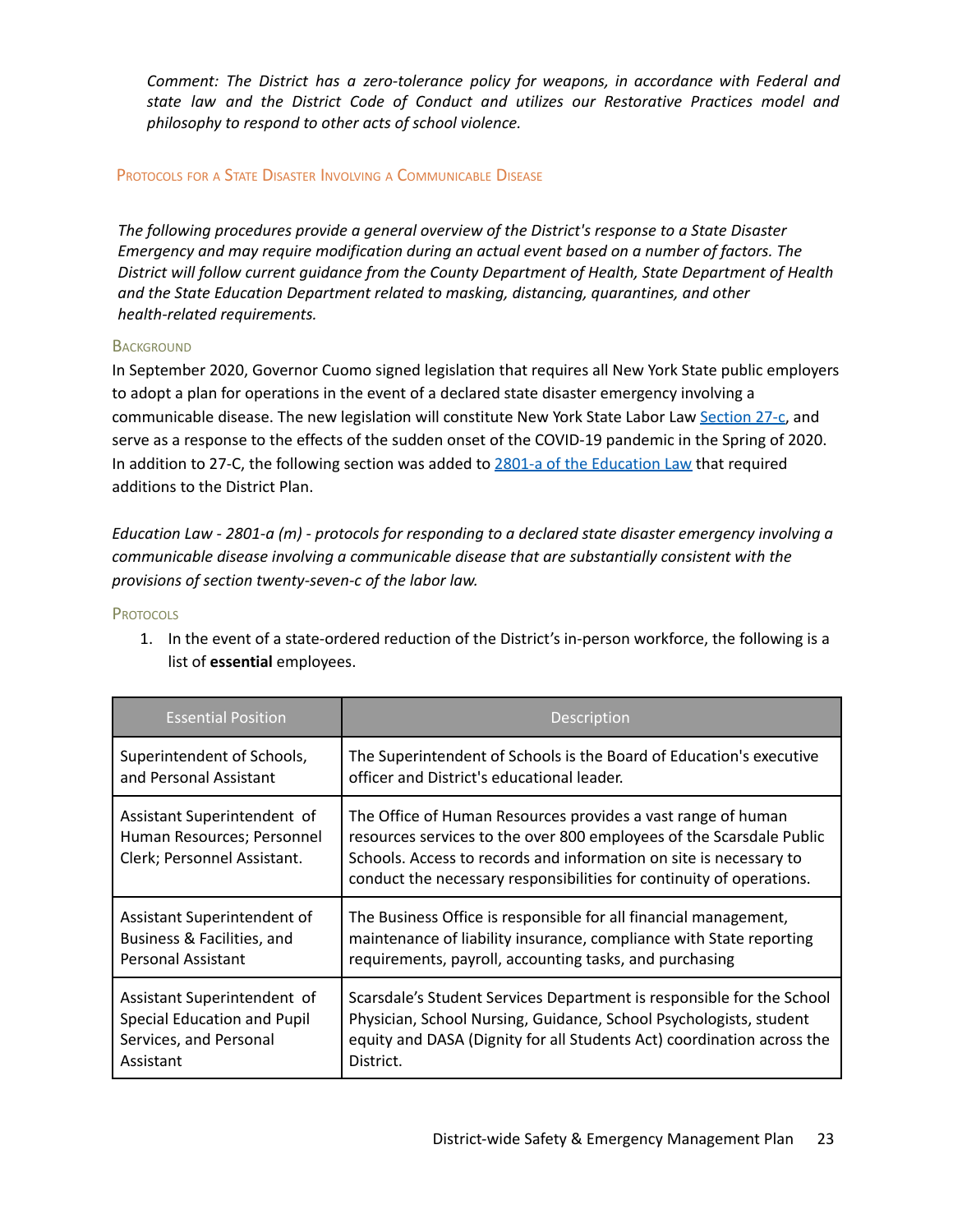*Comment: The District has a zero-tolerance policy for weapons, in accordance with Federal and state law and the District Code of Conduct and utilizes our Restorative Practices model and philosophy to respond to other acts of school violence.*

## PROTOCOLS FOR <sup>A</sup> STATE DISASTER INVOLVING <sup>A</sup> COMMUNICABLE DISEASE

*The following procedures provide a general overview of the District's response to a State Disaster Emergency and may require modification during an actual event based on a number of factors. The District will follow current guidance from the County Department of Health, State Department of Health and the State Education Department related to masking, distancing, quarantines, and other health-related requirements.*

## **BACKGROUND**

In September 2020, Governor Cuomo signed legislation that requires all New York State public employers to adopt a plan for operations in the event of a declared state disaster emergency involving a communicable disease. The new legislation will constitute New York State Labor Law [Section](https://altarisgroup.lt.acemlna.com/Prod/link-tracker?notrack=1¬rack=1&redirectUrl=aHR0cHMlM0ElMkYlMkZ3d3cubnlzZW5hdGUuZ292JTJGbGVnaXNsYXRpb24lMkZsYXdzJTJGTEFCJTJGMjctQw==&a=475248217&account=altarisgroup%2Eactivehosted%2Ecom&email=LRRV6glqIfcVPcYsJBrMHi%2FZD%2BmsUFpJrc5fHf6IoVE%3D&s=bad97c655476f96a390a72c05a742011&i=313A10521A21A1268) 27-c, and serve as a response to the effects of the sudden onset of the COVID-19 pandemic in the Spring of 2020. In addition to 27-C, the following section was added to 2801-a of the [Education](https://altarisgroup.lt.acemlna.com/Prod/link-tracker?notrack=1¬rack=1&redirectUrl=aHR0cHMlM0ElMkYlMkZ3d3cubnlzZW5hdGUuZ292JTJGbGVnaXNsYXRpb24lMkZsYXdzJTJGRUROJTJGMjgwMS1B&a=475248217&account=altarisgroup%2Eactivehosted%2Ecom&email=LRRV6glqIfcVPcYsJBrMHi%2FZD%2BmsUFpJrc5fHf6IoVE%3D&s=bad97c655476f96a390a72c05a742011&i=313A10521A21A1269) Law that required additions to the District Plan.

*Education Law - 2801-a (m) - protocols for responding to a declared state disaster emergency involving a communicable disease involving a communicable disease that are substantially consistent with the provisions of section twenty-seven-c of the labor law.*

## **PROTOCOLS**

1. In the event of a state-ordered reduction of the District's in-person workforce, the following is a list of **essential** employees.

| <b>Essential Position</b>                                                                | Description                                                                                                                                                                                                                                                                        |
|------------------------------------------------------------------------------------------|------------------------------------------------------------------------------------------------------------------------------------------------------------------------------------------------------------------------------------------------------------------------------------|
| Superintendent of Schools,                                                               | The Superintendent of Schools is the Board of Education's executive                                                                                                                                                                                                                |
| and Personal Assistant                                                                   | officer and District's educational leader.                                                                                                                                                                                                                                         |
| Assistant Superintendent of<br>Human Resources; Personnel<br>Clerk; Personnel Assistant. | The Office of Human Resources provides a vast range of human<br>resources services to the over 800 employees of the Scarsdale Public<br>Schools. Access to records and information on site is necessary to<br>conduct the necessary responsibilities for continuity of operations. |
| Assistant Superintendent of                                                              | The Business Office is responsible for all financial management,                                                                                                                                                                                                                   |
| Business & Facilities, and                                                               | maintenance of liability insurance, compliance with State reporting                                                                                                                                                                                                                |
| Personal Assistant                                                                       | requirements, payroll, accounting tasks, and purchasing                                                                                                                                                                                                                            |
| Assistant Superintendent of                                                              | Scarsdale's Student Services Department is responsible for the School                                                                                                                                                                                                              |
| Special Education and Pupil                                                              | Physician, School Nursing, Guidance, School Psychologists, student                                                                                                                                                                                                                 |
| Services, and Personal                                                                   | equity and DASA (Dignity for all Students Act) coordination across the                                                                                                                                                                                                             |
| Assistant                                                                                | District.                                                                                                                                                                                                                                                                          |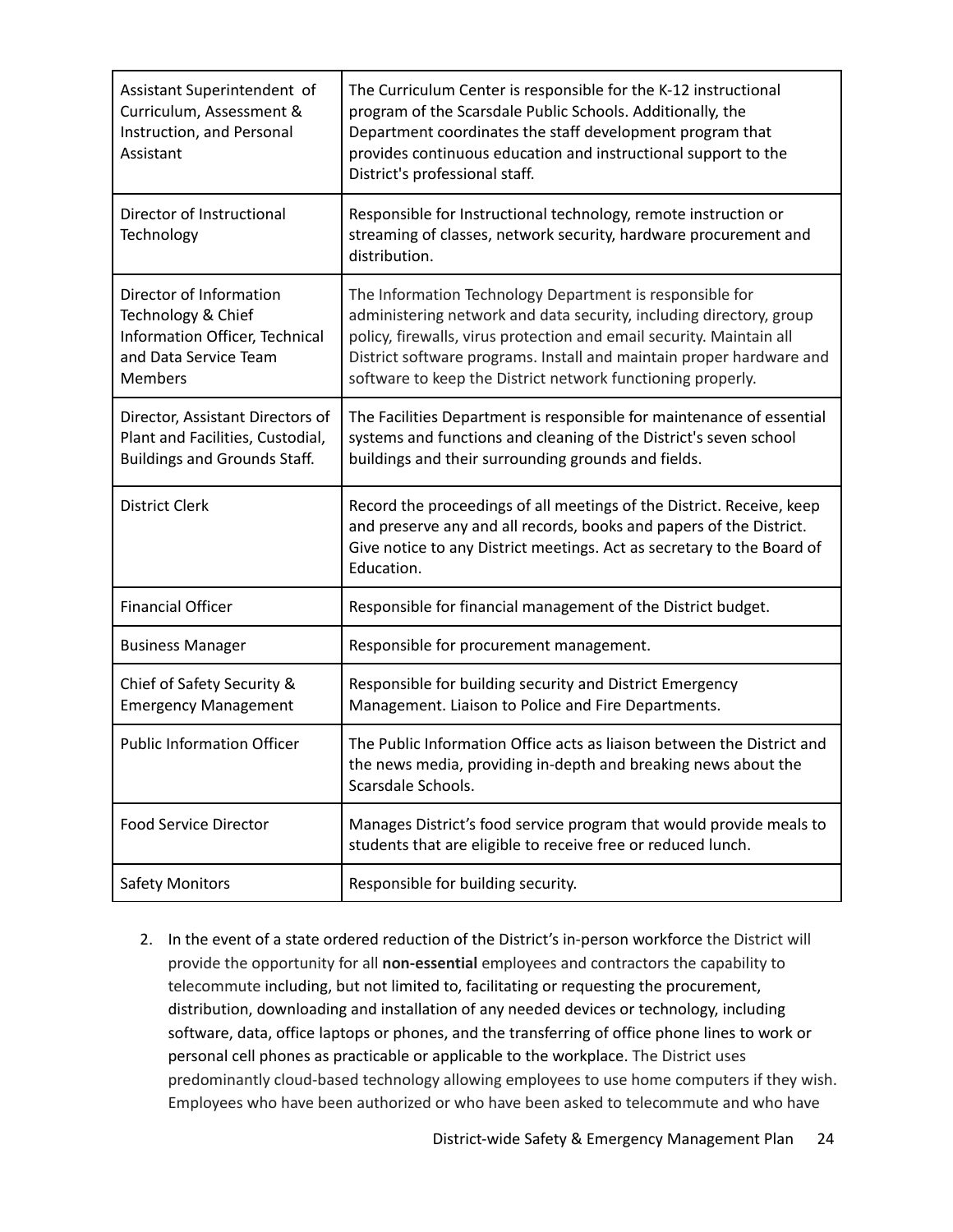| Assistant Superintendent of<br>Curriculum, Assessment &<br>Instruction, and Personal<br>Assistant                          | The Curriculum Center is responsible for the K-12 instructional<br>program of the Scarsdale Public Schools. Additionally, the<br>Department coordinates the staff development program that<br>provides continuous education and instructional support to the<br>District's professional staff.                                                 |
|----------------------------------------------------------------------------------------------------------------------------|------------------------------------------------------------------------------------------------------------------------------------------------------------------------------------------------------------------------------------------------------------------------------------------------------------------------------------------------|
| Director of Instructional<br>Technology                                                                                    | Responsible for Instructional technology, remote instruction or<br>streaming of classes, network security, hardware procurement and<br>distribution.                                                                                                                                                                                           |
| Director of Information<br>Technology & Chief<br>Information Officer, Technical<br>and Data Service Team<br><b>Members</b> | The Information Technology Department is responsible for<br>administering network and data security, including directory, group<br>policy, firewalls, virus protection and email security. Maintain all<br>District software programs. Install and maintain proper hardware and<br>software to keep the District network functioning properly. |
| Director, Assistant Directors of<br>Plant and Facilities, Custodial,<br><b>Buildings and Grounds Staff.</b>                | The Facilities Department is responsible for maintenance of essential<br>systems and functions and cleaning of the District's seven school<br>buildings and their surrounding grounds and fields.                                                                                                                                              |
| <b>District Clerk</b>                                                                                                      | Record the proceedings of all meetings of the District. Receive, keep<br>and preserve any and all records, books and papers of the District.<br>Give notice to any District meetings. Act as secretary to the Board of<br>Education.                                                                                                           |
| <b>Financial Officer</b>                                                                                                   | Responsible for financial management of the District budget.                                                                                                                                                                                                                                                                                   |
| <b>Business Manager</b>                                                                                                    | Responsible for procurement management.                                                                                                                                                                                                                                                                                                        |
| Chief of Safety Security &<br><b>Emergency Management</b>                                                                  | Responsible for building security and District Emergency<br>Management. Liaison to Police and Fire Departments.                                                                                                                                                                                                                                |
| <b>Public Information Officer</b>                                                                                          | The Public Information Office acts as liaison between the District and<br>the news media, providing in-depth and breaking news about the<br>Scarsdale Schools.                                                                                                                                                                                 |
| <b>Food Service Director</b>                                                                                               | Manages District's food service program that would provide meals to<br>students that are eligible to receive free or reduced lunch.                                                                                                                                                                                                            |
| <b>Safety Monitors</b>                                                                                                     | Responsible for building security.                                                                                                                                                                                                                                                                                                             |

2. In the event of a state ordered reduction of the District's in-person workforce the District will provide the opportunity for all **non-essential** employees and contractors the capability to telecommute including, but not limited to, facilitating or requesting the procurement, distribution, downloading and installation of any needed devices or technology, including software, data, office laptops or phones, and the transferring of office phone lines to work or personal cell phones as practicable or applicable to the workplace. The District uses predominantly cloud-based technology allowing employees to use home computers if they wish. Employees who have been authorized or who have been asked to telecommute and who have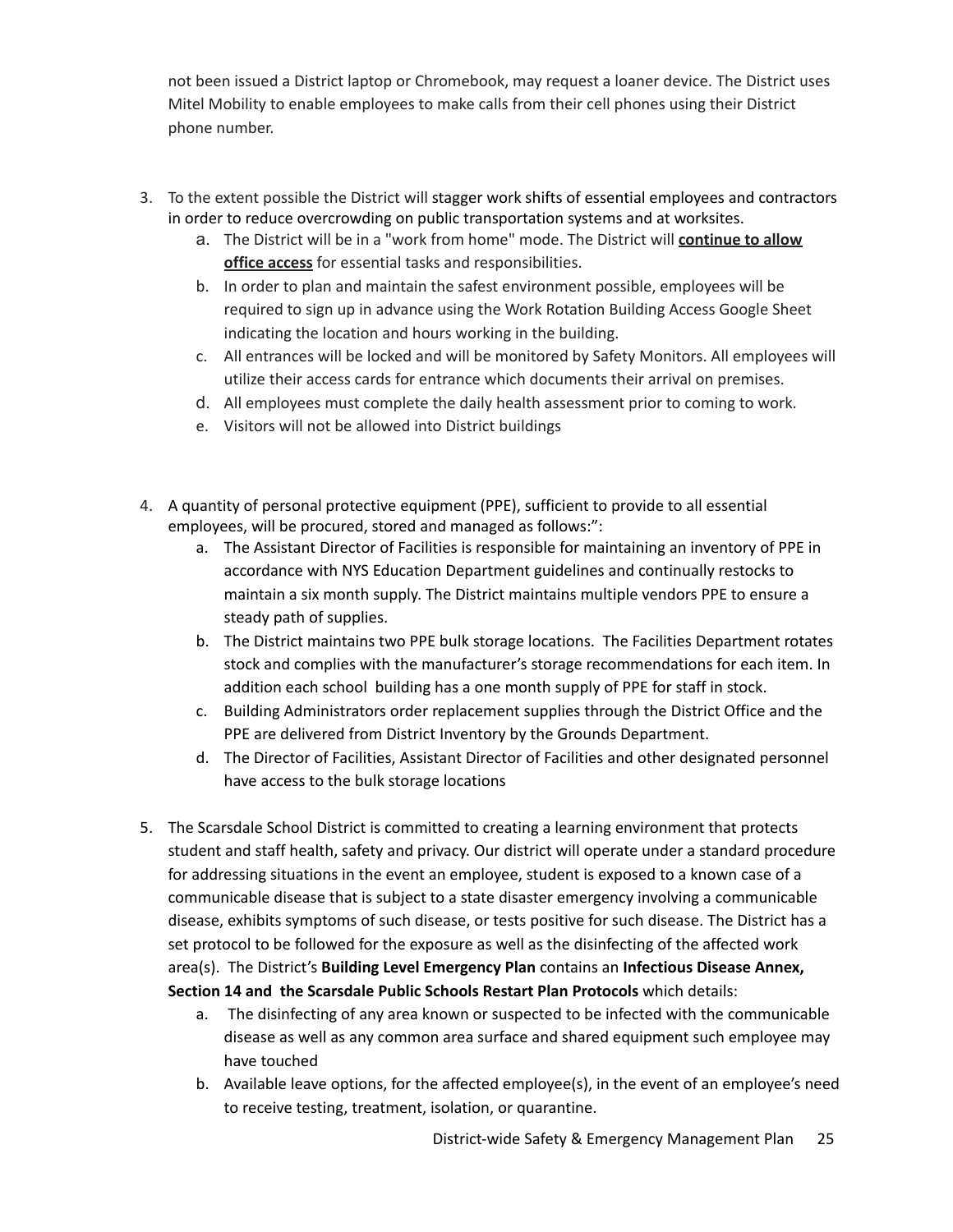not been issued a District laptop or Chromebook, may request a loaner device. The District uses Mitel Mobility to enable employees to make calls from their cell phones using their District phone number.

- 3. To the extent possible the District will stagger work shifts of essential employees and contractors in order to reduce overcrowding on public transportation systems and at worksites.
	- a. The District will be in a "work from home" mode. The District will **continue to allow office access** for essential tasks and responsibilities.
	- b. In order to plan and maintain the safest environment possible, employees will be required to sign up in advance using the Work Rotation Building Access Google Sheet indicating the location and hours working in the building.
	- c. All entrances will be locked and will be monitored by Safety Monitors. All employees will utilize their access cards for entrance which documents their arrival on premises.
	- d. All employees must complete the daily health assessment prior to coming to work.
	- e. Visitors will not be allowed into District buildings
- 4. A quantity of personal protective equipment (PPE), sufficient to provide to all essential employees, will be procured, stored and managed as follows:":
	- a. The Assistant Director of Facilities is responsible for maintaining an inventory of PPE in accordance with NYS Education Department guidelines and continually restocks to maintain a six month supply. The District maintains multiple vendors PPE to ensure a steady path of supplies.
	- b. The District maintains two PPE bulk storage locations. The Facilities Department rotates stock and complies with the manufacturer's storage recommendations for each item. In addition each school building has a one month supply of PPE for staff in stock.
	- c. Building Administrators order replacement supplies through the District Office and the PPE are delivered from District Inventory by the Grounds Department.
	- d. The Director of Facilities, Assistant Director of Facilities and other designated personnel have access to the bulk storage locations
- 5. The Scarsdale School District is committed to creating a learning environment that protects student and staff health, safety and privacy. Our district will operate under a standard procedure for addressing situations in the event an employee, student is exposed to a known case of a communicable disease that is subject to a state disaster emergency involving a communicable disease, exhibits symptoms of such disease, or tests positive for such disease. The District has a set protocol to be followed for the exposure as well as the disinfecting of the affected work area(s). The District's **Building Level Emergency Plan** contains an **Infectious Disease Annex, Section 14 and the Scarsdale Public Schools Restart Plan Protocols** which details:
	- a. The disinfecting of any area known or suspected to be infected with the communicable disease as well as any common area surface and shared equipment such employee may have touched
	- b. Available leave options, for the affected employee(s), in the event of an employee's need to receive testing, treatment, isolation, or quarantine.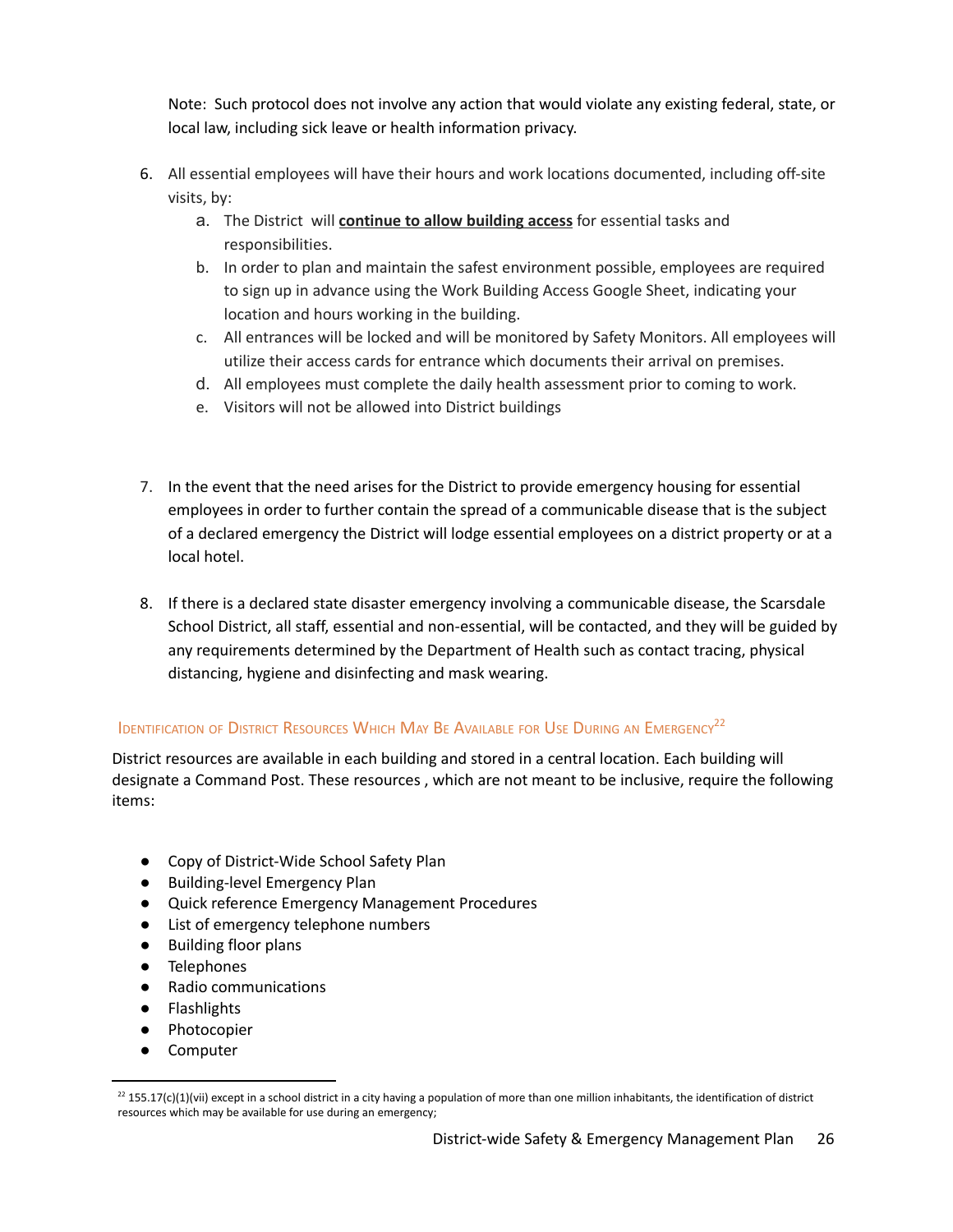Note: Such protocol does not involve any action that would violate any existing federal, state, or local law, including sick leave or health information privacy.

- 6. All essential employees will have their hours and work locations documented, including off-site visits, by:
	- a. The District will **continue to allow building access** for essential tasks and responsibilities.
	- b. In order to plan and maintain the safest environment possible, employees are required to sign up in advance using the Work Building Access Google Sheet, indicating your location and hours working in the building.
	- c. All entrances will be locked and will be monitored by Safety Monitors. All employees will utilize their access cards for entrance which documents their arrival on premises.
	- d. All employees must complete the daily health assessment prior to coming to work.
	- e. Visitors will not be allowed into District buildings
- 7. In the event that the need arises for the District to provide emergency housing for essential employees in order to further contain the spread of a communicable disease that is the subject of a declared emergency the District will lodge essential employees on a district property or at a local hotel.
- 8. If there is a declared state disaster emergency involving a communicable disease, the Scarsdale School District, all staff, essential and non-essential, will be contacted, and they will be guided by any requirements determined by the Department of Health such as contact tracing, physical distancing, hygiene and disinfecting and mask wearing.

## <span id="page-26-0"></span>IDENTIFICATION OF DISTRICT RESOURCES WHICH MAY BE AVAILABLE FOR USE DURING AN EMERGENCY<sup>22</sup>

District resources are available in each building and stored in a central location. Each building will designate a Command Post. These resources , which are not meant to be inclusive, require the following items:

- Copy of District-Wide School Safety Plan
- Building-level Emergency Plan
- Quick reference Emergency Management Procedures
- List of emergency telephone numbers
- Building floor plans
- Telephones
- Radio communications
- Flashlights
- Photocopier
- Computer

 $^{22}$  155.17(c)(1)(vii) except in a school district in a city having a population of more than one million inhabitants, the identification of district resources which may be available for use during an emergency;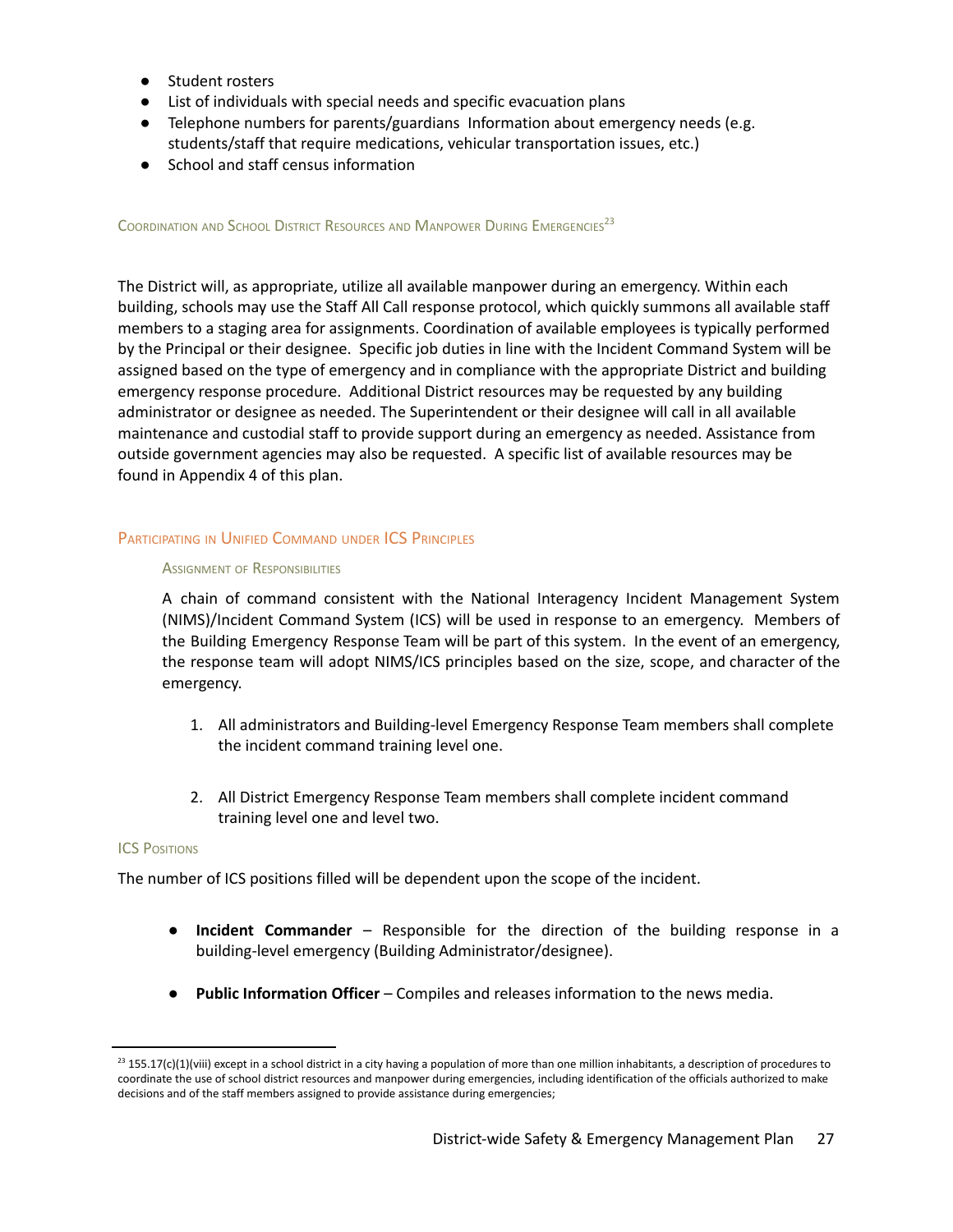- Student rosters
- List of individuals with special needs and specific evacuation plans
- Telephone numbers for parents/guardians Information about emergency needs (e.g. students/staff that require medications, vehicular transportation issues, etc.)
- School and staff census information

<span id="page-27-0"></span>COORDINATION AND SCHOOL DISTRICT RESOURCES AND MANPOWER DURING EMERGENCIES<sup>23</sup>

The District will, as appropriate, utilize all available manpower during an emergency. Within each building, schools may use the Staff All Call response protocol, which quickly summons all available staff members to a staging area for assignments. Coordination of available employees is typically performed by the Principal or their designee. Specific job duties in line with the Incident Command System will be assigned based on the type of emergency and in compliance with the appropriate District and building emergency response procedure. Additional District resources may be requested by any building administrator or designee as needed. The Superintendent or their designee will call in all available maintenance and custodial staff to provide support during an emergency as needed. Assistance from outside government agencies may also be requested. A specific list of available resources may be found in Appendix 4 of this plan.

## PARTICIPATING IN UNIFIED COMMAND UNDER ICS PRINCIPLES

#### ASSIGNMENT OF RESPONSIBILITIES

A chain of command consistent with the National Interagency Incident Management System (NIMS)/Incident Command System (ICS) will be used in response to an emergency. Members of the Building Emergency Response Team will be part of this system. In the event of an emergency, the response team will adopt NIMS/ICS principles based on the size, scope, and character of the emergency.

- 1. All administrators and Building-level Emergency Response Team members shall complete the incident command training level one.
- 2. All District Emergency Response Team members shall complete incident command training level one and level two.

## **ICS POSITIONS**

The number of ICS positions filled will be dependent upon the scope of the incident.

- **Incident Commander** Responsible for the direction of the building response in a building-level emergency (Building Administrator/designee).
- **Public Information Officer** Compiles and releases information to the news media.

 $^{23}$  155.17(c)(1)(viii) except in a school district in a city having a population of more than one million inhabitants, a description of procedures to coordinate the use of school district resources and manpower during emergencies, including identification of the officials authorized to make decisions and of the staff members assigned to provide assistance during emergencies;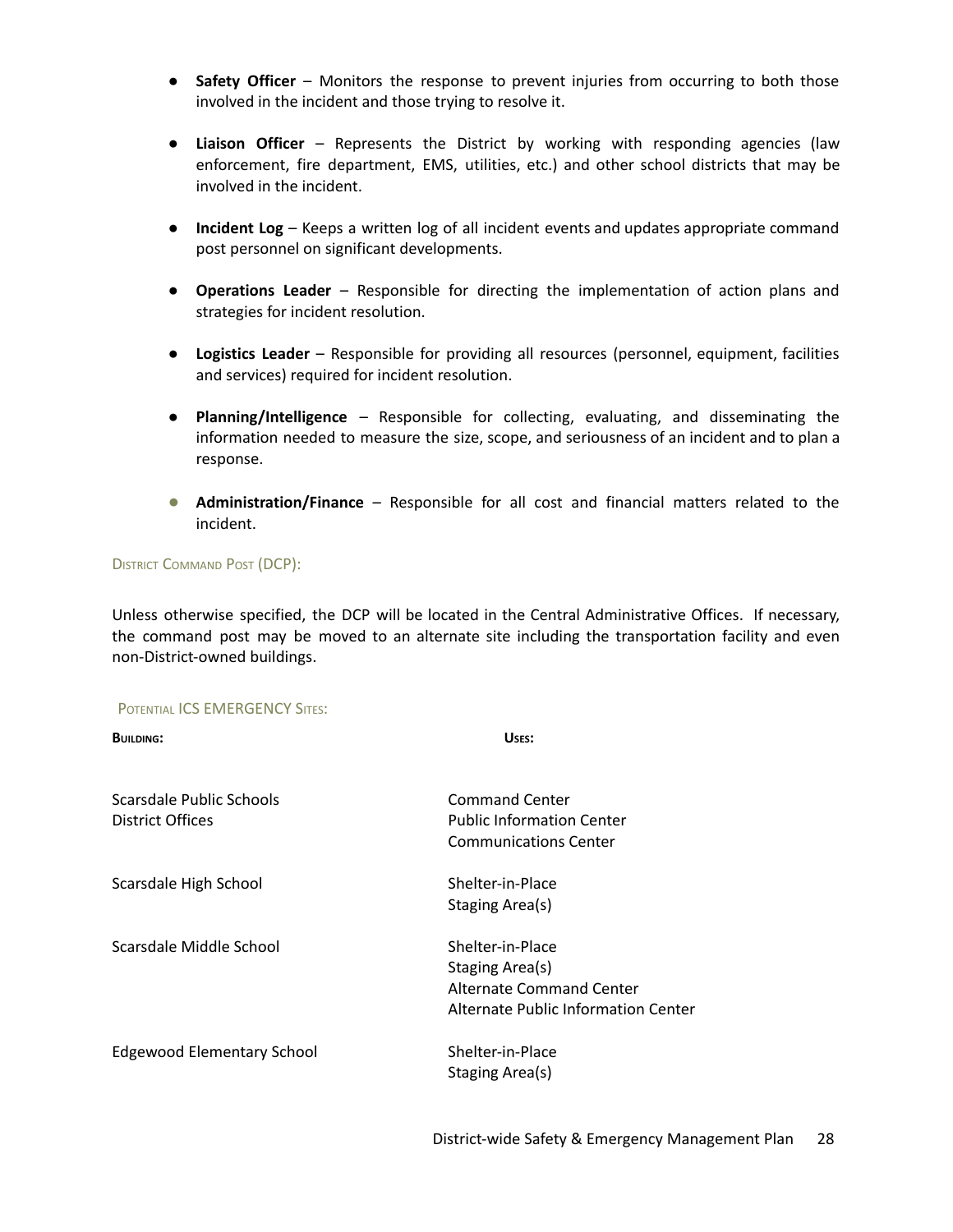- **Safety Officer** Monitors the response to prevent injuries from occurring to both those involved in the incident and those trying to resolve it.
- **Liaison Officer** Represents the District by working with responding agencies (law enforcement, fire department, EMS, utilities, etc.) and other school districts that may be involved in the incident.
- **Incident Log** Keeps a written log of all incident events and updates appropriate command post personnel on significant developments.
- **Operations Leader** Responsible for directing the implementation of action plans and strategies for incident resolution.
- **Logistics Leader** Responsible for providing all resources (personnel, equipment, facilities and services) required for incident resolution.
- **Planning/Intelligence** Responsible for collecting, evaluating, and disseminating the information needed to measure the size, scope, and seriousness of an incident and to plan a response.
- **Administration/Finance** Responsible for all cost and financial matters related to the incident.

## DISTRICT COMMAND POST (DCP):

Unless otherwise specified, the DCP will be located in the Central Administrative Offices. If necessary, the command post may be moved to an alternate site including the transportation facility and even non-District-owned buildings.

#### POTENTIAL ICS EMERGENCY SITES:

| <b>BUILDING:</b>                             | USES:                                                                                                  |
|----------------------------------------------|--------------------------------------------------------------------------------------------------------|
| Scarsdale Public Schools<br>District Offices | <b>Command Center</b><br><b>Public Information Center</b><br><b>Communications Center</b>              |
| Scarsdale High School                        | Shelter-in-Place<br>Staging Area(s)                                                                    |
| Scarsdale Middle School                      | Shelter-in-Place<br>Staging Area(s)<br>Alternate Command Center<br>Alternate Public Information Center |
| <b>Edgewood Elementary School</b>            | Shelter-in-Place<br>Staging Area(s)                                                                    |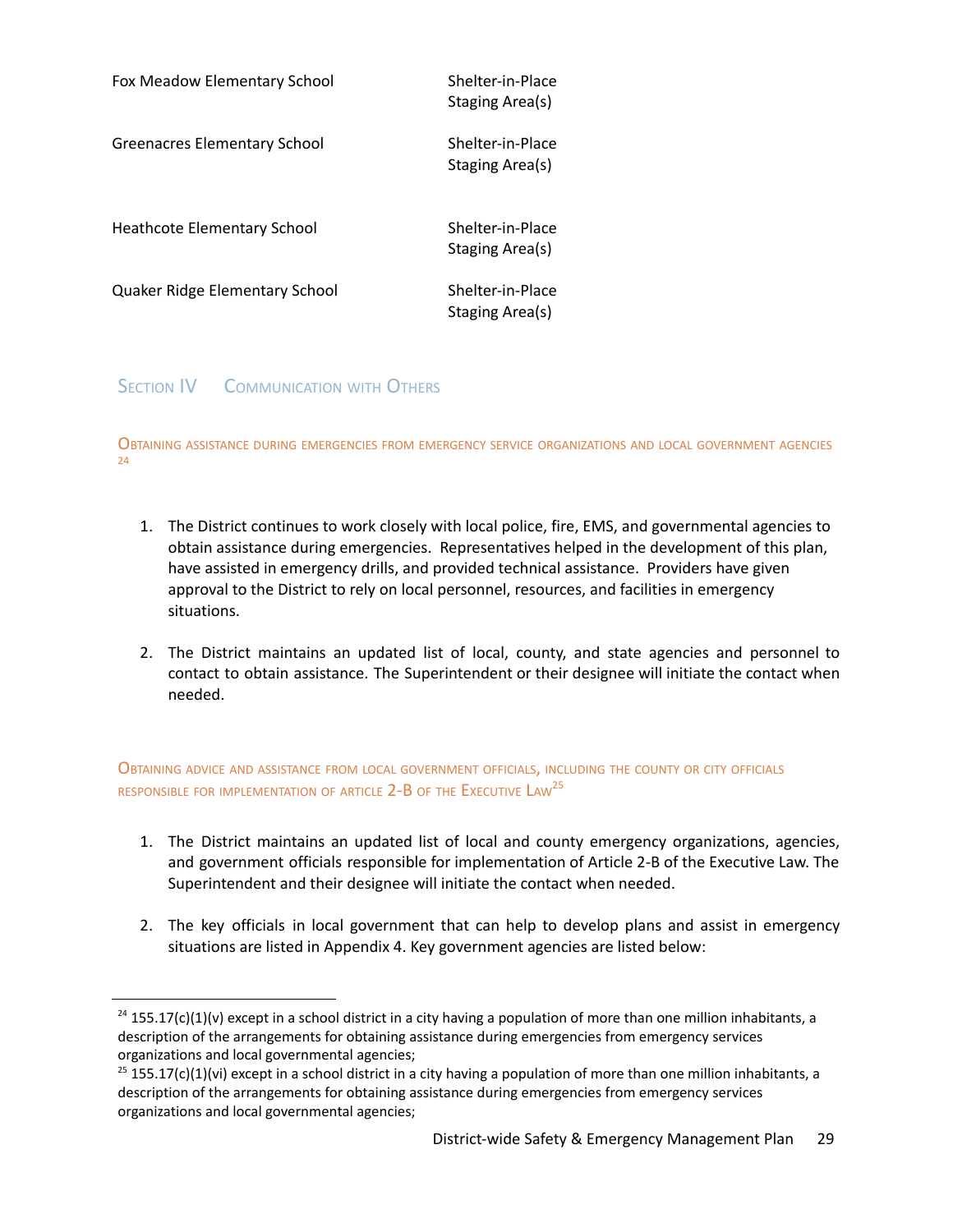| Fox Meadow Elementary School   | Shelter-in-Place<br>Staging Area(s) |
|--------------------------------|-------------------------------------|
| Greenacres Elementary School   | Shelter-in-Place<br>Staging Area(s) |
| Heathcote Elementary School    | Shelter-in-Place<br>Staging Area(s) |
| Quaker Ridge Elementary School | Shelter-in-Place<br>Staging Area(s) |

**SECTION IV COMMUNICATION WITH OTHERS** 

<span id="page-29-0"></span>OBTAINING ASSISTANCE DURING EMERGENCIES FROM EMERGENCY SERVICE ORGANIZATIONS AND LOCAL GOVERNMENT AGENCIES  $24$ 

- 1. The District continues to work closely with local police, fire, EMS, and governmental agencies to obtain assistance during emergencies. Representatives helped in the development of this plan, have assisted in emergency drills, and provided technical assistance. Providers have given approval to the District to rely on local personnel, resources, and facilities in emergency situations.
- 2. The District maintains an updated list of local, county, and state agencies and personnel to contact to obtain assistance. The Superintendent or their designee will initiate the contact when needed.

<span id="page-29-1"></span>OBTAINING ADVICE AND ASSISTANCE FROM LOCAL GOVERNMENT OFFICIALS, INCLUDING THE COUNTY OR CITY OFFICIALS responsible for implementation of article 2-B of the Executive  $\mathsf{Law}^{25}$ 

- 1. The District maintains an updated list of local and county emergency organizations, agencies, and government officials responsible for implementation of Article 2-B of the Executive Law. The Superintendent and their designee will initiate the contact when needed.
- 2. The key officials in local government that can help to develop plans and assist in emergency situations are listed in Appendix 4. Key government agencies are listed below:

 $24$  155.17(c)(1)(v) except in a school district in a city having a population of more than one million inhabitants, a description of the arrangements for obtaining assistance during emergencies from emergency services organizations and local governmental agencies;

 $25$  155.17(c)(1)(vi) except in a school district in a city having a population of more than one million inhabitants, a description of the arrangements for obtaining assistance during emergencies from emergency services organizations and local governmental agencies;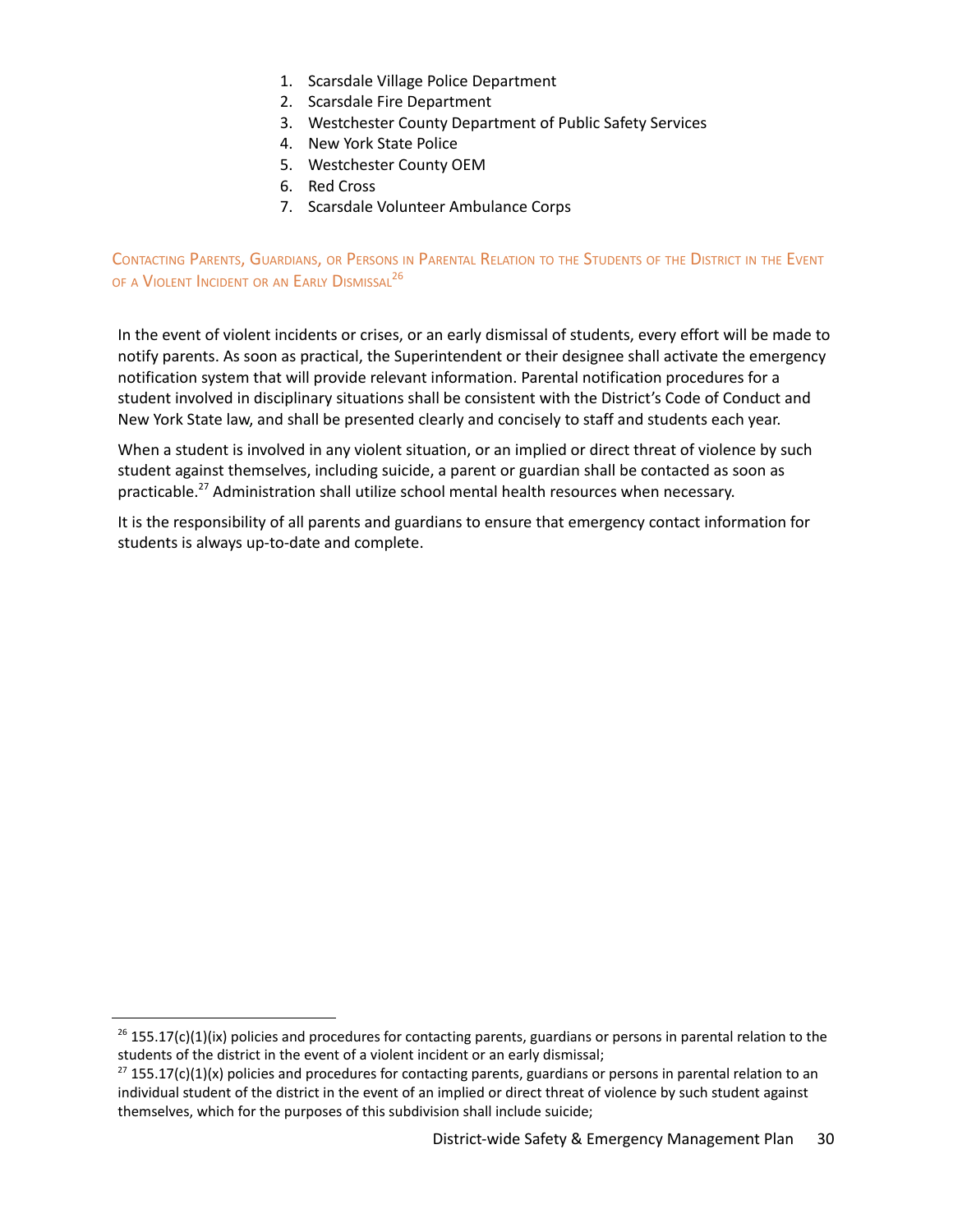- 1. Scarsdale Village Police Department
- 2. Scarsdale Fire Department
- 3. Westchester County Department of Public Safety Services
- 4. New York State Police
- 5. Westchester County OEM
- 6. Red Cross
- 7. Scarsdale Volunteer Ambulance Corps

<span id="page-30-0"></span>CONTACTING PARENTS, GUARDIANS, OR PERSONS IN PARENTAL RELATION TO THE STUDENTS OF THE DISTRICT IN THE EVENT of a Violent Incident or an Early Dismissal $^{26}$ 

In the event of violent incidents or crises, or an early dismissal of students, every effort will be made to notify parents. As soon as practical, the Superintendent or their designee shall activate the emergency notification system that will provide relevant information. Parental notification procedures for a student involved in disciplinary situations shall be consistent with the District's Code of Conduct and New York State law, and shall be presented clearly and concisely to staff and students each year.

When a student is involved in any violent situation, or an implied or direct threat of violence by such student against themselves, including suicide, a parent or guardian shall be contacted as soon as practicable.<sup>27</sup> Administration shall utilize school mental health resources when necessary.

It is the responsibility of all parents and guardians to ensure that emergency contact information for students is always up-to-date and complete.

 $^{26}$  155.17(c)(1)(ix) policies and procedures for contacting parents, guardians or persons in parental relation to the students of the district in the event of a violent incident or an early dismissal;

 $27$  155.17(c)(1)(x) policies and procedures for contacting parents, guardians or persons in parental relation to an individual student of the district in the event of an implied or direct threat of violence by such student against themselves, which for the purposes of this subdivision shall include suicide;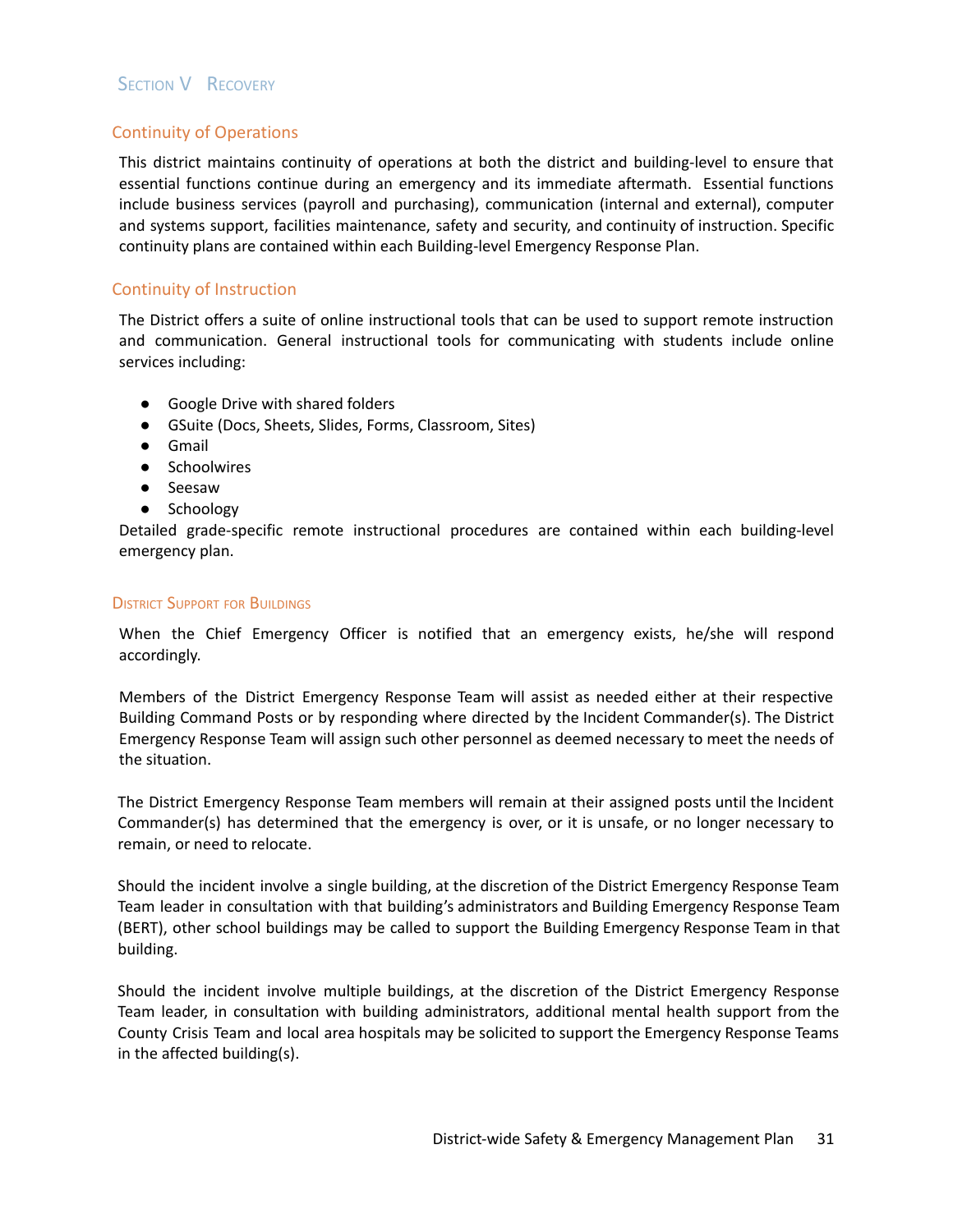## **SECTION V RECOVERY**

## Continuity of Operations

This district maintains continuity of operations at both the district and building-level to ensure that essential functions continue during an emergency and its immediate aftermath. Essential functions include business services (payroll and purchasing), communication (internal and external), computer and systems support, facilities maintenance, safety and security, and continuity of instruction. Specific continuity plans are contained within each Building-level Emergency Response Plan.

## Continuity of Instruction

The District offers a suite of online instructional tools that can be used to support remote instruction and communication. General instructional tools for communicating with students include online services including:

- Google Drive with shared folders
- GSuite (Docs, Sheets, Slides, Forms, Classroom, Sites)
- Gmail
- Schoolwires
- Seesaw
- Schoology

Detailed grade-specific remote instructional procedures are contained within each building-level emergency plan.

## **DISTRICT SUPPORT FOR BUILDINGS**

When the Chief Emergency Officer is notified that an emergency exists, he/she will respond accordingly.

Members of the District Emergency Response Team will assist as needed either at their respective Building Command Posts or by responding where directed by the Incident Commander(s). The District Emergency Response Team will assign such other personnel as deemed necessary to meet the needs of the situation.

The District Emergency Response Team members will remain at their assigned posts until the Incident Commander(s) has determined that the emergency is over, or it is unsafe, or no longer necessary to remain, or need to relocate.

Should the incident involve a single building, at the discretion of the District Emergency Response Team Team leader in consultation with that building's administrators and Building Emergency Response Team (BERT), other school buildings may be called to support the Building Emergency Response Team in that building.

Should the incident involve multiple buildings, at the discretion of the District Emergency Response Team leader, in consultation with building administrators, additional mental health support from the County Crisis Team and local area hospitals may be solicited to support the Emergency Response Teams in the affected building(s).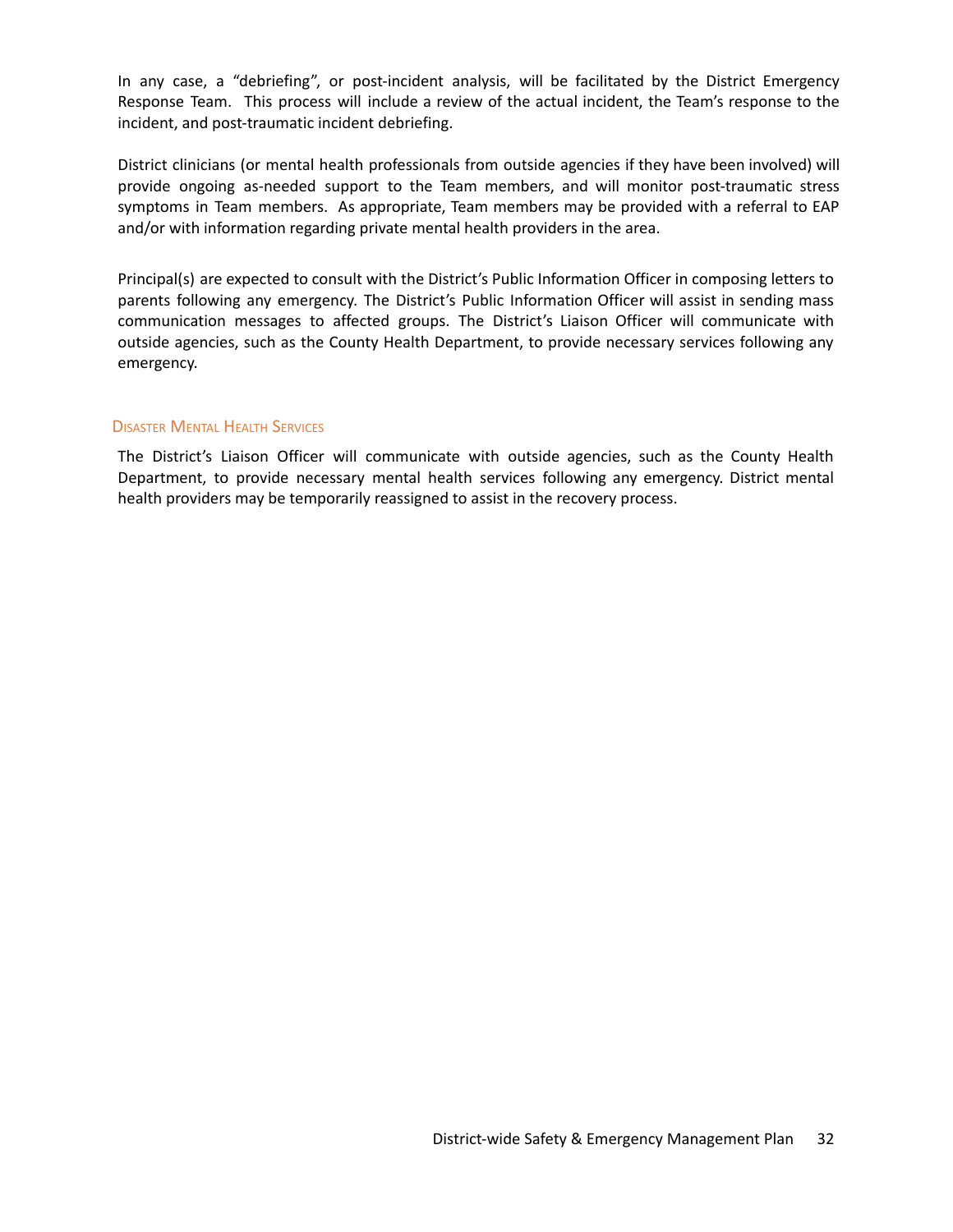In any case, a "debriefing", or post-incident analysis, will be facilitated by the District Emergency Response Team. This process will include a review of the actual incident, the Team's response to the incident, and post-traumatic incident debriefing.

District clinicians (or mental health professionals from outside agencies if they have been involved) will provide ongoing as-needed support to the Team members, and will monitor post-traumatic stress symptoms in Team members. As appropriate, Team members may be provided with a referral to EAP and/or with information regarding private mental health providers in the area.

Principal(s) are expected to consult with the District's Public Information Officer in composing letters to parents following any emergency. The District's Public Information Officer will assist in sending mass communication messages to affected groups. The District's Liaison Officer will communicate with outside agencies, such as the County Health Department, to provide necessary services following any emergency.

## DISASTER MENTAL HEALTH SERVICES

The District's Liaison Officer will communicate with outside agencies, such as the County Health Department, to provide necessary mental health services following any emergency. District mental health providers may be temporarily reassigned to assist in the recovery process.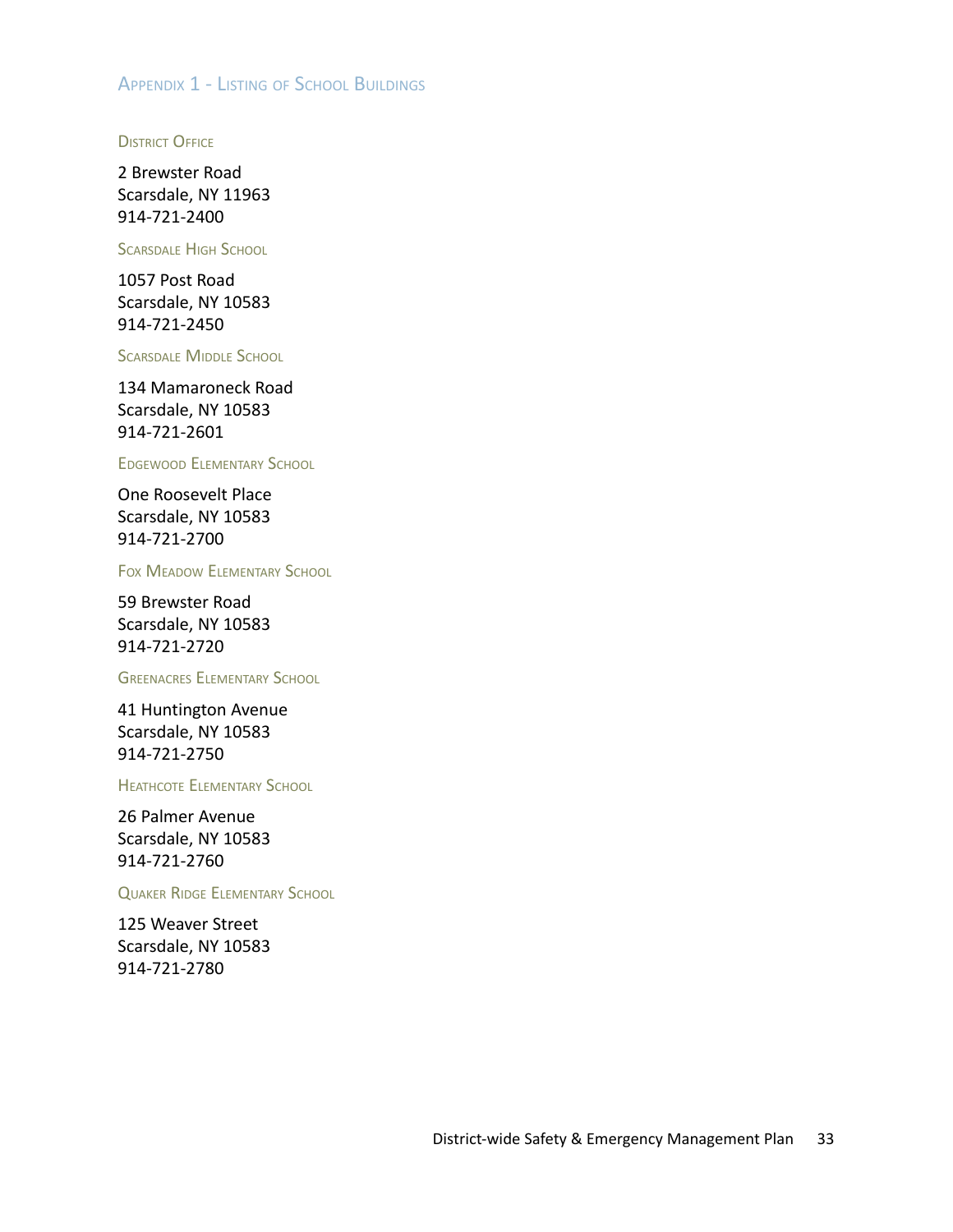## APPENDIX 1 - LISTING OF SCHOOL BUILDINGS

**DISTRICT OFFICE** 

2 Brewster Road Scarsdale, NY 11963 914-721-2400

SCARSDALE HIGH SCHOOL

1057 Post Road Scarsdale, NY 10583 914-721-2450

SCARSDALE MIDDLE SCHOOL

134 Mamaroneck Road Scarsdale, NY 10583 914-721-2601

EDGEWOOD ELEMENTARY SCHOOL

One Roosevelt Place Scarsdale, NY 10583 914-721-2700

FOX MEADOW ELEMENTARY SCHOOL

59 Brewster Road Scarsdale, NY 10583 914-721-2720

GREENACRES ELEMENTARY SCHOOL

41 Huntington Avenue Scarsdale, NY 10583 914-721-2750

HEATHCOTE ELEMENTARY SCHOOL

26 Palmer Avenue Scarsdale, NY 10583 914-721-2760

QUAKER RIDGE ELEMENTARY SCHOOL

125 Weaver Street Scarsdale, NY 10583 914-721-2780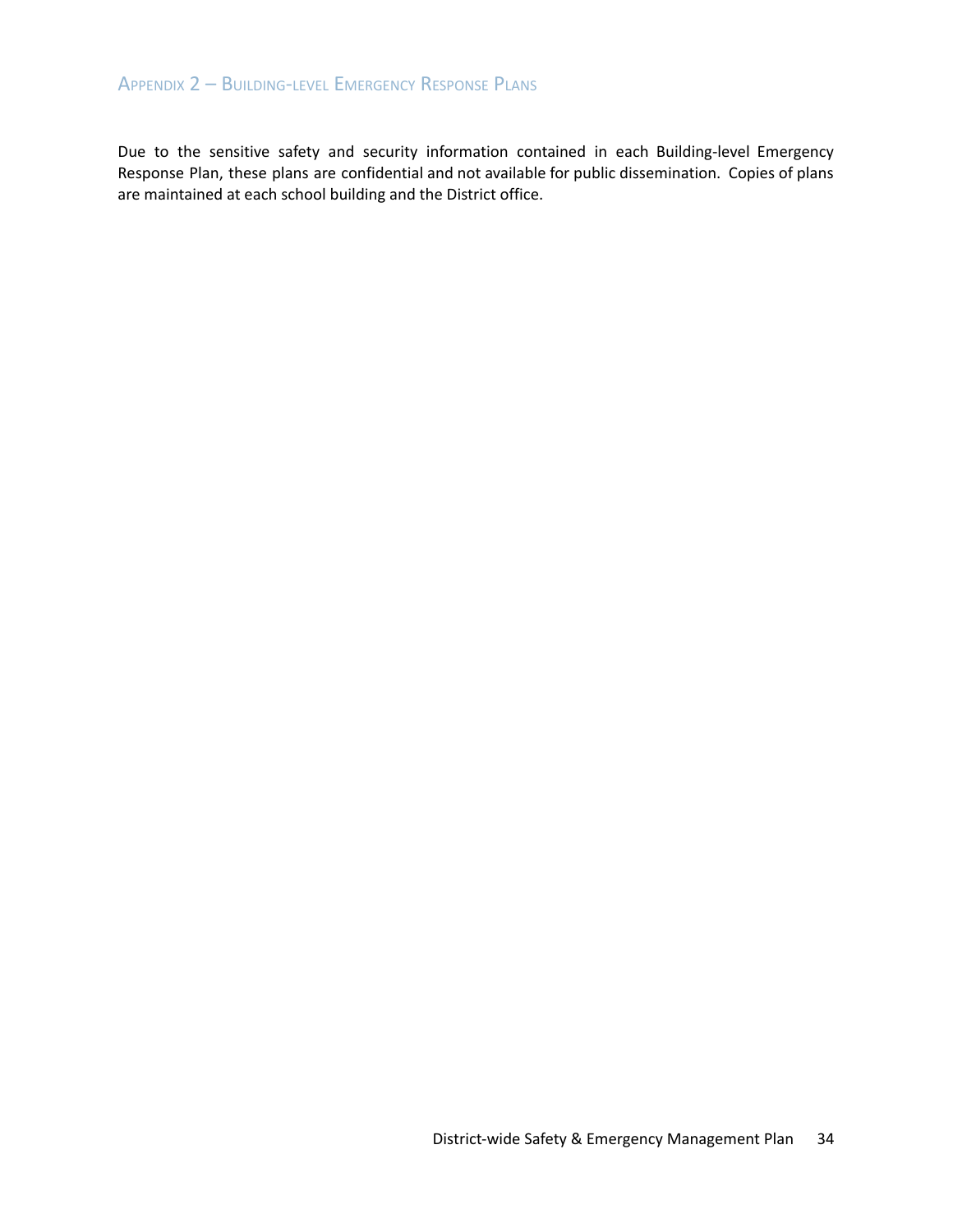## APPENDIX 2 – BUILDING-LEVEL EMERGENCY RESPONSE PLANS

Due to the sensitive safety and security information contained in each Building-level Emergency Response Plan, these plans are confidential and not available for public dissemination. Copies of plans are maintained at each school building and the District office.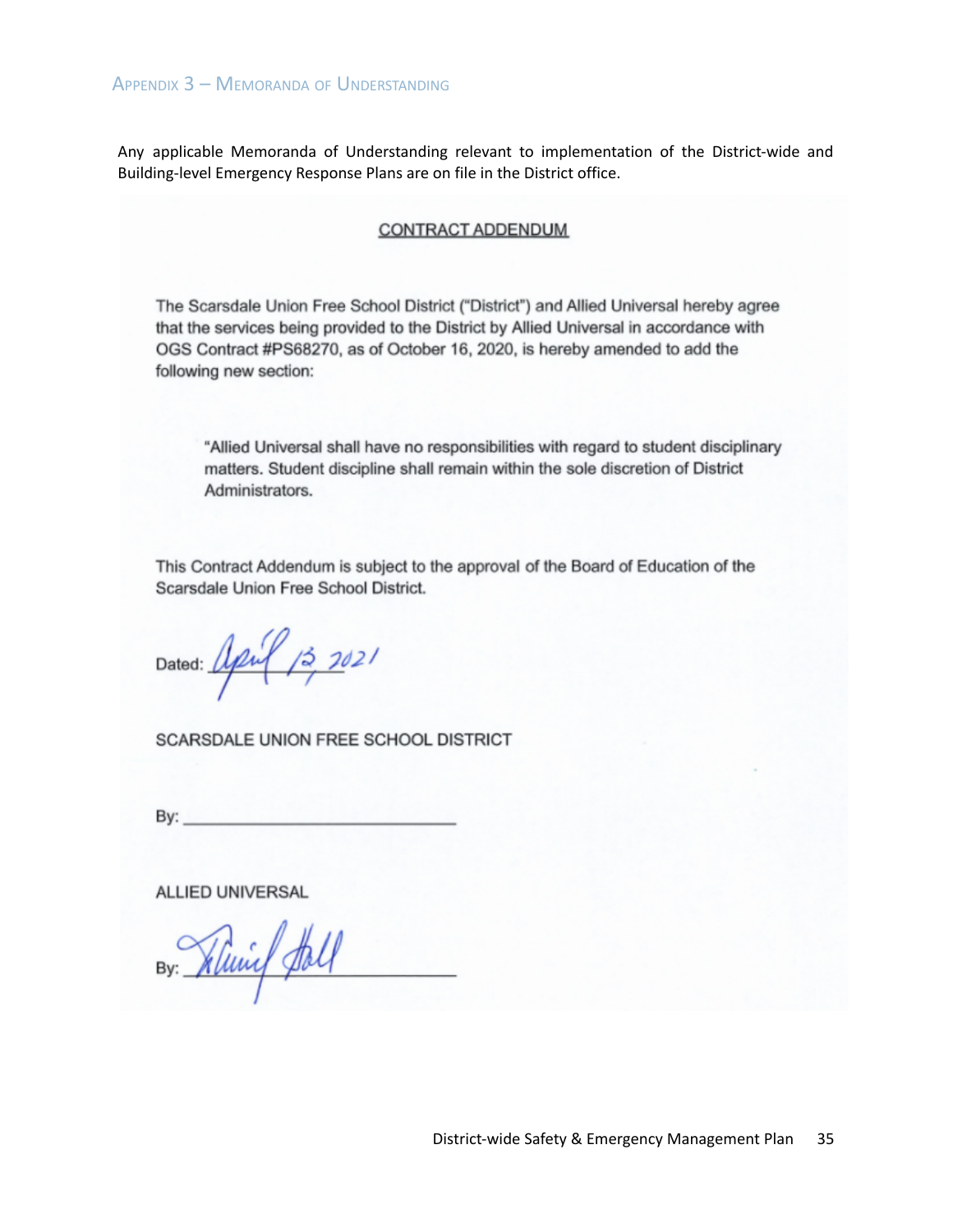Any applicable Memoranda of Understanding relevant to implementation of the District-wide and Building-level Emergency Response Plans are on file in the District office.

## **CONTRACT ADDENDUM**

The Scarsdale Union Free School District ("District") and Allied Universal hereby agree that the services being provided to the District by Allied Universal in accordance with OGS Contract #PS68270, as of October 16, 2020, is hereby amended to add the following new section:

"Allied Universal shall have no responsibilities with regard to student disciplinary matters. Student discipline shall remain within the sole discretion of District Administrators.

This Contract Addendum is subject to the approval of the Board of Education of the Scarsdale Union Free School District.

Dated: April 13 2021

SCARSDALE UNION FREE SCHOOL DISTRICT

By:  $\_$ 

**ALLIED UNIVERSAL** 

By: Klung fall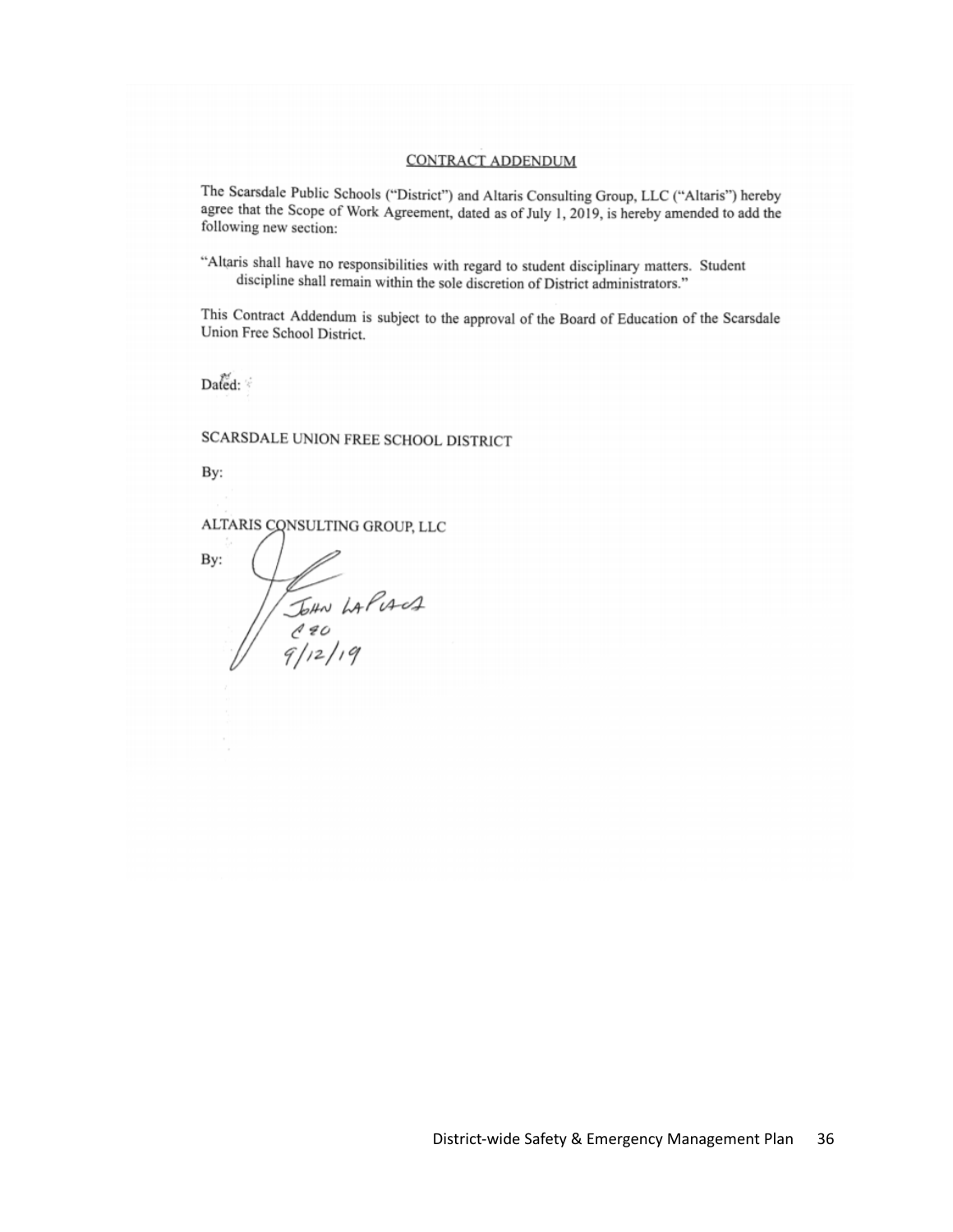#### **CONTRACT ADDENDUM**

The Scarsdale Public Schools ("District") and Altaris Consulting Group, LLC ("Altaris") hereby agree that the Scope of Work Agreement, dated as of July 1, 2019, is hereby amended to add the following new section:

"Altaris shall have no responsibilities with regard to student disciplinary matters. Student discipline shall remain within the sole discretion of District administrators."

This Contract Addendum is subject to the approval of the Board of Education of the Scarsdale Union Free School District.

Dated:

SCARSDALE UNION FREE SCHOOL DISTRICT

By:

ALTARIS CONSULTING GROUP, LLC

By: John LAPIANA<br>C20<br>9/12/19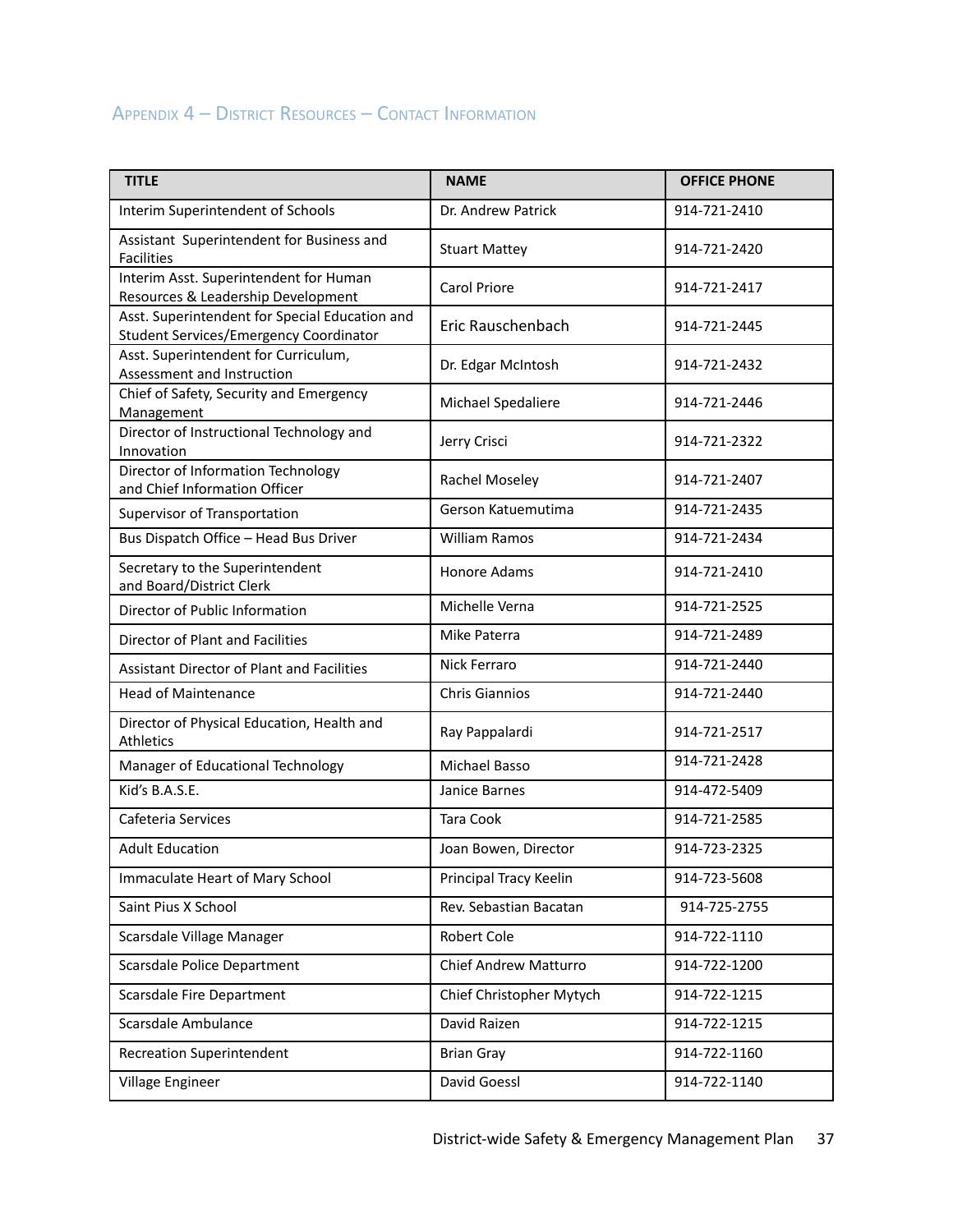## APPENDIX 4 – DISTRICT RESOURCES – CONTACT INFORMATION

| <b>TITLE</b>                                                                                    | <b>NAME</b>              | <b>OFFICE PHONE</b> |
|-------------------------------------------------------------------------------------------------|--------------------------|---------------------|
| Interim Superintendent of Schools                                                               | Dr. Andrew Patrick       | 914-721-2410        |
| Assistant Superintendent for Business and<br><b>Facilities</b>                                  | <b>Stuart Mattey</b>     | 914-721-2420        |
| Interim Asst. Superintendent for Human<br>Resources & Leadership Development                    | <b>Carol Priore</b>      | 914-721-2417        |
| Asst. Superintendent for Special Education and<br><b>Student Services/Emergency Coordinator</b> | Eric Rauschenbach        | 914-721-2445        |
| Asst. Superintendent for Curriculum,<br>Assessment and Instruction                              | Dr. Edgar McIntosh       | 914-721-2432        |
| Chief of Safety, Security and Emergency<br>Management                                           | Michael Spedaliere       | 914-721-2446        |
| Director of Instructional Technology and<br>Innovation                                          | Jerry Crisci             | 914-721-2322        |
| Director of Information Technology<br>and Chief Information Officer                             | Rachel Moseley           | 914-721-2407        |
| Supervisor of Transportation                                                                    | Gerson Katuemutima       | 914-721-2435        |
| Bus Dispatch Office - Head Bus Driver                                                           | <b>William Ramos</b>     | 914-721-2434        |
| Secretary to the Superintendent<br>and Board/District Clerk                                     | Honore Adams             | 914-721-2410        |
| Director of Public Information                                                                  | Michelle Verna           | 914-721-2525        |
| Director of Plant and Facilities                                                                | Mike Paterra             | 914-721-2489        |
| Assistant Director of Plant and Facilities                                                      | Nick Ferraro             | 914-721-2440        |
| <b>Head of Maintenance</b>                                                                      | Chris Giannios           | 914-721-2440        |
| Director of Physical Education, Health and<br>Athletics                                         | Ray Pappalardi           | 914-721-2517        |
| Manager of Educational Technology                                                               | Michael Basso            | 914-721-2428        |
| Kid's B.A.S.E.                                                                                  | Janice Barnes            | 914-472-5409        |
| Cafeteria Services                                                                              | Tara Cook                | 914-721-2585        |
| <b>Adult Education</b>                                                                          | Joan Bowen, Director     | 914-723-2325        |
| Immaculate Heart of Mary School                                                                 | Principal Tracy Keelin   | 914-723-5608        |
| Saint Pius X School                                                                             | Rev. Sebastian Bacatan   | 914-725-2755        |
| Scarsdale Village Manager                                                                       | Robert Cole              | 914-722-1110        |
| Scarsdale Police Department                                                                     | Chief Andrew Matturro    | 914-722-1200        |
| Scarsdale Fire Department                                                                       | Chief Christopher Mytych | 914-722-1215        |
| Scarsdale Ambulance                                                                             | David Raizen             | 914-722-1215        |
| <b>Recreation Superintendent</b>                                                                | <b>Brian Gray</b>        | 914-722-1160        |
| Village Engineer                                                                                | David Goessl             | 914-722-1140        |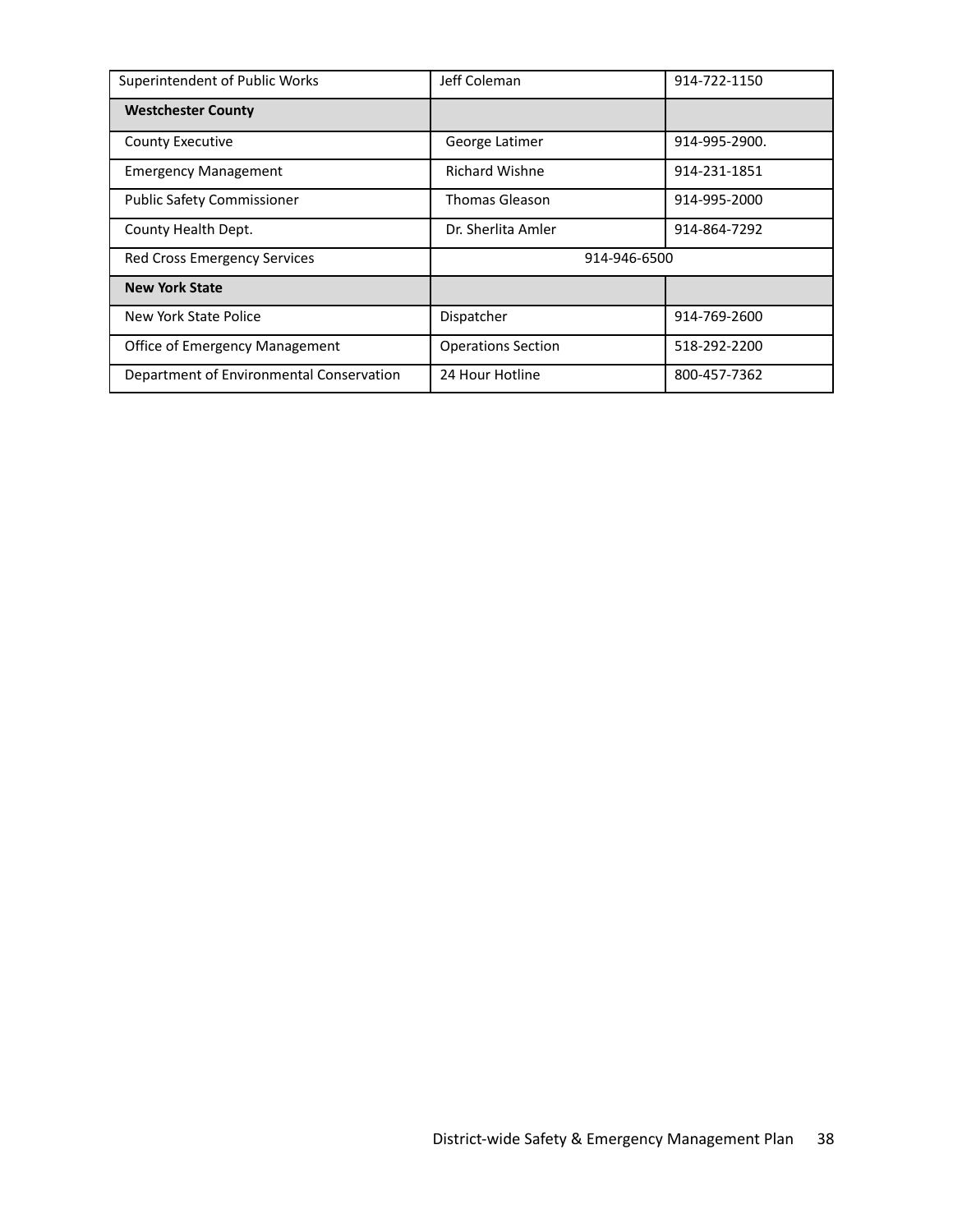| Superintendent of Public Works           | Jeff Coleman              | 914-722-1150  |
|------------------------------------------|---------------------------|---------------|
| <b>Westchester County</b>                |                           |               |
| <b>County Executive</b>                  | George Latimer            | 914-995-2900. |
| <b>Emergency Management</b>              | <b>Richard Wishne</b>     | 914-231-1851  |
| <b>Public Safety Commissioner</b>        | <b>Thomas Gleason</b>     | 914-995-2000  |
| County Health Dept.                      | Dr. Sherlita Amler        | 914-864-7292  |
| <b>Red Cross Emergency Services</b>      | 914-946-6500              |               |
| <b>New York State</b>                    |                           |               |
| New York State Police                    | Dispatcher                | 914-769-2600  |
| <b>Office of Emergency Management</b>    | <b>Operations Section</b> | 518-292-2200  |
| Department of Environmental Conservation | 24 Hour Hotline           | 800-457-7362  |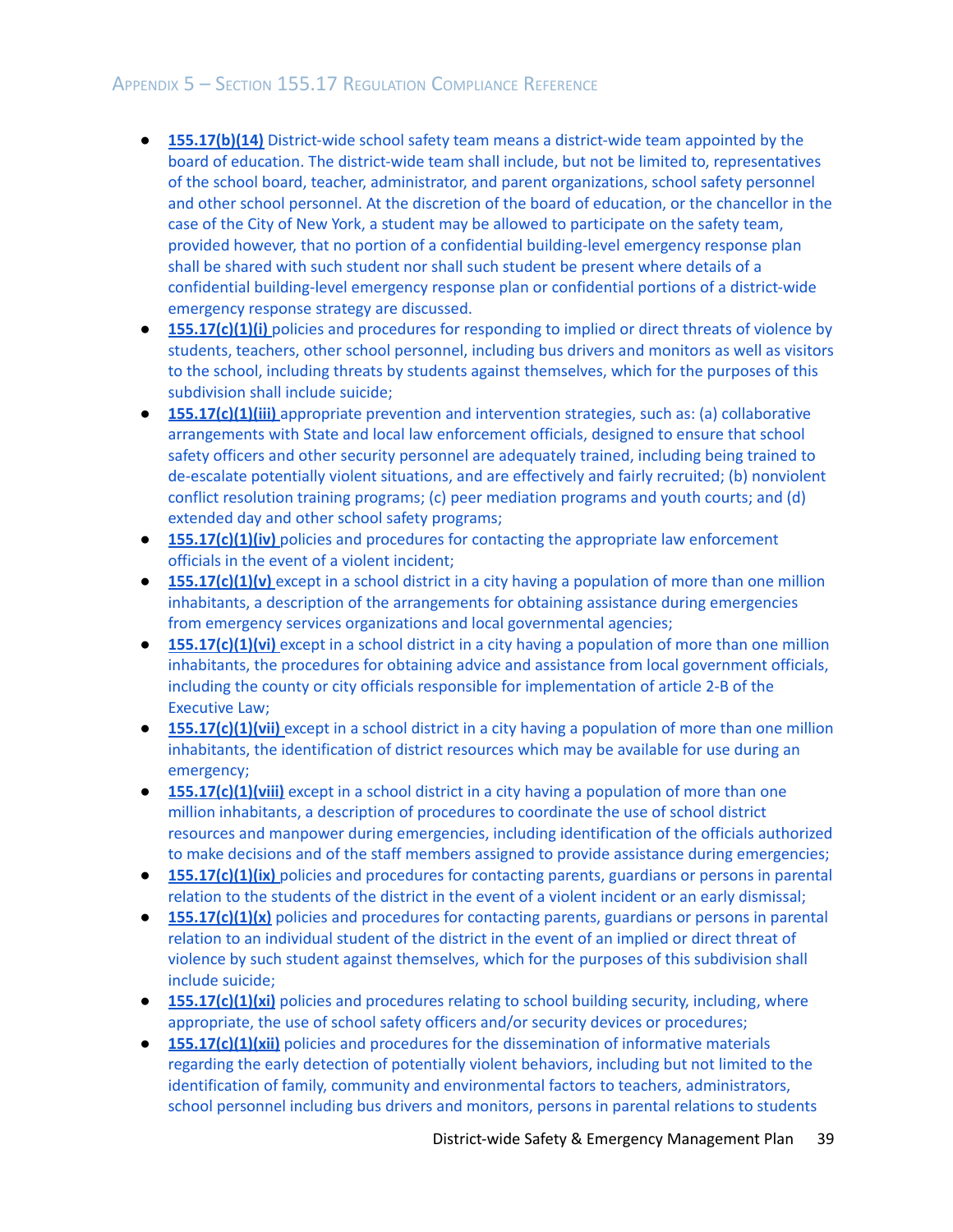- **[155.17\(b\)\(14\)](#page-4-0)** District-wide school safety team means a district-wide team appointed by the board of education. The district-wide team shall include, but not be limited to, [representatives](#page-4-0) of the school board, teacher, [administrator,](#page-4-0) and parent organizations, school safety personnel and other school [personnel.](#page-4-0) At the discretion of the board of education, or the chancellor in the case of the City of New York, a student may be allowed to [participate](#page-4-0) on the safety team, provided however, that no portion of a confidential [building-level](#page-4-0) emergency response plan shall be shared with such [student](#page-4-0) nor shall such student be present where details of a confidential [building-level](#page-4-0) emergency response plan or confidential portions of a district-wide [emergency](#page-4-0) response strategy are discussed.
- **[155.17\(c\)\(1\)\(i\)](#page-20-0)** policies and procedures for responding to implied or direct threats of violence by students, teachers, other school [personnel,](#page-20-0) including bus drivers and monitors as well as visitors to the school, including threats by students against [themselves,](#page-20-0) which for the purposes of this [subdivision](#page-20-0) shall include suicide;
- **[155.17\(c\)\(1\)\(iii\)](#page-9-0)** appropriate prevention and intervention strategies, such as: (a) collaborative [arrangements](#page-9-0) with State and local law enforcement officials, designed to ensure that school safety officers and other security personnel are [adequately](#page-9-0) trained, including being trained to [de-escalate](#page-9-0) potentially violent situations, and are effectively and fairly recruited; (b) nonviolent conflict resolution training programs; (c) peer [mediation](#page-9-0) programs and youth courts; and (d) extended day and other school safety [programs;](#page-9-0)
- **[155.17\(c\)\(1\)\(iv\)](#page-22-0)** policies and procedures for contacting the appropriate law enforcement officials in the event of a violent [incident;](#page-22-0)
- **[155.17\(c\)\(1\)\(v\)](#page-29-0)** except in a school district in a city having a population of more than one million inhabitants, a description of the [arrangements](#page-29-0) for obtaining assistance during emergencies from emergency services organizations and local [governmental](#page-29-0) agencies;
- **[155.17\(c\)\(1\)\(vi\)](#page-29-1)** except in a school district in a city having a population of more than one million inhabitants, the procedures for obtaining advice and assistance from local [government](#page-29-1) officials, including the county or city officials responsible for [implementation](#page-29-1) of article 2-B of the [Executive](#page-29-1) Law;
- **[155.17\(c\)\(1\)\(vii\)](#page-26-0)** except in a school district in a city having a population of more than one million inhabitants, the [identification](#page-26-0) of district resources which may be available for use during an [emergency;](#page-26-0)
- **[155.17\(c\)\(1\)\(viii\)](#page-27-0)** except in a school district in a city having a population of more than one million [inhabitants,](#page-27-0) a description of procedures to coordinate the use of school district resources and manpower during [emergencies,](#page-27-0) including identification of the officials authorized to make decisions and of the staff members assigned to provide assistance during [emergencies;](#page-27-0)
- **[155.17\(c\)\(1\)\(ix\)](#page-30-0)** policies and procedures for contacting parents, guardians or persons in parental relation to the students of the district in the event of a violent incident or an early [dismissal;](#page-30-0)
- **[155.17\(c\)\(1\)\(x\)](#page-30-0)** policies and procedures for contacting parents, guardians or persons in parental relation to an [individual](#page-30-0) student of the district in the event of an implied or direct threat of violence by such student against [themselves,](#page-30-0) which for the purposes of this subdivision shall include [suicide;](#page-30-0)
- **[155.17\(c\)\(1\)\(xi\)](#page-10-0)** policies and procedures relating to school building security, including, where [appropriate,](#page-10-0) the use of school safety officers and/or security devices or procedures;
- **[155.17\(c\)\(1\)\(xii\)](#page-14-0)** policies and procedures for the dissemination of informative materials regarding the early detection of potentially violent behaviors, including but not limited to the identification of family, community and environmental factors to teachers, administrators, school personnel including bus drivers and monitors, persons in parental relations to students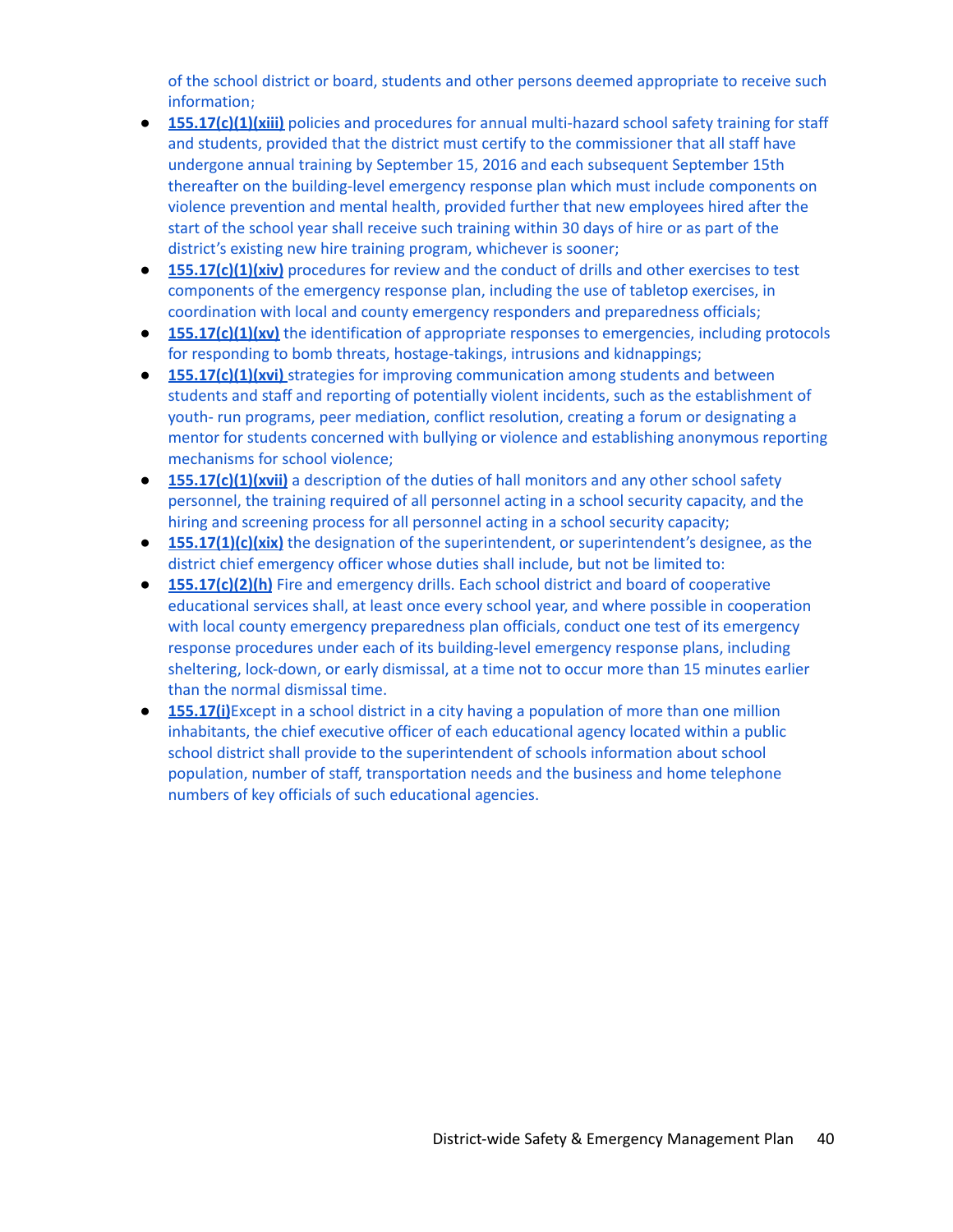of the school district or board, students and other persons deemed appropriate to receive such information;

- **[155.17\(c\)\(1\)\(xiii\)](#page-12-0)** policies and procedures for annual multi-hazard school safety training for staff and students, provided that the district must certify to the [commissioner](#page-12-0) that all staff have undergone annual training by September 15, 2016 and each [subsequent](#page-12-0) September 15th thereafter on the [building-level](#page-12-0) emergency response plan which must include components on violence [prevention](#page-12-0) and mental health, provided further that new employees hired after the start of the school year shall receive such [training](#page-12-0) within 30 days of hire or as part of the district's existing new hire training program, [whichever](#page-12-0) is sooner;
- **[155.17\(c\)\(1\)\(xiv\)](#page-12-1)** procedures for review and the conduct of drills and other exercises to test [components](#page-12-1) of the emergency response plan, including the use of tabletop exercises, in coordination with local and county emergency responders and [preparedness](#page-12-1) officials;
- **[155.17\(c\)\(1\)\(xv\)](#page-20-1)** the identification of appropriate responses to emergencies, including protocols for responding to bomb threats, [hostage-takings,](#page-20-1) intrusions and kidnappings;
- **155.17(c)(1)(xvi)** strategies for improving communication among students and between students and staff and reporting of potentially violent incidents, such as the establishment of youth- run programs, peer mediation, conflict resolution, creating a forum or designating a mentor for students concerned with bullying or violence and establishing anonymous reporting mechanisms for school violence;
- **155.17(c)(1)(xvii)** a description of the duties of hall monitors and any other school safety personnel, the training required of all personnel acting in a school security capacity, and the hiring and screening process for all personnel acting in a school security capacity;
- **155.17(1)(c)(xix)** the designation of the superintendent, or [superintendent's](#page-3-0) designee, as the district chief [emergency](#page-3-0) officer whose duties shall include, but not be limited to:
- **[155.17\(c\)\(2\)\(h\)](#page-12-2)** Fire and emergency drills. Each school district and board of cooperative educational services shall, at least once every school year, and where possible in [cooperation](#page-12-2) with local county emergency [preparedness](#page-12-2) plan officials, conduct one test of its emergency response procedures under each of its [building-level](#page-12-2) emergency response plans, including sheltering, [lock-down,](#page-12-2) or early dismissal, at a time not to occur more than 15 minutes earlier than the normal [dismissal](#page-12-2) time.
- **155.17(i)**Except in a school district in a city having a [population](#page-13-0) of more than one million [inhabitants,](#page-13-0) the chief executive officer of each educational agency located within a public school district shall provide to the [superintendent](#page-13-0) of schools information about school population, number of staff, [transportation](#page-13-0) needs and the business and home telephone numbers of key officials of such [educational](#page-13-0) agencies.